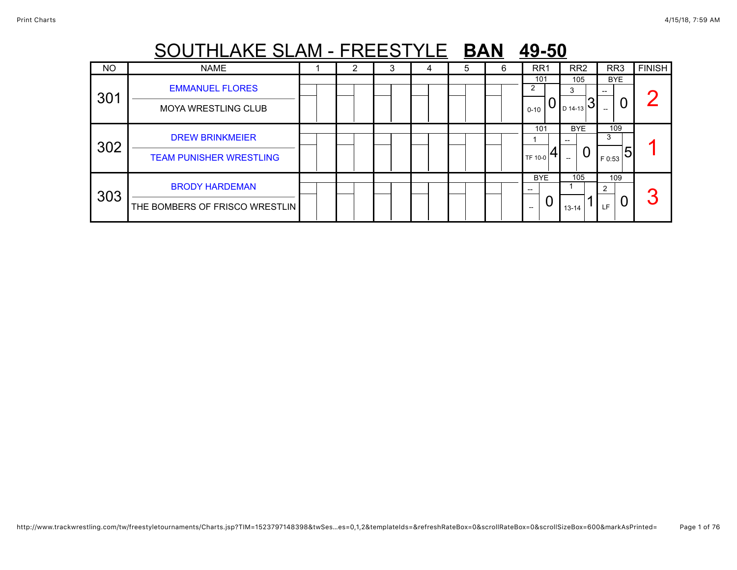# SOUTHLAKE SLAM - FREESTYLE **BAN 49-50**

| <b>NO</b> | <b>NAME</b>                                              | າ | 3 | 4 | 5 | 6 | RR <sub>1</sub>       | RR <sub>2</sub>                          | RR <sub>3</sub>          | <b>FINISH</b> |
|-----------|----------------------------------------------------------|---|---|---|---|---|-----------------------|------------------------------------------|--------------------------|---------------|
| 301       | <b>EMMANUEL FLORES</b><br><b>MOYA WRESTLING CLUB</b>     |   |   |   |   |   | 101<br>$0 - 10$       | 105<br>3                                 | <b>BYE</b>               | $\sqrt{2}$    |
| 302       | <b>DREW BRINKMEIER</b><br><b>TEAM PUNISHER WRESTLING</b> |   |   |   |   |   | 101<br>TF 10-0        | <b>BYE</b><br><b>U</b><br>$\overline{a}$ | 109<br>3<br>15<br>F 0:53 |               |
| 303       | <b>BRODY HARDEMAN</b><br>THE BOMBERS OF FRISCO WRESTLIN  |   |   |   |   |   | <b>BYE</b><br>U<br>-- | 105<br>$13 - 14$                         | 109<br>U<br>LE.          | n             |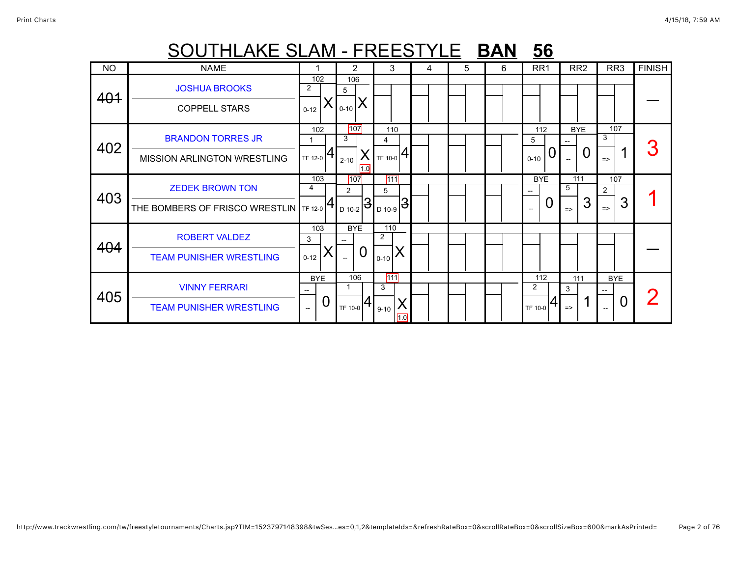| <b>NO</b> | <b>NAME</b>                                                                   |                                             | 2                                                        | 3                                                                                                       | 4 | 5 | 6 | RR1                                         | RR <sub>2</sub>                | RR <sub>3</sub>                             | <b>FINISH</b> |
|-----------|-------------------------------------------------------------------------------|---------------------------------------------|----------------------------------------------------------|---------------------------------------------------------------------------------------------------------|---|---|---|---------------------------------------------|--------------------------------|---------------------------------------------|---------------|
| 401       | <b>JOSHUA BROOKS</b><br><b>COPPELL STARS</b>                                  | 102<br>$\overline{2}$<br>X<br>$0 - 12$      | 106<br>5<br>$_{1_{0-10}} X $                             |                                                                                                         |   |   |   |                                             |                                |                                             |               |
| 402       | <b>BRANDON TORRES JR</b><br><b>MISSION ARLINGTON WRESTLING</b>                | 102<br>ľН<br>TF 12-0                        | 107<br>3<br>X<br>$2 - 10$<br>10                          | 110<br>4<br>$T$ F 10-0 $H$                                                                              |   |   |   | 112<br>5<br>$0 - 10$                        | <b>BYE</b><br>0                | 107<br>3<br>л<br>$\Rightarrow$              |               |
| 403       | <b>ZEDEK BROWN TON</b><br>THE BOMBERS OF FRISCO WRESTLIN TF 12-0 <sup>4</sup> | 103<br>4                                    | 107<br>2<br>$\left  \mathbf{1}_{\text{D 10-2}}\right $ 3 | $111$<br>5<br>$\cdot$ ( $\overline{\mathsf{B}}$ $ _{\mathsf{0}\text{-}9}$ $ $ $\overline{\mathsf{3}}$ ) |   |   |   | <b>BYE</b><br>Û<br>$\overline{\phantom{a}}$ | 111<br>5<br>3<br>$\Rightarrow$ | 107<br>$\overline{2}$<br>3<br>$\Rightarrow$ |               |
| 404       | <b>ROBERT VALDEZ</b><br><b>TEAM PUNISHER WRESTLING</b>                        | 103<br>3<br>$0 - 12$                        | <b>BYE</b><br>0<br>$\overline{\phantom{a}}$              | 110<br>2<br>$10-10$                                                                                     |   |   |   |                                             |                                |                                             |               |
| 405       | <b>VINNY FERRARI</b><br><b>TEAM PUNISHER WRESTLING</b>                        | <b>BYE</b><br>0<br>$\overline{\phantom{a}}$ | 106<br>TF 10-0                                           | 111<br>3<br>$9 - 10$<br>1.0                                                                             |   |   |   | 112<br>2<br>TF 10-0                         | 111<br>3<br>$\Rightarrow$      | <b>BYE</b><br>0                             |               |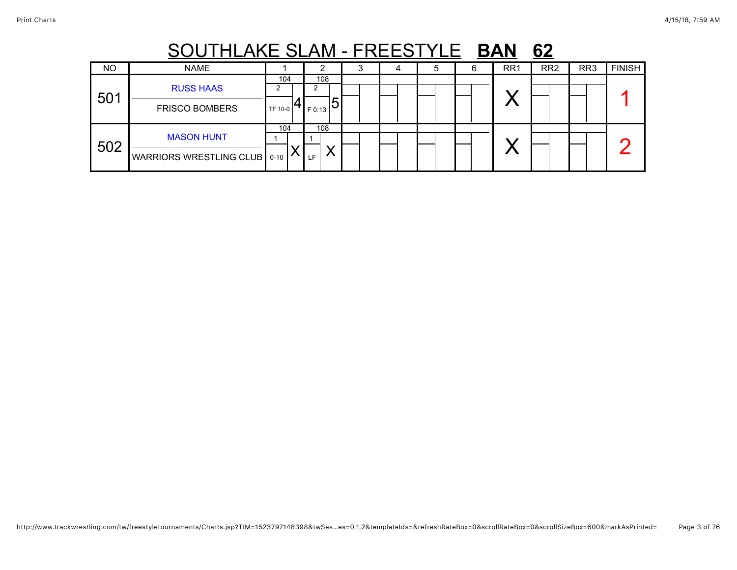|           | <u> SUUTHLANE SLAIVI - FREESTTLE</u>              |                       |        |     |  |  |   |   | DAN | 0Z |                 |                 |               |
|-----------|---------------------------------------------------|-----------------------|--------|-----|--|--|---|---|-----|----|-----------------|-----------------|---------------|
| <b>NO</b> | <b>NAME</b>                                       |                       |        |     |  |  | 5 | 6 | RR1 |    | RR <sub>2</sub> | RR <sub>3</sub> | <b>FINISH</b> |
| 501       | <b>RUSS HAAS</b><br><b>FRISCO BOMBERS</b>         | 104<br><b>TF 10-0</b> | F 0:13 | 108 |  |  |   |   |     |    |                 |                 |               |
| 502       | <b>MASON HUNT</b><br>WARRIORS WRESTLING CLUB 0-10 | 104                   | LF.    | 108 |  |  |   |   |     |    |                 |                 |               |

#### SOUTHLAKE SLAM EDEESTVLE **DAN 62**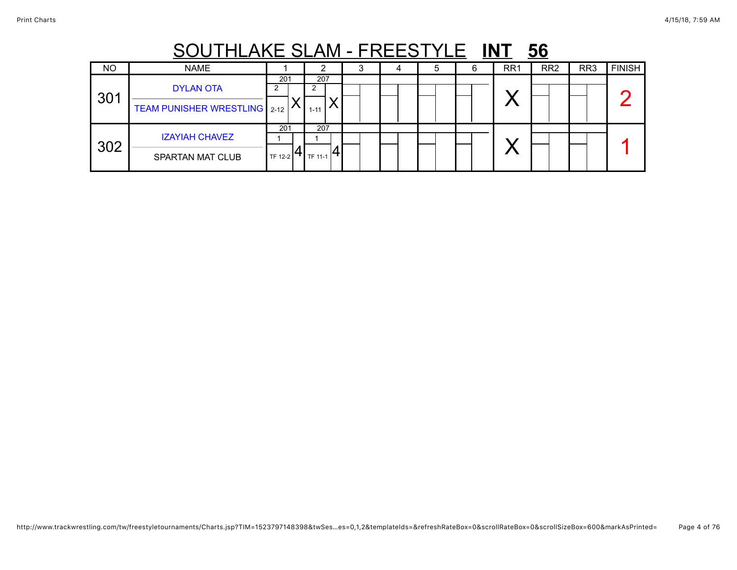# SOUTHLAKE SLAM - FREESTYLE **INT 56**

| <b>NO</b> | <b>NAME</b>                                             |                |                      |  | ა | 6 | RR <sub>1</sub> | RR <sub>2</sub> | RR <sub>3</sub> | <b>FINISH</b> |
|-----------|---------------------------------------------------------|----------------|----------------------|--|---|---|-----------------|-----------------|-----------------|---------------|
| 301       | <b>DYLAN OTA</b><br><b>TEAM PUNISHER WRESTLING</b> 2-12 | 201            | 207<br>ົ<br>$1 - 11$ |  |   |   |                 |                 |                 |               |
| 302       | <b>IZAYIAH CHAVEZ</b><br><b>SPARTAN MAT CLUB</b>        | 201<br>TF 12-2 | 207<br>TF 11-1       |  |   |   |                 |                 |                 |               |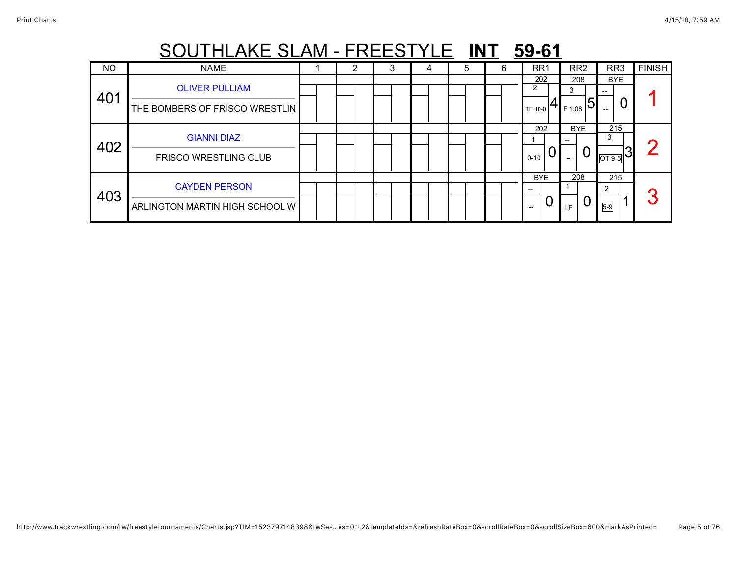# SOUTHLAKE SLAM - FREESTYLE **INT 59-61**

| <b>NO</b> | <b>NAME</b>                                             |  | 3 | 4 | 5 | 6 | RR <sub>1</sub> | RR <sub>2</sub>                        | RR <sub>3</sub>        | <b>FINISH</b> |
|-----------|---------------------------------------------------------|--|---|---|---|---|-----------------|----------------------------------------|------------------------|---------------|
| 401       | <b>OLIVER PULLIAM</b><br>THE BOMBERS OF FRISCO WRESTLIN |  |   |   |   |   | 202<br>TF 10-0  | 208<br>3<br>F 1:08                     | <b>BYE</b><br>U        |               |
| 402       | <b>GIANNI DIAZ</b><br><b>FRISCO WRESTLING CLUB</b>      |  |   |   |   |   | 202<br>$0 - 10$ | <b>BYE</b><br>$\overline{\phantom{a}}$ | 215<br>OT 9-5          | ◠             |
| 403       | <b>CAYDEN PERSON</b><br>ARLINGTON MARTIN HIGH SCHOOL W  |  |   |   |   |   | <b>BYE</b>      | 208<br>LF                              | 215<br>$\sim$<br>$5-9$ | n             |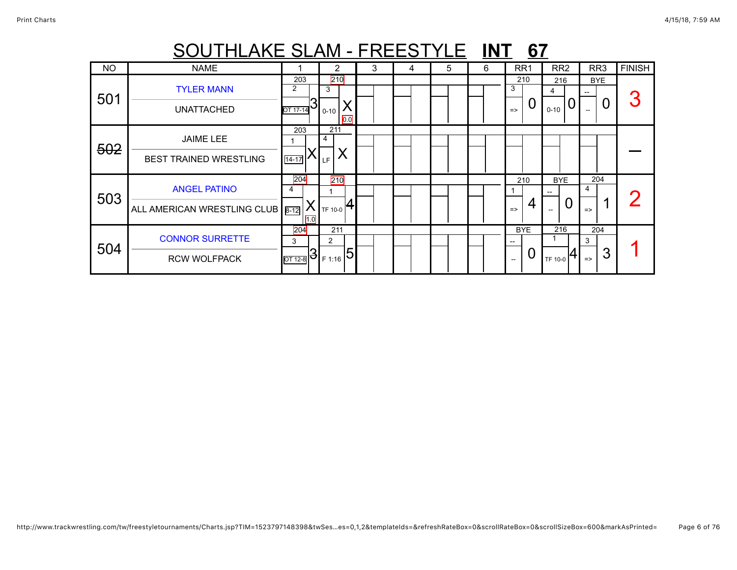# SOUTHLAKE SLAM - FREESTYLE **INT 67**

| <b>NO</b> | <b>NAME</b>                                        |                                    | 2                                                          | 3 | 4 | 5 | 6 | RR <sub>1</sub>                | RR <sub>2</sub>           | RR <sub>3</sub>                | <b>FINISH</b> |
|-----------|----------------------------------------------------|------------------------------------|------------------------------------------------------------|---|---|---|---|--------------------------------|---------------------------|--------------------------------|---------------|
| 501       | <b>TYLER MANN</b><br><b>UNATTACHED</b>             | 203<br>2<br>$\frac{3}{10117.14}$ 3 | 210<br>3<br>$0 - 10$<br>0.0                                |   |   |   |   | 210<br>3<br>U<br>$\Rightarrow$ | 216<br>4<br>U<br>$0 - 10$ | <b>BYE</b><br>U                | 3             |
| 502       | <b>JAIME LEE</b><br><b>BEST TRAINED WRESTLING</b>  | 203<br>$14 - 17$                   | 211<br>4<br>Х<br>LF.                                       |   |   |   |   |                                |                           |                                |               |
| 503       | <b>ANGEL PATINO</b><br>ALL AMERICAN WRESTLING CLUB | 204<br>4<br>∧∣<br>$8 - 12$<br>1.0  | 210<br>$\mathbf{I}_{\mathsf{TF}\,10\text{-}0} \mathbf{4} $ |   |   |   |   | 210<br>4<br>$\Rightarrow$      | <b>BYE</b><br>0           | 204<br>╭<br>$\Rightarrow$      |               |
| 504       | <b>CONNOR SURRETTE</b><br><b>RCW WOLFPACK</b>      | 204<br>3<br>β<br>OT 12-8           | 211<br>$\overline{2}$<br>$\overline{5}$<br>F 1:16          |   |   |   |   | <b>BYE</b><br>0<br>$- -$       | 216<br>TF 10-0            | 204<br>3<br>3<br>$\Rightarrow$ |               |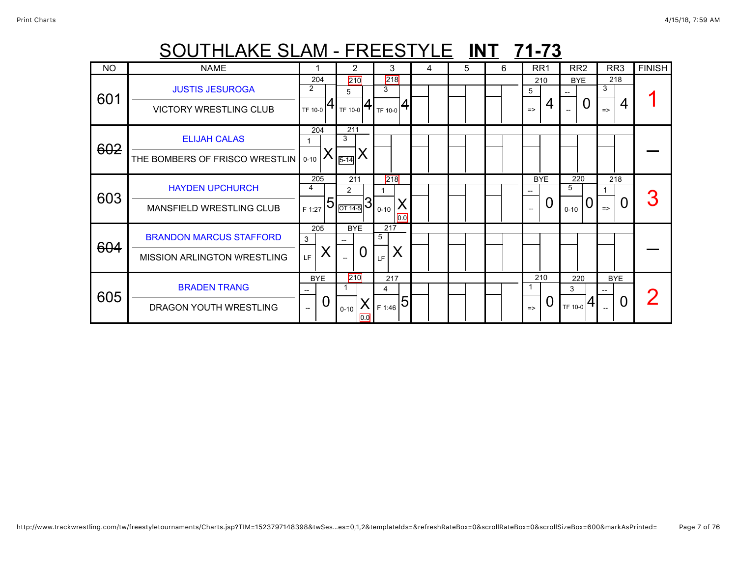# SOUTHLAKE SLAM - FREESTYLE **INT 71-73**

| <b>NO</b> | <b>NAME</b>                                                          |                         | 2                                            | 3                           | 4 | 5 | 6 | RR <sub>1</sub>                | RR <sub>2</sub>                               | RR <sub>3</sub>                | <b>FINISH</b> |
|-----------|----------------------------------------------------------------------|-------------------------|----------------------------------------------|-----------------------------|---|---|---|--------------------------------|-----------------------------------------------|--------------------------------|---------------|
| 601       | <b>JUSTIS JESUROGA</b><br><b>VICTORY WRESTLING CLUB</b>              | 204<br>2<br>TF 10-0     | 210<br>5<br>┭<br>TF 10-0                     | 218<br>3<br>TF 10-0         |   |   |   | 210<br>5<br>4<br>$\Rightarrow$ | <b>BYE</b><br>$-$<br>$\overline{\phantom{a}}$ | 218<br>3<br>4<br>$\Rightarrow$ |               |
| 602       | <b>ELIJAH CALAS</b><br>THE BOMBERS OF FRISCO WRESTLIN                | 204<br>$0 - 10$         | 211<br>3<br>$5-14$                           |                             |   |   |   |                                |                                               |                                |               |
| 603       | <b>HAYDEN UPCHURCH</b><br>MANSFIELD WRESTLING CLUB                   | 205<br>4<br>5<br>F 1:27 | 211<br>$\overline{2}$<br>10 <u>0714-5</u> 31 | 218<br>Λ<br>$0 - 10$<br>0.0 |   |   |   | <b>BYE</b><br>Û<br>$\sim$      | 220<br>5<br>0<br>$0 - 10$                     | 218<br>O<br>$\Rightarrow$      |               |
| 604       | <b>BRANDON MARCUS STAFFORD</b><br><b>MISSION ARLINGTON WRESTLING</b> | 205<br>3<br>Χ<br>LF.    | <b>BYE</b><br>Ő                              | 217<br>5<br>X<br>LF.        |   |   |   |                                |                                               |                                |               |
| 605       | <b>BRADEN TRANG</b><br>DRAGON YOUTH WRESTLING                        | <b>BYE</b><br>0         | 210<br>$\vert X \vert$<br>$0 - 10$<br>0.0    | 217<br>4<br>5<br>F 1:46     |   |   |   | 210<br>O<br>$\Rightarrow$      | 220<br>3<br>$T$ F 10-0 $+$                    | <b>BYE</b><br>0<br>$\sim$      |               |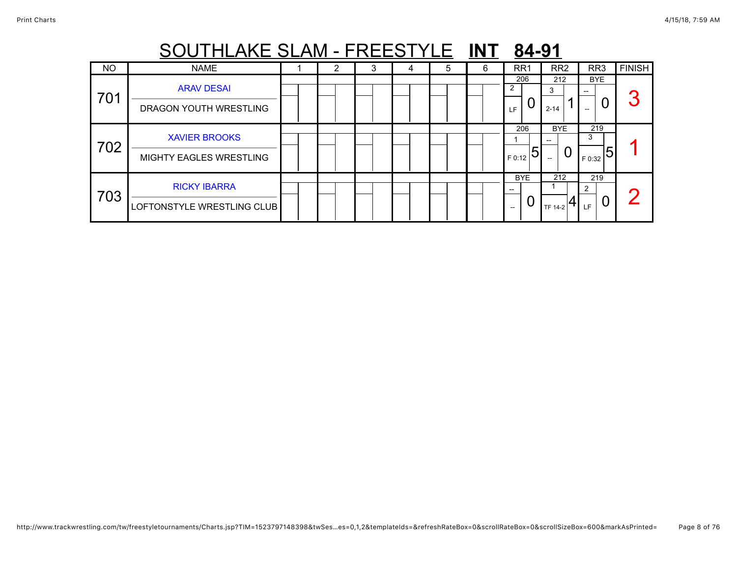# SOUTHLAKE SLAM - FREESTYLE **INT 84-91**

| <b>NO</b> | <b>NAME</b>                                       |  | ◠ | 3 | 4 | 5 | 6 | RR <sub>1</sub>                 | RR <sub>2</sub>      | RR <sub>3</sub>                        | <b>FINISH</b> |
|-----------|---------------------------------------------------|--|---|---|---|---|---|---------------------------------|----------------------|----------------------------------------|---------------|
| 701       | <b>ARAV DESAI</b><br>DRAGON YOUTH WRESTLING       |  |   |   |   |   |   | 206<br>2<br>LF                  | 212<br>3<br>$2 - 14$ | <b>BYE</b><br>$\overline{\phantom{a}}$ | n<br>Ċ.       |
| 702       | <b>XAVIER BROOKS</b><br>MIGHTY EAGLES WRESTLING   |  |   |   |   |   |   | 206<br>5<br>F 0:12              | <b>BYE</b><br>Û      | 219<br>F 0:32                          |               |
| 703       | <b>RICKY IBARRA</b><br>LOFTONSTYLE WRESTLING CLUB |  |   |   |   |   |   | <b>BYE</b><br>$- -$<br>U<br>$-$ | 212<br>TF 14-2       | 219<br>U<br><b>LF</b>                  | ŋ             |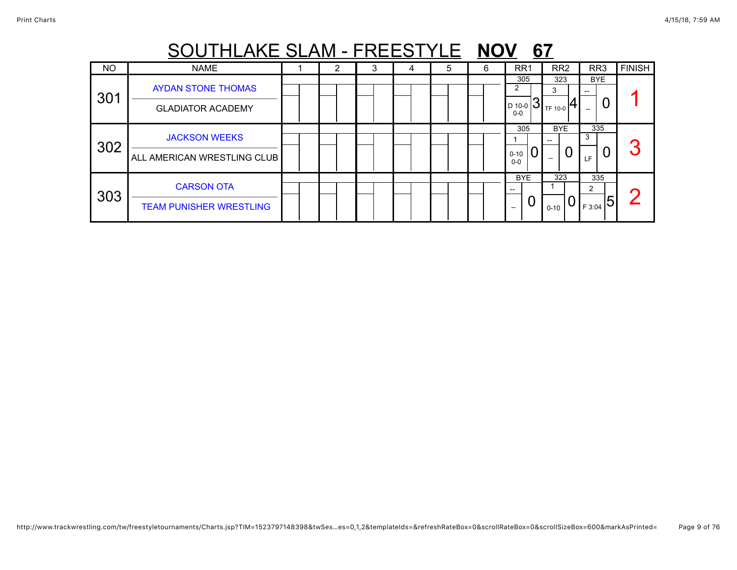# SOUTHLAKE SLAM - FREESTYLE NOV 67

| <b>NO</b> | <b>NAME</b>                                           | 2 | 3 | 4 | 5 | 6 | RR <sub>1</sub>                              | RR <sub>2</sub>     | RR <sub>3</sub>    | <b>FINISH</b> |
|-----------|-------------------------------------------------------|---|---|---|---|---|----------------------------------------------|---------------------|--------------------|---------------|
| 301       | <b>AYDAN STONE THOMAS</b><br><b>GLADIATOR ACADEMY</b> |   |   |   |   |   | 305<br>2<br>D 10-0 $\overline{O}$<br>$0 - 0$ | 323<br>3<br>TF 10-0 | <b>BYE</b><br>U    |               |
| 302       | <b>JACKSON WEEKS</b><br>ALL AMERICAN WRESTLING CLUB   |   |   |   |   |   | 305<br>$0 - 10$<br>$0-0$                     | <b>BYE</b><br>U     | 335<br>3<br>LF     | 2             |
| 303       | <b>CARSON OTA</b><br><b>TEAM PUNISHER WRESTLING</b>   |   |   |   |   |   | <b>BYE</b><br>O<br>$-$                       | 323<br>$0 - 10$     | 335<br>5<br>F 3:04 |               |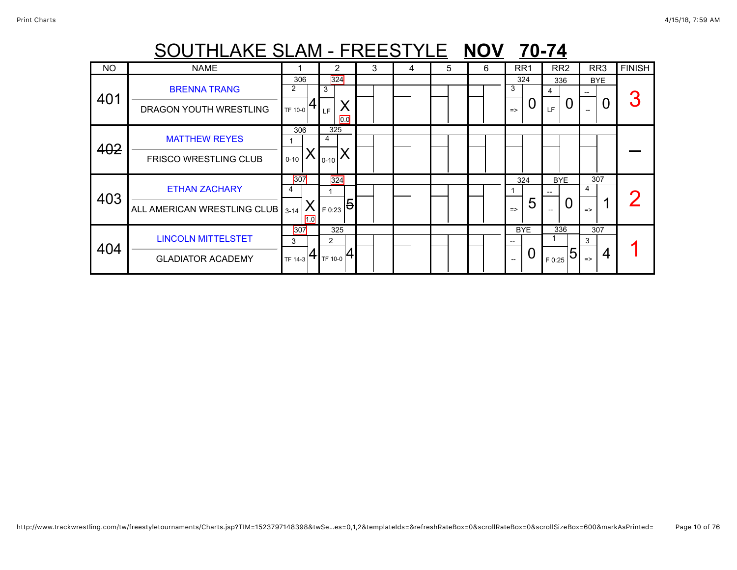# SOUTHLAKE SLAM - FREESTYLE **NOV 70-74**

| <b>NO</b> | <b>NAME</b>                                           |                                  | 2                                                                                                       | 3 | 4 | 5 | 6 | RR <sub>1</sub>                 | RR <sub>2</sub>                 | RR <sub>3</sub>                | <b>FINISH</b> |
|-----------|-------------------------------------------------------|----------------------------------|---------------------------------------------------------------------------------------------------------|---|---|---|---|---------------------------------|---------------------------------|--------------------------------|---------------|
| 401       | <b>BRENNA TRANG</b><br>DRAGON YOUTH WRESTLING         | 306<br>$\overline{2}$<br>TF 10-0 | 324<br>3<br>X<br>LF<br>0.0                                                                              |   |   |   |   | 324<br>3<br>U<br>$\Rightarrow$  | 336<br>4<br>U<br>LF             | <b>BYE</b><br>U                | 3             |
| 402       | <b>MATTHEW REYES</b><br><b>FRISCO WRESTLING CLUB</b>  | 306<br>$0 - 10$                  | 325<br>4<br>$0 - 10$                                                                                    |   |   |   |   |                                 |                                 |                                |               |
| 403       | <b>ETHAN ZACHARY</b><br>ALL AMERICAN WRESTLING CLUB   | 307<br>4<br>$3 - 14$<br>1.0      | 324<br>$\overline{5}$<br>F 0:23                                                                         |   |   |   |   | 324<br>5<br>$\Rightarrow$       | <b>BYE</b><br>0                 | 307<br>$\Rightarrow$           |               |
| 404       | <b>LINCOLN MITTELSTET</b><br><b>GLADIATOR ACADEMY</b> | 307<br>3                         | 325<br>$\overline{2}$<br>$\mathbf{1}_{TF\,14\text{-}3}$ $\mathbf{4}_{TF\,10\text{-}0}$ $\mathbf{4}_{1}$ |   |   |   |   | <b>BYE</b><br>$\bm{0}$<br>$- -$ | 336<br>$\overline{5}$<br>F 0:25 | 307<br>3<br>4<br>$\Rightarrow$ |               |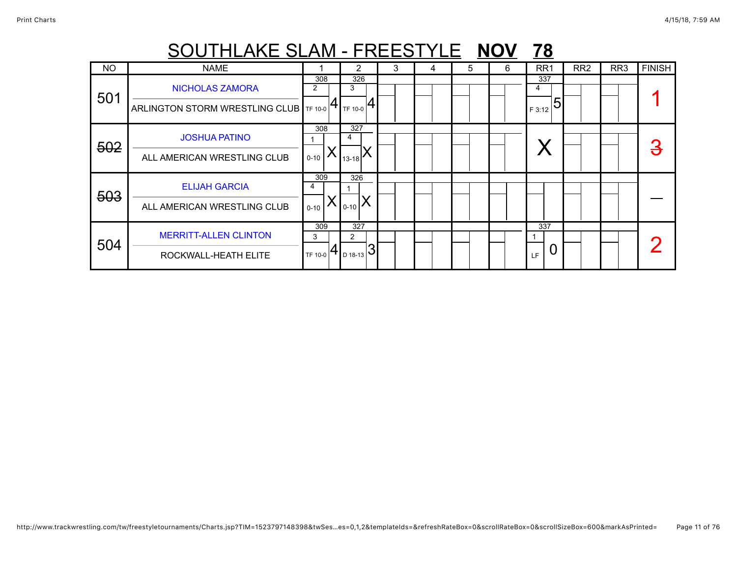### SOUTHLAKE SLAM - FREESTYLE **NOV 78**

| <b>NO</b> | <b>NAME</b>                                                        |                      | 2                                  | 3 | 4 | 5 | 6 | RR <sub>1</sub>                   | RR <sub>2</sub> | RR <sub>3</sub> | <b>FINISH</b> |
|-----------|--------------------------------------------------------------------|----------------------|------------------------------------|---|---|---|---|-----------------------------------|-----------------|-----------------|---------------|
| 501       | <b>NICHOLAS ZAMORA</b><br>ARLINGTON STORM WRESTLING CLUB   TF 10-0 | 308<br>2             | 326<br>3<br>J <sup>4</sup> TF 10-0 |   |   |   |   | 337<br>4<br>$\frac{1}{153:12}$ 51 |                 |                 |               |
| 502       | <b>JOSHUA PATINO</b><br>ALL AMERICAN WRESTLING CLUB                | 308<br>$0 - 10$      | 327<br>4<br>$13 - 18$              |   |   |   |   |                                   |                 |                 | 3             |
| 503       | <b>ELIJAH GARCIA</b><br>ALL AMERICAN WRESTLING CLUB                | 309<br>4<br>$0 - 10$ | 326<br>$0 - 10$                    |   |   |   |   |                                   |                 |                 |               |
| 504       | <b>MERRITT-ALLEN CLINTON</b><br>ROCKWALL-HEATH ELITE               | 309<br>3<br>TF 10-0  | 327<br>$\mathfrak{p}$              |   |   |   |   | 337<br>O<br>LF.                   |                 |                 |               |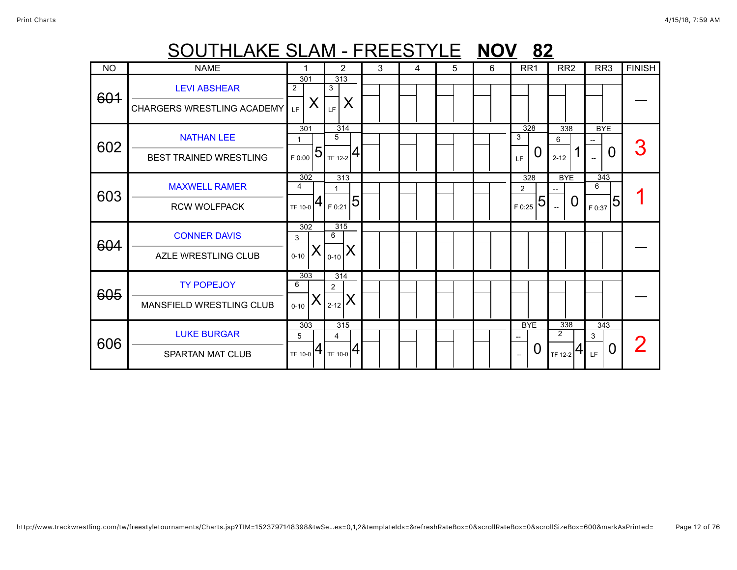### SOUTHLAKE SLAM - FREESTYLE **NOV 82**

| <b>NO</b> | <b>NAME</b>                                        |                                   | 2                                      | 3 | 4 | 5 | 6 | RR <sub>1</sub>                                    | RR <sub>2</sub>           | RR <sub>3</sub>                  | <b>FINISH</b> |
|-----------|----------------------------------------------------|-----------------------------------|----------------------------------------|---|---|---|---|----------------------------------------------------|---------------------------|----------------------------------|---------------|
| 601       | <b>LEVI ABSHEAR</b><br>CHARGERS WRESTLING ACADEMY  | 301<br>$\overline{2}$<br>X<br>LF. | $\overline{313}$<br>3<br>X<br>LF.      |   |   |   |   |                                                    |                           |                                  |               |
| 602       | <b>NATHAN LEE</b><br><b>BEST TRAINED WRESTLING</b> | 301<br>$_{F_{0:00}} 5 $           | 314<br>5<br>$T_F$ 12-2 $4$             |   |   |   |   | 328<br>3<br>O<br>LF                                | 338<br>6<br>$2 - 12$      | <b>BYE</b><br>$\overline{0}$     | 3             |
| 603       | <b>MAXWELL RAMER</b><br><b>RCW WOLFPACK</b>        | 302<br>4<br> 4<br>TF 10-0         | 313<br>$\overline{5}$<br>F 0:21        |   |   |   |   | 328<br>2<br>5<br>F 0:25                            | <b>BYE</b><br>O           | 343<br>6<br>5<br>F 0:37          |               |
| 604       | <b>CONNER DAVIS</b><br>AZLE WRESTLING CLUB         | 302<br>3<br>$0 - 10$              | 315<br>6<br>Χ<br>$0 - 10$              |   |   |   |   |                                                    |                           |                                  |               |
| 605       | <b>TY POPEJOY</b><br>MANSFIELD WRESTLING CLUB      | 303<br>6<br>Х<br>$0 - 10$         | 314<br>$\overline{2}$<br>$ I_{2-12} X$ |   |   |   |   |                                                    |                           |                                  |               |
| 606       | <b>LUKE BURGAR</b><br>SPARTAN MAT CLUB             | 303<br>5<br> 4<br>TF 10-0         | 315<br>4<br>$T_{TF\ 10-0}$ $\ket{4}$   |   |   |   |   | <b>BYE</b><br>$\bm{0}$<br>$\overline{\phantom{a}}$ | 338<br>2<br>41<br>TF 12-2 | 343<br>3<br>$\overline{0}$<br>LF |               |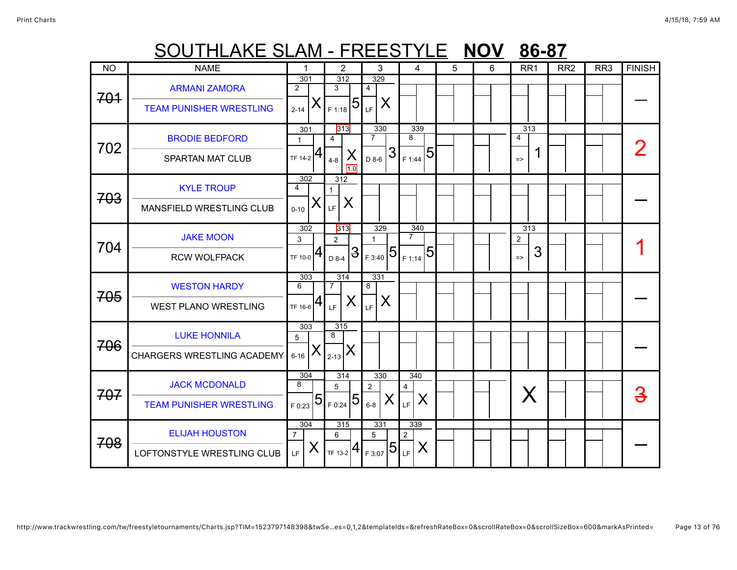# SOUTHLAKE SLAM - FREESTYLE **NOV 86-87**

| N <sub>O</sub> | <b>NAME</b>                                              | 1                                                   | $\overline{2}$                            | 3                                   | 4                                                      | 5 | 6 | RR <sub>1</sub>                             | RR <sub>2</sub> | RR <sub>3</sub> | <b>FINISH</b> |
|----------------|----------------------------------------------------------|-----------------------------------------------------|-------------------------------------------|-------------------------------------|--------------------------------------------------------|---|---|---------------------------------------------|-----------------|-----------------|---------------|
| 701            | <b>ARMANI ZAMORA</b><br><b>TEAM PUNISHER WRESTLING</b>   | 301<br>2<br>$2 - 14$                                | 312<br>3<br>5<br>F 1:18                   | 329<br>$\overline{4}$<br>X<br>LF    |                                                        |   |   |                                             |                 |                 |               |
| 702            | <b>BRODIE BEDFORD</b><br><b>SPARTAN MAT CLUB</b>         | 301<br>$\mathbf{1}$<br>Ħ<br>TF 14-2                 | 313<br>4<br>X<br>$4 - 8$<br>1.0           | 330<br>$\overline{7}$<br>3<br>D 8-6 | 339<br>8<br>5<br>F 1:44                                |   |   | 313<br>$\overline{4}$<br>1<br>$\Rightarrow$ |                 |                 |               |
| 703            | <b>KYLE TROUP</b><br>MANSFIELD WRESTLING CLUB            | $\overline{302}$<br>$\overline{4}$<br>X<br>$0 - 10$ | 312<br>X<br>LF.                           |                                     |                                                        |   |   |                                             |                 |                 |               |
| 704            | <b>JAKE MOON</b><br><b>RCW WOLFPACK</b>                  | 302<br>3<br>TF 10-0                                 | 313<br>$\overline{2}$<br>$\sum_{D.8-4}$ 3 | 329<br>1<br>$I_{F3:40}$ 5           | 340<br>$\overline{7}$<br>$\overline{5}$<br>F 1:14      |   |   | 313<br>$\overline{2}$<br>3<br>$\Rightarrow$ |                 |                 |               |
| 705            | <b>WESTON HARDY</b><br><b>WEST PLANO WRESTLING</b>       | 303<br>6<br>TF 16-6                                 | 314<br>7<br>X<br>LF                       | 331<br>8<br>X<br>LF                 |                                                        |   |   |                                             |                 |                 |               |
| 706            | <b>LUKE HONNILA</b><br><b>CHARGERS WRESTLING ACADEMY</b> | 303<br>5<br>Χ<br>$6 - 16$                           | 315<br>8<br>X<br>$2 - 13$                 |                                     |                                                        |   |   |                                             |                 |                 |               |
| 707            | <b>JACK MCDONALD</b><br><b>TEAM PUNISHER WRESTLING</b>   | 304<br>8<br>5<br>F 0:23                             | 314<br>5<br>$\binom{1}{F}$ 0:24 51        | 330<br>2<br>X<br>$6 - 8$            | 340<br>$\overline{4}$<br>X<br>$\overline{\mathsf{LF}}$ |   |   | X                                           |                 |                 |               |
| 708            | <b>ELIJAH HOUSTON</b><br>LOFTONSTYLE WRESTLING CLUB      | 304<br>$\overline{7}$<br>X<br>IF                    | 315<br>6<br>TF 13-2 <sup>4</sup>          | 331<br>5<br>$I_{F3:07}$ 5           | 339<br>$\overline{2}$<br>X<br>LF                       |   |   |                                             |                 |                 |               |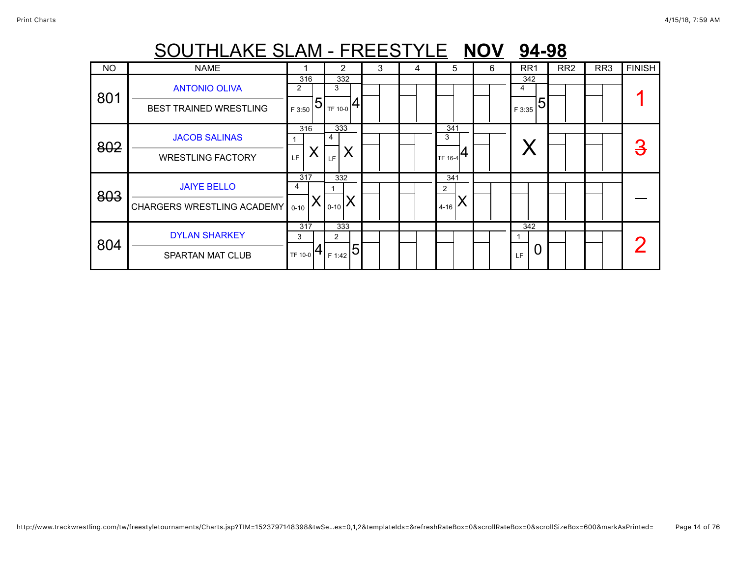# SOUTHLAKE SLAM - FREESTYLE **NOV 94-98**

| <b>NO</b> | <b>NAME</b>                                             |                                      | 2                                              | 3 | 4 | 5.                               | 6 | RR <sub>1</sub>                | RR <sub>2</sub> | RR <sub>3</sub> | <b>FINISH</b>           |
|-----------|---------------------------------------------------------|--------------------------------------|------------------------------------------------|---|---|----------------------------------|---|--------------------------------|-----------------|-----------------|-------------------------|
| 801       | <b>ANTONIO OLIVA</b><br>BEST TRAINED WRESTLING          | 316<br>2<br>5 <sub>l</sub><br>F 3:50 | 332<br>3<br>14<br>TF 10-0                      |   |   |                                  |   | 342<br>4<br><b>5</b><br>F 3:35 |                 |                 |                         |
| 802       | <b>JACOB SALINAS</b><br><b>WRESTLING FACTORY</b>        | 316<br>у<br>LF                       | 333<br>4<br>X<br>LF.                           |   |   | 341<br>3<br>14<br><b>TF 16-4</b> |   |                                |                 |                 | $\overline{\mathbf{3}}$ |
| 803       | <b>JAIYE BELLO</b><br>CHARGERS WRESTLING ACADEMY   0-10 | 317<br>4                             | 332<br>$0 - 10$                                |   |   | 341<br>2<br>$4 - 16$             |   |                                |                 |                 |                         |
| 804       | <b>DYLAN SHARKEY</b><br><b>SPARTAN MAT CLUB</b>         | 317<br>3<br>TF 10-0                  | 333<br>$\overline{2}$<br>$\cdot$ (F 1:42 $ 5 $ |   |   |                                  |   | 342<br>C<br>LF                 |                 |                 |                         |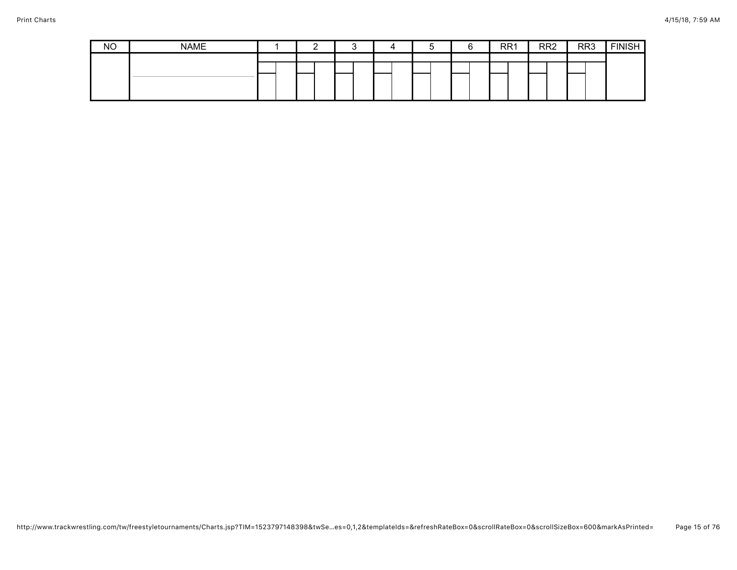| <b>NO</b> | <b>NAME</b> |  |  |  |  |  | ∽ | RR <sub>1</sub> | RR <sub>2</sub> | RR <sub>3</sub> | <b>FINISH</b> |
|-----------|-------------|--|--|--|--|--|---|-----------------|-----------------|-----------------|---------------|
|           |             |  |  |  |  |  |   |                 |                 |                 |               |
|           |             |  |  |  |  |  |   |                 |                 |                 |               |
|           |             |  |  |  |  |  |   |                 |                 |                 |               |
|           |             |  |  |  |  |  |   |                 |                 |                 |               |
|           |             |  |  |  |  |  |   |                 |                 |                 |               |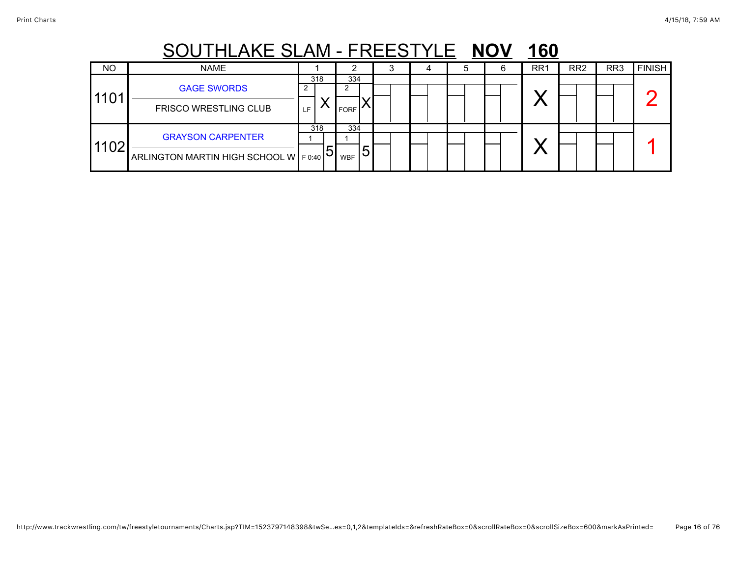### SOUTHLAKE SLAM - FREESTYLE NOV 160

| <b>NO</b> | <b>NAME</b>                                                          |     |            |  |  |  | RR <sub>1</sub> | RR <sub>2</sub> | RR <sub>3</sub> | <b>FINISH</b> |
|-----------|----------------------------------------------------------------------|-----|------------|--|--|--|-----------------|-----------------|-----------------|---------------|
|           | <b>GAGE SWORDS</b>                                                   | 318 | 334        |  |  |  |                 |                 |                 |               |
| 1101      | <b>FRISCO WRESTLING CLUB</b>                                         | LF  | FORF       |  |  |  |                 |                 |                 |               |
|           |                                                                      |     |            |  |  |  |                 |                 |                 |               |
|           | <b>GRAYSON CARPENTER</b>                                             | 318 | 334        |  |  |  |                 |                 |                 |               |
| 1102      |                                                                      |     |            |  |  |  |                 |                 |                 |               |
|           | <b>ARLINGTON MARTIN HIGH SCHOOL W</b> $\mathbf{F}$ 0:40 $\mathbf{5}$ |     | <b>WBF</b> |  |  |  |                 |                 |                 |               |
|           |                                                                      |     |            |  |  |  |                 |                 |                 |               |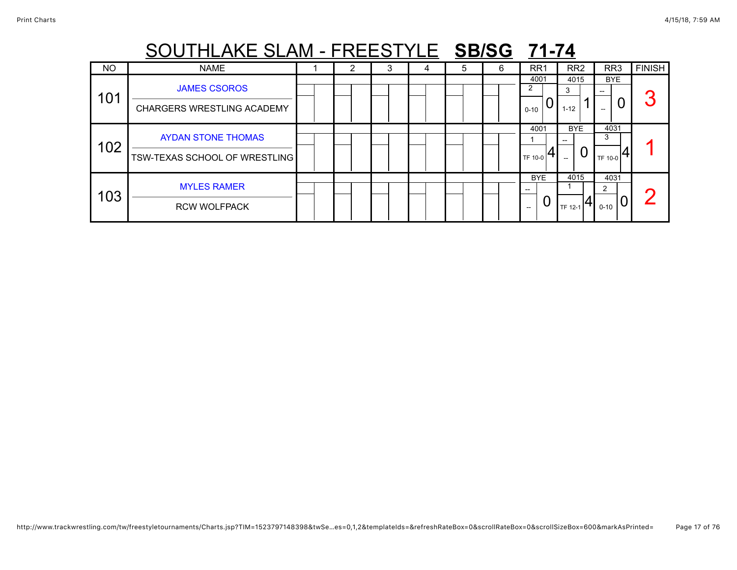| <b>NO</b> | <b>NAME</b>                          |  | 3 | 5 | b | RR <sub>1</sub> | RR <sub>2</sub>          | RR <sub>3</sub>          | <b>FINISH</b> |
|-----------|--------------------------------------|--|---|---|---|-----------------|--------------------------|--------------------------|---------------|
| 101       | <b>JAMES CSOROS</b>                  |  |   |   |   | 4001            | 4015<br>3                | <b>BYE</b>               | n             |
|           | <b>CHARGERS WRESTLING ACADEMY</b>    |  |   |   |   | $0 - 10$        | $1 - 12$                 | $\overline{\phantom{a}}$ |               |
|           | <b>AYDAN STONE THOMAS</b>            |  |   |   |   | 4001            | <b>BYE</b>               | 4031<br>3                |               |
| 102       |                                      |  |   |   |   |                 |                          |                          |               |
|           | <b>TSW-TEXAS SCHOOL OF WRESTLING</b> |  |   |   |   | TF 10-0         | $\overline{\phantom{a}}$ | <b>TF 10-0</b>           |               |
|           |                                      |  |   |   |   | <b>BYE</b>      | 4015                     | 4031                     |               |
| 103       | <b>MYLES RAMER</b>                   |  |   |   |   |                 |                          |                          |               |
|           | <b>RCW WOLFPACK</b>                  |  |   |   |   | U<br>--         | TF 12-1                  | U<br>$0 - 10$            |               |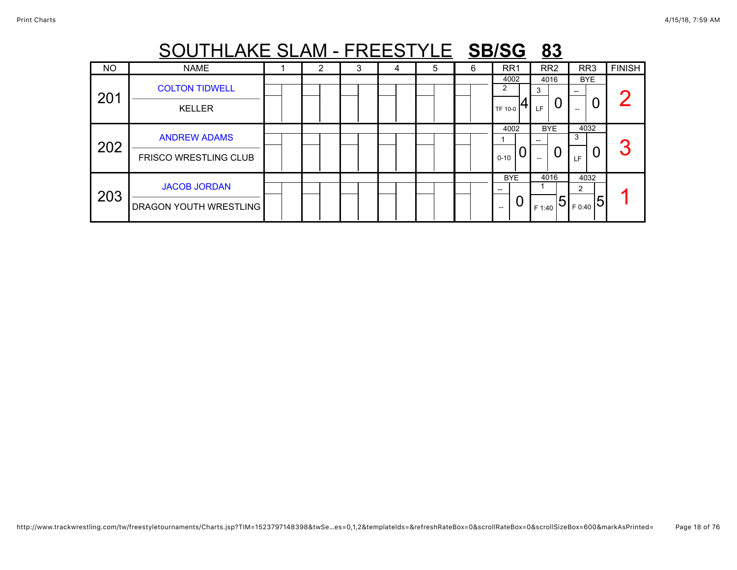| <b>NO</b> | <b>NAME</b>                                          | ົ | 3 | 4 | 5 | 6 | RR <sub>1</sub>           | RR <sub>2</sub>                  | RR <sub>3</sub>                                    | <b>FINISH</b> |
|-----------|------------------------------------------------------|---|---|---|---|---|---------------------------|----------------------------------|----------------------------------------------------|---------------|
| 201       | <b>COLTON TIDWELL</b><br><b>KELLER</b>               |   |   |   |   |   | 4002<br>TF 10-0           | 4016<br>3<br><b>LF</b>           | <b>BYE</b><br>$-$<br>U<br>$\overline{\phantom{a}}$ |               |
| 202       | <b>ANDREW ADAMS</b><br><b>FRISCO WRESTLING CLUB</b>  |   |   |   |   |   | 4002<br>U<br>$0 - 10$     | <b>BYE</b><br>$-$<br>U<br>$\sim$ | 4032<br>3<br>U<br>LF.                              | n<br>æ        |
| 203       | <b>JACOB JORDAN</b><br><b>DRAGON YOUTH WRESTLING</b> |   |   |   |   |   | <b>BYE</b><br>$- -$<br>-- | 4016<br>15<br>F 1:40             | 4032<br>2<br>15<br>F 0:40                          |               |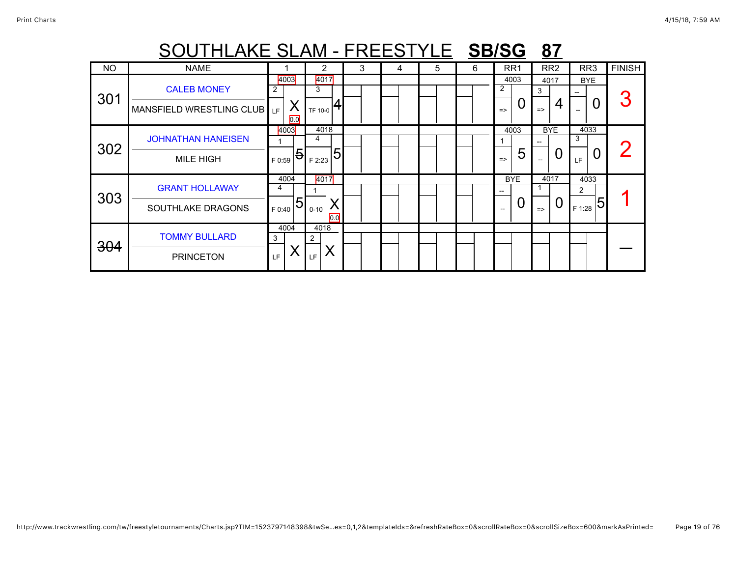| <b>NO</b> | <b>NAME</b>                                       |                          | 2                         | 3 | 4 | 5 | 6 | RR <sub>1</sub>                                      | RR <sub>2</sub>                             | RR <sub>3</sub>                             | <b>FINISH</b> |
|-----------|---------------------------------------------------|--------------------------|---------------------------|---|---|---|---|------------------------------------------------------|---------------------------------------------|---------------------------------------------|---------------|
| 301       | <b>CALEB MONEY</b><br>MANSFIELD WRESTLING CLUB LF | 4003<br>2<br>X<br>0.0    | 4017<br>3<br>4<br>TF 10-0 |   |   |   |   | 4003<br>$\overline{2}$<br>U<br>$\Rightarrow$         | 4017<br>3<br>4<br>$\Rightarrow$             | <b>BYE</b><br>0<br>$\overline{\phantom{a}}$ | 3             |
| 302       | <b>JOHNATHAN HANEISEN</b><br><b>MILE HIGH</b>     | 4003<br>5<br>F 0:59      | 4018<br>4<br>5<br>F 2:23  |   |   |   |   | 4003<br>5<br>$\Rightarrow$                           | <b>BYE</b><br>U<br>$\overline{\phantom{a}}$ | 4033<br>3<br>LF                             | 2             |
| 303       | <b>GRANT HOLLAWAY</b><br>SOUTHLAKE DRAGONS        | 4004<br>4<br>5<br>F 0:40 | 4017<br>$0 - 10$<br>0.0   |   |   |   |   | <b>BYE</b><br>$- -$<br>U<br>$\overline{\phantom{a}}$ | 4017<br>U<br>$\Rightarrow$                  | 4033<br>$\overline{2}$<br>5<br>F 1:28       |               |
| 304       | <b>TOMMY BULLARD</b><br><b>PRINCETON</b>          | 4004<br>3<br>LF          | 4018<br>2<br>Χ<br>LF.     |   |   |   |   |                                                      |                                             |                                             |               |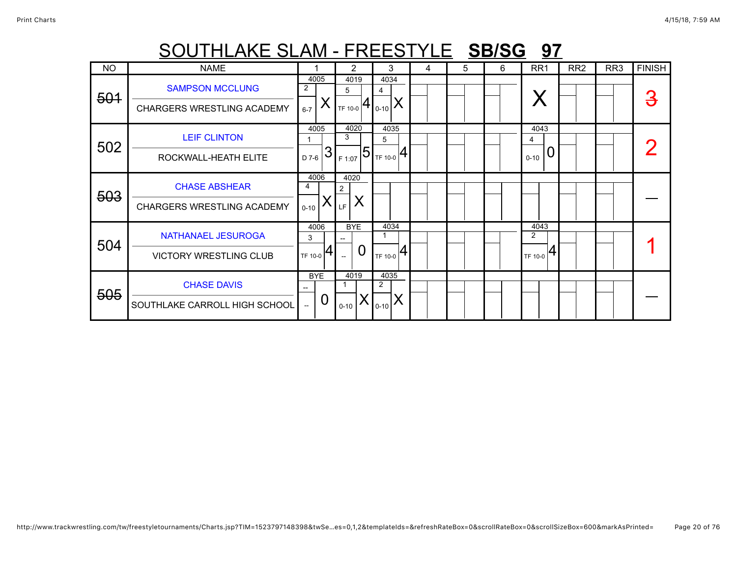| <b>NO</b> | <b>NAME</b>                                                 |                                        | 2                                                        | 3                                      | 4 | 5 | 6 | RR <sub>1</sub>            | RR <sub>2</sub> | RR <sub>3</sub> | <b>FINISH</b> |
|-----------|-------------------------------------------------------------|----------------------------------------|----------------------------------------------------------|----------------------------------------|---|---|---|----------------------------|-----------------|-----------------|---------------|
| 501       | <b>SAMPSON MCCLUNG</b><br><b>CHARGERS WRESTLING ACADEMY</b> | 4005<br>2<br>X<br>$6 - 7$              | 4019<br>5<br>TF 10-0 $\mathbf{4}_{0-10}$                 | 4034<br>4                              |   |   |   | $\bm{\mathsf{X}}$          |                 |                 | 3             |
| 502       | <b>LEIF CLINTON</b><br>ROCKWALL-HEATH ELITE                 | 4005<br>3<br>D 7-6                     | 4020<br>3<br>$T_{F1:07}$ 51.                             | 4035<br>5<br>$\mathsf{I}4'$<br>TF 10-0 |   |   |   | 4043<br>4<br>0<br>$0 - 10$ |                 |                 |               |
| 503       | <b>CHASE ABSHEAR</b><br>CHARGERS WRESTLING ACADEMY          | 4006<br>4<br>$0 - 10$                  | 4020<br>$\overline{2}$<br>Χ<br>LF.                       |                                        |   |   |   |                            |                 |                 |               |
| 504       | NATHANAEL JESUROGA<br><b>VICTORY WRESTLING CLUB</b>         | 4006<br>3<br>$\overline{4}$<br>TF 10-0 | <b>BYE</b><br>$\overline{0}$<br>$\overline{\phantom{a}}$ | 4034<br>14<br>TF 10-0                  |   |   |   | 4043<br>2<br>14<br>TF 10-0 |                 |                 |               |
| 505       | <b>CHASE DAVIS</b><br>SOUTHLAKE CARROLL HIGH SCHOOL         | <b>BYE</b><br>0<br>$-$                 | 4019<br>$0 - 10$                                         | 4035<br>$\overline{2}$<br>$0 - 10$     |   |   |   |                            |                 |                 |               |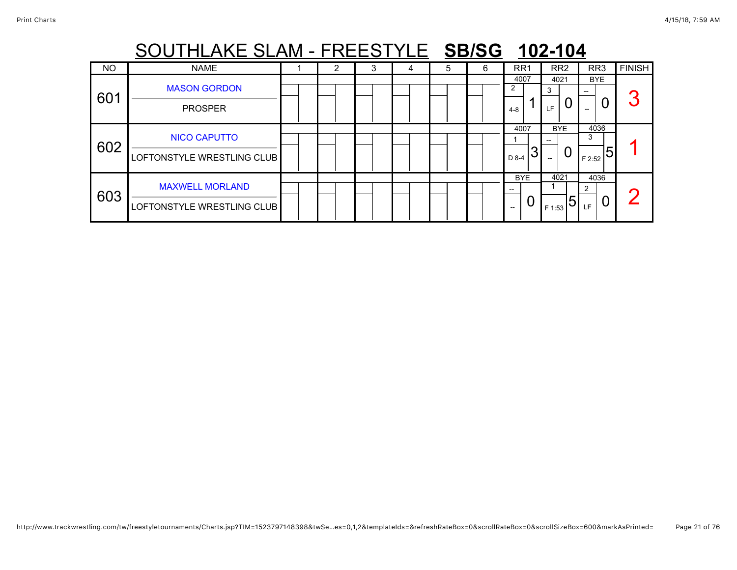|           | SOUTHLAKE SLAM - FREESTYLE SB/SG                     |  |   |   |   |   |                                             | <u> 102-104</u>      |                          |               |
|-----------|------------------------------------------------------|--|---|---|---|---|---------------------------------------------|----------------------|--------------------------|---------------|
| <b>NO</b> | <b>NAME</b>                                          |  | 3 | 4 | 5 | 6 | RR <sub>1</sub>                             | RR <sub>2</sub>      | RR <sub>3</sub>          | <b>FINISH</b> |
| 601       | <b>MASON GORDON</b><br><b>PROSPER</b>                |  |   |   |   |   | 4007<br>2<br>$4 - 8$                        | 4021<br>3<br>U<br>LF | <b>BYE</b>               | C             |
| 602       | <b>NICO CAPUTTO</b><br>LOFTONSTYLE WRESTLING CLUB    |  |   |   |   |   | 4007<br>D 8-4                               | <b>BYE</b><br>U      | 4036<br>3<br>5<br>F 2:52 |               |
| 603       | <b>MAXWELL MORLAND</b><br>LOFTONSTYLE WRESTLING CLUB |  |   |   |   |   | <b>BYE</b><br>O<br>$\overline{\phantom{m}}$ | 4021<br>5<br>F 1:53  | 4036<br>C<br>LF.         | ┍             |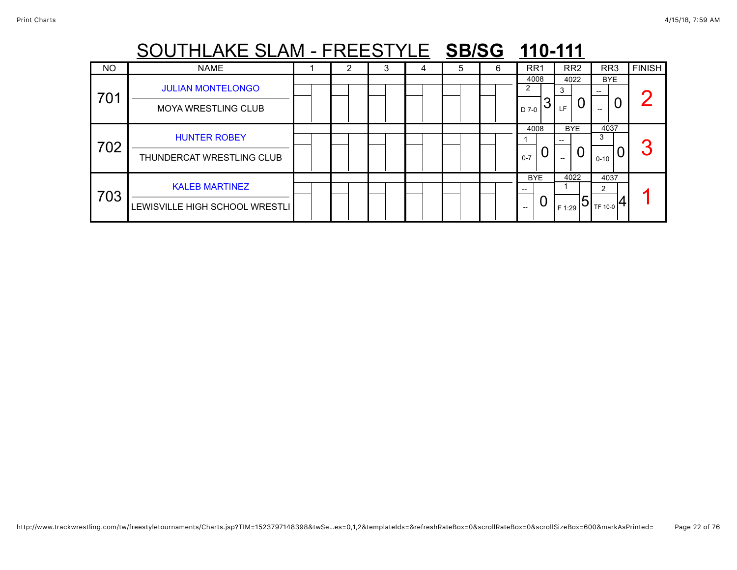| <b>NO</b> | <b>NAME</b>                                            | ົ<br>∠ | 3 | 5 | 6 | RR <sub>1</sub>                      | RR <sub>2</sub>                  | RR <sub>3</sub>          | <b>FINISH</b> |
|-----------|--------------------------------------------------------|--------|---|---|---|--------------------------------------|----------------------------------|--------------------------|---------------|
| 701       | <b>JULIAN MONTELONGO</b><br><b>MOYA WRESTLING CLUB</b> |        |   |   |   | 4008<br>$\mathcal{P}$<br>J.<br>D 7-0 | 4022<br>3<br>U<br>LF             | <b>BYE</b><br>U<br>$- -$ |               |
| 702       | <b>HUNTER ROBEY</b><br>THUNDERCAT WRESTLING CLUB       |        |   |   |   | 4008<br>$0 - 7$                      | <b>BYE</b><br>U                  | 4037<br>$0 - 10$         | ◠             |
| 703       | <b>KALEB MARTINEZ</b><br>EWISVILLE HIGH SCHOOL WRESTLI |        |   |   |   | <b>BYE</b><br>$- -$                  | 4022<br>$\overline{5}$<br>F 1:29 | 4037<br>r +<br>TF 10-0   |               |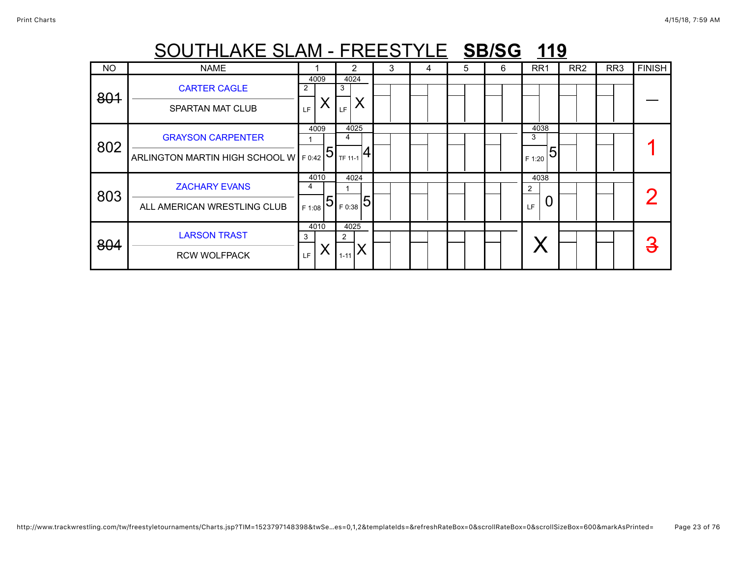| <b>NO</b> | <b>NAME</b>                                                         |             |                        |                                    |                | 3 | 4 | 5 | 6 | RR <sub>1</sub>              | RR <sub>2</sub> | RR <sub>3</sub> | <b>FINISH</b>              |
|-----------|---------------------------------------------------------------------|-------------|------------------------|------------------------------------|----------------|---|---|---|---|------------------------------|-----------------|-----------------|----------------------------|
| 801       | <b>CARTER CAGLE</b><br><b>SPARTAN MAT CLUB</b>                      | 2<br>LF     | 4009                   | 4024<br>3<br>LF                    | X              |   |   |   |   |                              |                 |                 |                            |
| 802       | <b>GRAYSON CARPENTER</b><br>ARLINGTON MARTIN HIGH SCHOOL W   F 0:42 |             | 4009<br>$\overline{5}$ | 4025<br>4<br>TF 11-1               |                |   |   |   |   | 4038<br>3<br>C<br>F 1:20     |                 |                 |                            |
| 803       | <b>ZACHARY EVANS</b><br>ALL AMERICAN WRESTLING CLUB                 | 4<br>F 1:08 | 4010<br> 5             | 4024<br>F 0:38                     | $\overline{5}$ |   |   |   |   | 4038<br>$\overline{2}$<br>LF |                 |                 |                            |
| 804       | <b>LARSON TRAST</b><br><b>RCW WOLFPACK</b>                          | 3<br>LF     | 4010                   | 4025<br>$\overline{2}$<br>$1 - 11$ |                |   |   |   |   |                              |                 |                 | $\boldsymbol{\Omega}$<br>a |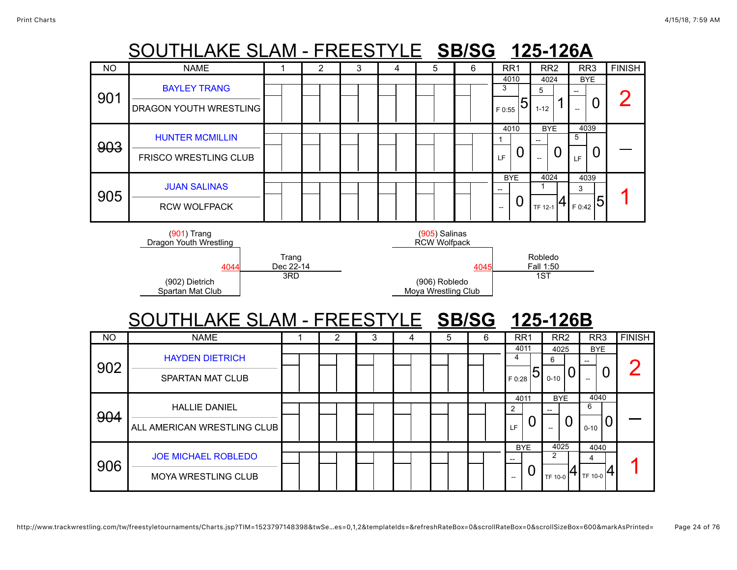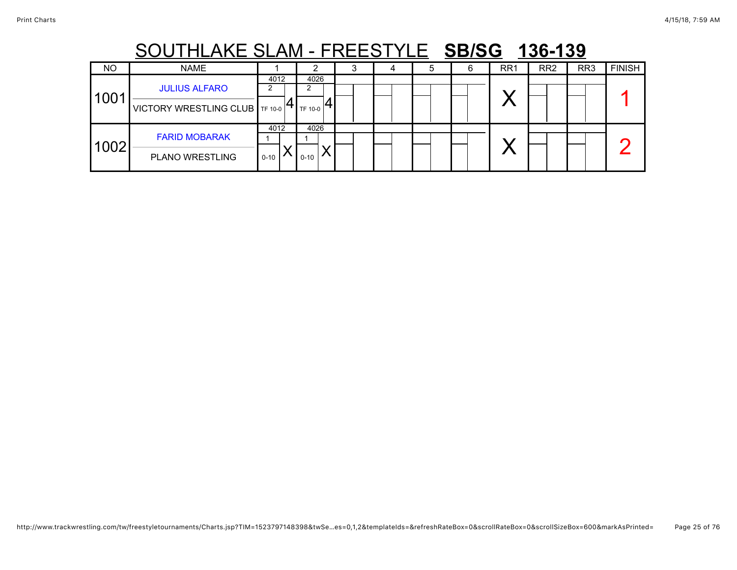|           | THLAKE SLAM - FREESTYLE SB/SG 136-139                 |                  |                  |  |   |                 |                 |                 |               |
|-----------|-------------------------------------------------------|------------------|------------------|--|---|-----------------|-----------------|-----------------|---------------|
| <b>NO</b> | <b>NAME</b>                                           |                  |                  |  | 6 | RR <sub>1</sub> | RR <sub>2</sub> | RR <sub>3</sub> | <b>FINISH</b> |
| 1001      | <b>JULIUS ALFARO</b><br><b>VICTORY WRESTLING CLUB</b> | 4012<br>TF 10-0  | 4026<br>TF 10-0  |  |   |                 |                 |                 |               |
| 1002      | <b>FARID MOBARAK</b><br><b>PLANO WRESTLING</b>        | 4012<br>$0 - 10$ | 4026<br>$0 - 10$ |  |   |                 |                 |                 |               |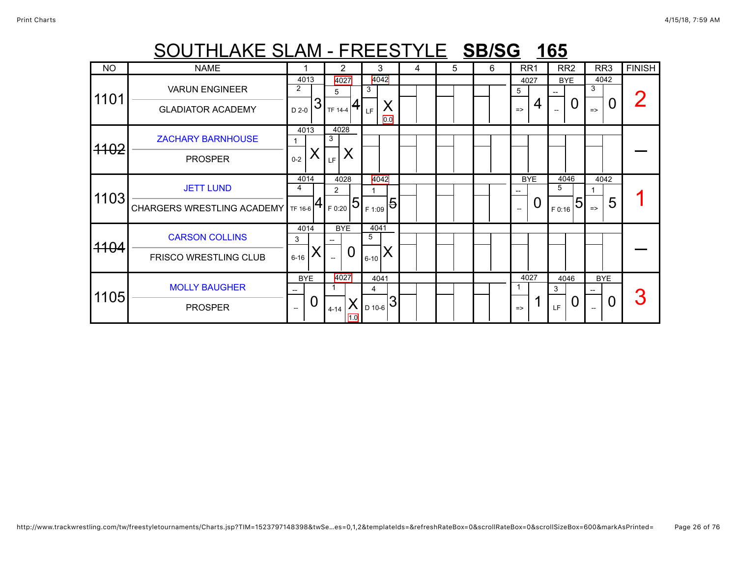| <b>NO</b> | <b>NAME</b>                                           |                                      | 2                                          | 3                                                   | 4 | 5 | 6 | RR1                             | RR <sub>2</sub>          | RR <sub>3</sub>                 | <b>FINISH</b> |
|-----------|-------------------------------------------------------|--------------------------------------|--------------------------------------------|-----------------------------------------------------|---|---|---|---------------------------------|--------------------------|---------------------------------|---------------|
| 1101      | <b>VARUN ENGINEER</b><br><b>GLADIATOR ACADEMY</b>     | 4013<br>$\overline{2}$<br>3<br>D 2-0 | 4027<br>5<br>$\ddot{}$<br>TF 14-4          | 4042<br>3<br>X<br>LF<br>0.0                         |   |   |   | 4027<br>5<br>4<br>$\Rightarrow$ | <b>BYE</b><br>U          | 4042<br>3<br>0<br>$\Rightarrow$ | 2             |
| 1402      | <b>ZACHARY BARNHOUSE</b><br><b>PROSPER</b>            | 4013<br>$0 - 2$                      | 4028<br>3<br>X<br>LF                       |                                                     |   |   |   |                                 |                          |                                 |               |
| 1103      | <b>JETT LUND</b><br><b>CHARGERS WRESTLING ACADEMY</b> | 4014<br>4<br>┭<br>TF 16-6            | 4028<br>$\overline{2}$<br>$T_{F0:20}$ 51 - | 4042<br>$\frac{1}{1}$ $\frac{1}{109}$ $\frac{1}{9}$ |   |   |   | <b>BYE</b><br>$\bf{0}$<br>--    | 4046<br>5<br>5<br>F 0:16 | 4042<br>5<br>$\Rightarrow$      |               |
| 4104      | <b>CARSON COLLINS</b><br><b>FRISCO WRESTLING CLUB</b> | 4014<br>3<br>$6 - 16$                | <b>BYE</b><br>0<br>$\sim$                  | 4041<br>5<br>$6 - 10$                               |   |   |   |                                 |                          |                                 |               |
| 1105      | <b>MOLLY BAUGHER</b><br><b>PROSPER</b>                | <b>BYE</b><br>0<br>$\sim$            | 4027<br>$4 - 14$<br>1.0                    | 4041<br>4<br>$\sum_{p D}$ 10-6 31                   |   |   |   | 4027<br>1<br>$\Rightarrow$      | 4046<br>3<br>0<br>LF.    | <b>BYE</b><br>$\overline{0}$    | З             |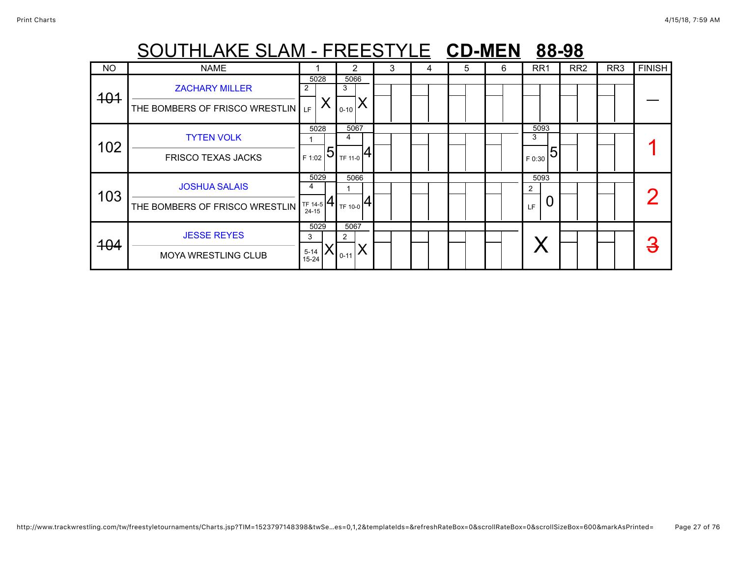# SOUTHLAKE SLAM - FREESTYLE **CD-MEN 88-98**

| <b>NO</b> | <b>NAME</b>                                                |                                         |   | 2                                                                           | 3 | 4 | 5. | 6 | RR1                                 | RR <sub>2</sub> | RR <sub>3</sub> | <b>FINISH</b> |
|-----------|------------------------------------------------------------|-----------------------------------------|---|-----------------------------------------------------------------------------|---|---|----|---|-------------------------------------|-----------------|-----------------|---------------|
| 401       | <b>ZACHARY MILLER</b><br>THE BOMBERS OF FRISCO WRESTLIN LF | 5028<br>$\overline{2}$                  | X | 5066<br>3<br>$0 - 10$                                                       |   |   |    |   |                                     |                 |                 |               |
| 102       | <b>TYTEN VOLK</b><br><b>FRISCO TEXAS JACKS</b>             | 5028<br>F 1:02                          | 5 | 5067<br>4<br>TF 11-0                                                        |   |   |    |   | 5093<br>3<br>F 0:30                 |                 |                 |               |
| 103       | <b>JOSHUA SALAIS</b><br>THE BOMBERS OF FRISCO WRESTLIN     | 5029<br>4<br>TF 14-5 $ 4 $<br>$24 - 15$ |   | 5066<br>$\mathbf{F}_{\mathsf{TF}\,10\text{-}0} \mathbf{4}\mathbf{1}\rangle$ |   |   |    |   | 5093<br>$\overline{2}$<br>ر ،<br>LF |                 |                 |               |
| 404       | <b>JESSE REYES</b><br><b>MOYA WRESTLING CLUB</b>           | 5029<br>3<br>$5 - 14$<br>$15 - 24$      |   | 5067<br>$\mathcal{P}$<br>$0 - 11$                                           |   |   |    |   |                                     |                 |                 | <u>3</u>      |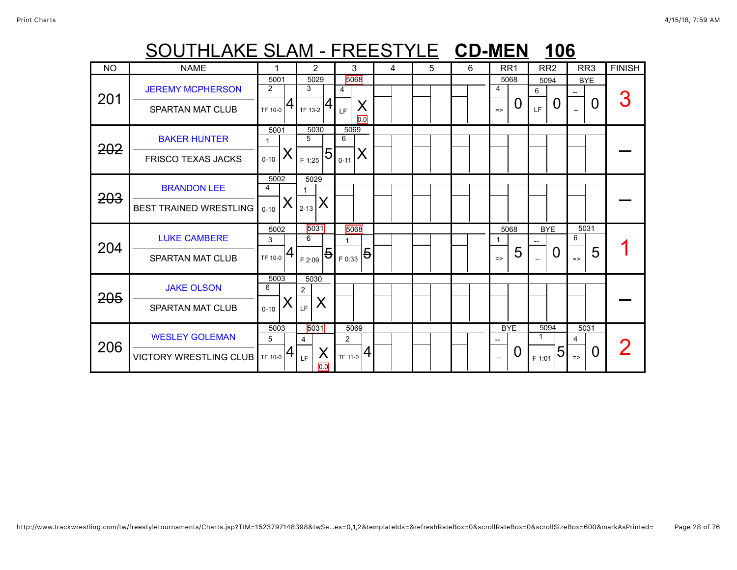# SOUTHLAKE SLAM - FREESTYLE CD-MEN 106

| <b>NO</b> | <b>NAME</b>                                            | 1                                 | 2                                     | 3                                      | 4 | 5 | 6 | RR <sub>1</sub>                 | RR <sub>2</sub>                                          | RR <sub>3</sub>                             | <b>FINISH</b> |
|-----------|--------------------------------------------------------|-----------------------------------|---------------------------------------|----------------------------------------|---|---|---|---------------------------------|----------------------------------------------------------|---------------------------------------------|---------------|
| 201       | <b>JEREMY MCPHERSON</b><br><b>SPARTAN MAT CLUB</b>     | 5001<br>$\overline{2}$<br>TF 10-0 | 5029<br>3<br>4<br>TF 13-2             | 5068<br>4<br>Χ<br>LF<br>0.0            |   |   |   | 5068<br>4<br>0<br>$\Rightarrow$ | 5094<br>6<br>$\Omega$<br>LF                              | <b>BYE</b><br>0<br>$\overline{\phantom{a}}$ |               |
| 202       | <b>BAKER HUNTER</b><br><b>FRISCO TEXAS JACKS</b>       | 5001<br>Χ<br>$0 - 10$             | 5030<br>5<br>5<br>F 1:25              | 5069<br>6<br>X<br>$0 - 11$             |   |   |   |                                 |                                                          |                                             |               |
| 203       | <b>BRANDON LEE</b><br>BEST TRAINED WRESTLING           | 5002<br>4<br>Χ<br>$0 - 10$        | 5029<br>Χ<br>$2 - 13$                 |                                        |   |   |   |                                 |                                                          |                                             |               |
| 204       | <b>LUKE CAMBERE</b><br><b>SPARTAN MAT CLUB</b>         | 5002<br>3<br>l4<br>TF 10-0        | 5031<br>6<br>$\overline{5}$<br>F 2:09 | 5068<br>1<br>$\overline{5}$<br>F 0:33  |   |   |   | 5068<br>5<br>$\Rightarrow$      | <b>BYE</b><br>--<br>$\Omega$<br>$\overline{\phantom{a}}$ | 5031<br>6<br>5<br>$\Rightarrow$             |               |
| 205       | <b>JAKE OLSON</b><br><b>SPARTAN MAT CLUB</b>           | 5003<br>6<br>Χ<br>$0 - 10$        | 5030<br>$\overline{2}$<br>X<br>LF     |                                        |   |   |   |                                 |                                                          |                                             |               |
| 206       | <b>WESLEY GOLEMAN</b><br><b>VICTORY WRESTLING CLUB</b> | 5003<br>5<br>TF 10-0              | 5031<br>4<br>∧<br>LF<br>0.0           | 5069<br>$\overline{2}$<br>4<br>TF 11-0 |   |   |   | <b>BYE</b><br>Ő                 | 5094<br>1<br>5<br>F 1:01                                 | 5031<br>4<br>0<br>$\Rightarrow$             |               |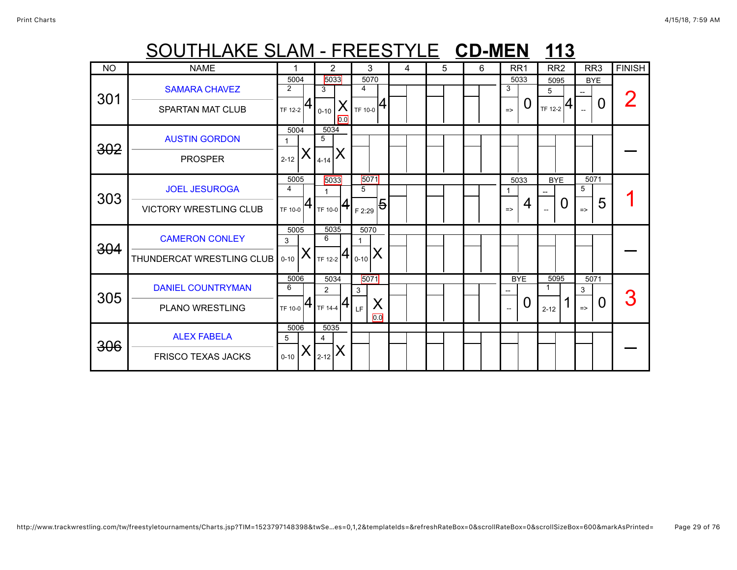# SOUTHLAKE SLAM - FREESTYLE CD-MEN 113

| <b>NO</b> | <b>NAME</b>                                           |                                  | 2                                                                   | 3                                     | 4 | 5 | 6 | RR <sub>1</sub>                              | RR <sub>2</sub>                 | RR <sub>3</sub>                 | <b>FINISH</b> |
|-----------|-------------------------------------------------------|----------------------------------|---------------------------------------------------------------------|---------------------------------------|---|---|---|----------------------------------------------|---------------------------------|---------------------------------|---------------|
| 301       | <b>SAMARA CHAVEZ</b><br><b>SPARTAN MAT CLUB</b>       | 5004<br>2<br>TF 12-2             | 5033<br>3<br>Х<br>$0 - 10$<br>0.0                                   | 5070<br>4<br>4<br><b>TF 10-0</b>      |   |   |   | 5033<br>3<br>$\overline{0}$<br>$\Rightarrow$ | 5095<br>5<br>$T_{TF\ 12-2}$ $4$ | <b>BYE</b><br>0                 |               |
| 302       | <b>AUSTIN GORDON</b><br><b>PROSPER</b>                | 5004<br>$2 - 12$                 | 5034<br>5<br>Х<br>$4 - 14$                                          |                                       |   |   |   |                                              |                                 |                                 |               |
| 303       | <b>JOEL JESUROGA</b><br><b>VICTORY WRESTLING CLUB</b> | 5005<br>4<br>TF 10-0             | 5033<br>H<br>TF 10-0                                                | 5071<br>5<br>$\overline{5}$<br>F 2:29 |   |   |   | 5033<br>4<br>$\Rightarrow$                   | <b>BYE</b><br>0                 | 5071<br>5<br>5<br>$\Rightarrow$ |               |
| 304       | <b>CAMERON CONLEY</b><br>THUNDERCAT WRESTLING CLUB    | 5005<br>3<br>$0 - 10$            | 5035<br>6<br>TF 12-2 $\mathbf{4}$ 0-10                              | 5070<br>IX                            |   |   |   |                                              |                                 |                                 |               |
| 305       | <b>DANIEL COUNTRYMAN</b><br><b>PLANO WRESTLING</b>    | 5006<br>6<br>4<br><b>TF 10-0</b> | 5034<br>2<br>$\mathbf{F}_{\mathsf{TF}\,14\text{-}4}   \mathbf{4}  $ | 5071<br>3<br>X<br>LF.<br>0.0          |   |   |   | <b>BYE</b><br>$\overline{0}$                 | 5095<br>$2 - 12$                | 5071<br>3<br>0<br>$\Rightarrow$ |               |
| 306       | <b>ALEX FABELA</b><br><b>FRISCO TEXAS JACKS</b>       | 5006<br>5<br>$0 - 10$            | 5035<br>4<br>IХ<br>$2 - 12$                                         |                                       |   |   |   |                                              |                                 |                                 |               |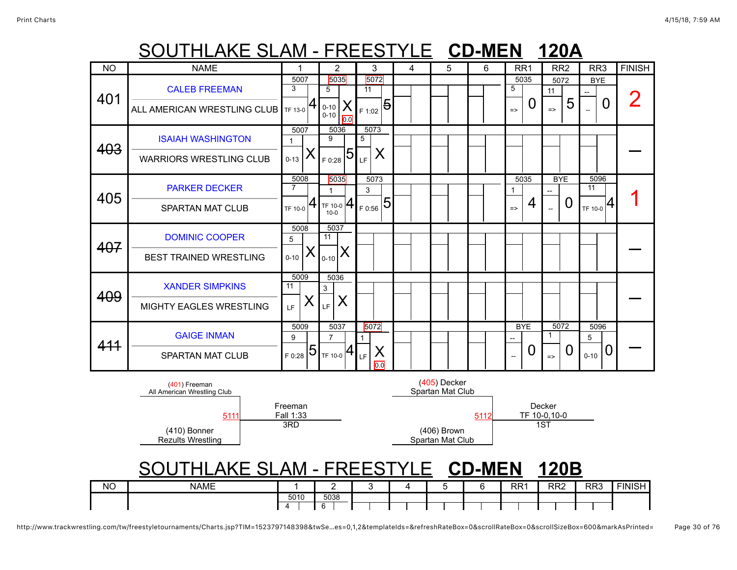# SOUTHLAKE SLAM - FREESTYLE **CD-MEN 120A**

| N <sub>O</sub> | <b>NAME</b>                                                                                      | 1                                      | $\overline{2}$                              | 3                                      | 4 | 5                                                                     | 6    | RR <sub>1</sub>                            | RR <sub>2</sub>                            | RR <sub>3</sub>            | <b>FINISH</b> |
|----------------|--------------------------------------------------------------------------------------------------|----------------------------------------|---------------------------------------------|----------------------------------------|---|-----------------------------------------------------------------------|------|--------------------------------------------|--------------------------------------------|----------------------------|---------------|
| 401            | <b>CALEB FREEMAN</b><br>ALL AMERICAN WRESTLING CLUB                                              | 5007<br>3<br>14<br>TF 13-0             | 5035<br>5<br>X<br>$0 - 10$<br>$0 - 10$      | 5072<br>11<br>5<br>F 1:02              |   |                                                                       |      | 5035<br>5<br>0<br>$\Rightarrow$            | 5072<br>11<br>5<br>$\Rightarrow$           | <b>BYE</b><br>0            | 2             |
| 403            | <b>ISAIAH WASHINGTON</b><br><b>WARRIORS WRESTLING CLUB</b>                                       | 5007<br>$\mathbf{1}$<br>Х<br>$0 - 13$  | 0.0<br>5036<br>9<br>5<br>F 0:28             | 5073<br>5<br>X<br>LF                   |   |                                                                       |      |                                            |                                            |                            |               |
| 405            | <b>PARKER DECKER</b><br><b>SPARTAN MAT CLUB</b>                                                  | 5008<br>$\overline{7}$<br>4<br>TF 10-0 | 5035<br>$\mathbf{1}$<br>TF 10-0 4<br>$10-0$ | 5073<br>3<br>5<br>F 0:56               |   |                                                                       |      | 5035<br>$\mathbf{1}$<br>4<br>$\Rightarrow$ | <b>BYE</b><br>$\overline{0}$               | 5096<br>11<br>4<br>TF 10-0 |               |
| 407            | <b>DOMINIC COOPER</b><br><b>BEST TRAINED WRESTLING</b>                                           | 5008<br>5<br>$0 - 10$                  | 5037<br>11<br>Х<br>$0 - 10$                 |                                        |   |                                                                       |      |                                            |                                            |                            |               |
| 409            | <b>XANDER SIMPKINS</b><br>MIGHTY EAGLES WRESTLING                                                | 5009<br>11<br>X<br>LF.                 | 5036<br>3<br>X<br>LF.                       |                                        |   |                                                                       |      |                                            |                                            |                            |               |
| 411            | <b>GAIGE INMAN</b><br><b>SPARTAN MAT CLUB</b>                                                    | 5009<br>9<br>5<br>F 0:28               | 5037<br>$\overline{7}$<br>4<br>TF 10-0      | 5072<br>$\mathbf{1}$<br>X<br>LF<br>0.0 |   |                                                                       |      | <b>BYE</b><br>0<br>$\sim$                  | 5072<br>$\mathbf{1}$<br>O<br>$\Rightarrow$ | 5096<br>5<br>$0 - 10$      |               |
|                | (401) Freeman<br>All American Wrestling Club<br>5111<br>(410) Bonner<br><b>Rezults Wrestling</b> | Freeman<br>Fall 1:33<br>3RD            |                                             |                                        |   | $(405)$ Decker<br>Spartan Mat Club<br>(406) Brown<br>Spartan Mat Club | 5112 |                                            | Decker<br>TF 10-0,10-0<br>1ST<br>120B      |                            |               |
| <b>NO</b>      | <b>NAME</b>                                                                                      | 1                                      | 2                                           | 3                                      | 4 | 5                                                                     | 6    | RR <sub>1</sub>                            | RR <sub>2</sub>                            | RR <sub>3</sub>            | <b>FINISH</b> |
|                |                                                                                                  | 5010<br>4                              | 5038<br>6                                   |                                        |   |                                                                       |      |                                            |                                            |                            |               |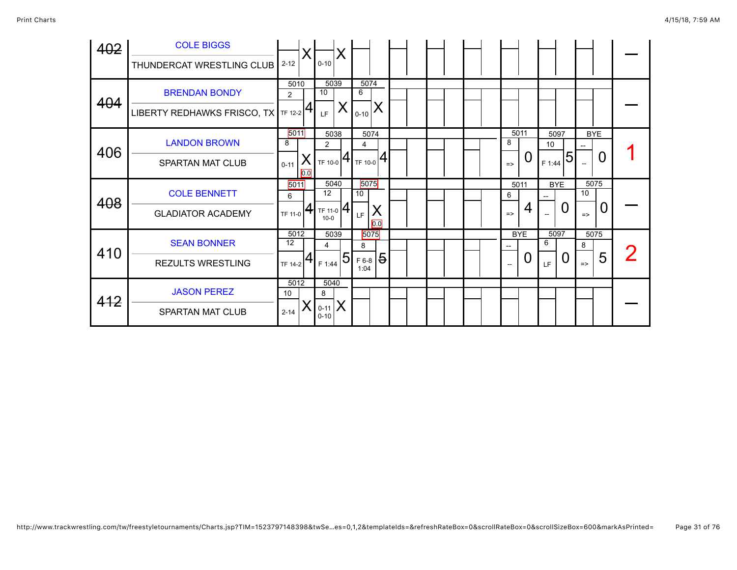| 402 | <b>COLE BIGGS</b><br>THUNDERCAT WRESTLING CLUB                                      | $2 - 12$                                     | Х   | $0 - 10$                            |                        |                                                        |  |  |                                 |           |              |                 |                     |                 |  |
|-----|-------------------------------------------------------------------------------------|----------------------------------------------|-----|-------------------------------------|------------------------|--------------------------------------------------------|--|--|---------------------------------|-----------|--------------|-----------------|---------------------|-----------------|--|
| 404 | <b>BRENDAN BONDY</b><br>LIBERTY REDHAWKS FRISCO, TX $\lceil r_1r_2r_1r_2r_3\rfloor$ | 5010<br>$\overline{2}$                       |     | 10<br>LF.                           | 5039                   | 5074<br>6<br>X<br>$0 - 10$                             |  |  |                                 |           |              |                 |                     |                 |  |
| 406 | <b>LANDON BROWN</b><br>SPARTAN MAT CLUB                                             | 5011<br>8<br>$0 - 11$                        | 0.0 | $\overline{2}$                      | 5038                   | 5074<br>4<br>TF 10-0 <sup>4</sup> TF 10-0 <sup>4</sup> |  |  | 5011<br>8<br>$\Rightarrow$      | $\bm{0}$  | 10<br>F 1:44 | 5097<br>5       |                     | <b>BYE</b><br>0 |  |
| 408 | <b>COLE BENNETT</b><br><b>GLADIATOR ACADEMY</b>                                     | 5011<br>6<br>$\mathbf{F}_{\text{TF 11-0}} 4$ |     | 12<br>$10 - 0$                      | 5040<br>TF 11-0 4      | 5075<br>10<br>X<br>LF<br> 0.0                          |  |  | 6<br>$\Rightarrow$              | 5011<br>4 |              | <b>BYE</b><br>O | 10<br>$\Rightarrow$ | 5075            |  |
| 410 | <b>SEAN BONNER</b><br><b>REZULTS WRESTLING</b>                                      | 5012<br>12<br>TF 14-2 $H$                    |     | 4<br>F 1:44                         | 5039<br>$\overline{5}$ | 5075<br>8<br>$\overline{5}$<br>F 6-8<br>1:04           |  |  | <b>BYE</b><br>$\qquad \qquad -$ | 0         | 6<br>LF      | 5097<br>0       | 8<br>$\Rightarrow$  | 5075<br>5       |  |
| 412 | <b>JASON PEREZ</b><br><b>SPARTAN MAT CLUB</b>                                       | 5012<br>10<br>$2 - 14$                       | X   | 5040<br>8<br>$0-11$ $X$<br>$0 - 10$ |                        |                                                        |  |  |                                 |           |              |                 |                     |                 |  |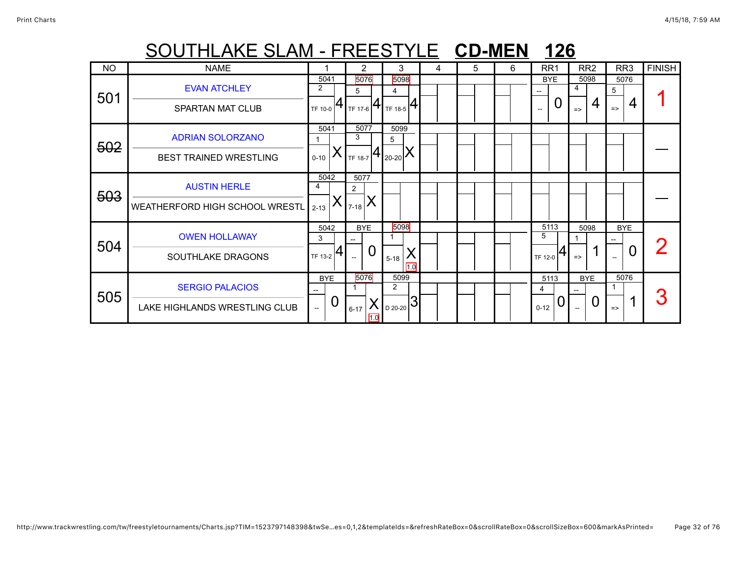# SOUTHLAKE SLAM - FREESTYLE CD-MEN 126

| <b>NO</b> | <b>NAME</b>                                              |                                                                         | 2                                                        | 3                                      | 4 | 5 | 6 | RR1                   | RR <sub>2</sub>                             | RR <sub>3</sub>                 | <b>FINISH</b> |
|-----------|----------------------------------------------------------|-------------------------------------------------------------------------|----------------------------------------------------------|----------------------------------------|---|---|---|-----------------------|---------------------------------------------|---------------------------------|---------------|
| 501       | <b>EVAN ATCHLEY</b><br><b>SPARTAN MAT CLUB</b>           | 5041<br>2<br>4<br>TF 10-0                                               | 5076<br>5<br>TF 17-6 TF 18-5                             | 5098<br>4<br>4                         |   |   |   | <b>BYE</b><br>--      | 5098<br>4<br>4<br>$\Rightarrow$             | 5076<br>5<br>4<br>$\Rightarrow$ |               |
| 502       | <b>ADRIAN SOLORZANO</b><br><b>BEST TRAINED WRESTLING</b> | 5041<br>$0 - 10$                                                        | 5077<br>3<br><b>TF 18-7</b>                              | 5099<br>5<br>$ 4 _{20-20} \wedge$      |   |   |   |                       |                                             |                                 |               |
| 503       | <b>AUSTIN HERLE</b><br>WEATHERFORD HIGH SCHOOL WRESTL    | 5042<br>4<br>Х<br>$2 - 13$                                              | 5077<br>2<br>$_{7-18}$ $\lambda$                         |                                        |   |   |   |                       |                                             |                                 |               |
| 504       | <b>OWEN HOLLAWAY</b><br>SOUTHLAKE DRAGONS                | 5042<br>3<br>4<br>TF 13-2                                               | <b>BYE</b><br>$\overline{0}$<br>$\overline{\phantom{a}}$ | 5098<br>$5 - 18$<br>1.0                |   |   |   | 5113<br>5<br>TF 12-0  | 5098<br>1<br>$\Rightarrow$                  | <b>BYE</b><br>--<br>O<br>$\sim$ |               |
| 505       | <b>SERGIO PALACIOS</b><br>LAKE HIGHLANDS WRESTLING CLUB  | <b>BYE</b><br>$\overline{\phantom{a}}$<br>Û<br>$\overline{\phantom{a}}$ | 5076<br>$6 - 17$<br>1.0                                  | 5099<br>2<br>3<br>$\mathsf{X}$ D 20-20 |   |   |   | 5113<br>4<br>$0 - 12$ | <b>BYE</b><br>0<br>$\overline{\phantom{a}}$ | 5076<br>$\Rightarrow$           |               |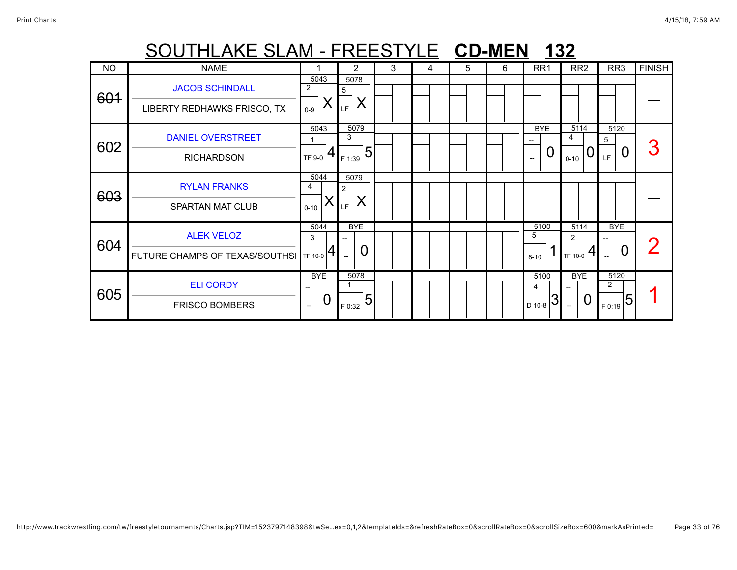# SOUTHLAKE SLAM - FREESTYLE **CD-MEN** 132

| <b>NO</b> | <b>NAME</b>                                                 |                           | 2                                                        | 3 | 4 | 5 | 6 | RR <sub>1</sub>           | RR <sub>2</sub>                             | RR <sub>3</sub>                                    | <b>FINISH</b> |
|-----------|-------------------------------------------------------------|---------------------------|----------------------------------------------------------|---|---|---|---|---------------------------|---------------------------------------------|----------------------------------------------------|---------------|
| 601       | <b>JACOB SCHINDALL</b><br>LIBERTY REDHAWKS FRISCO, TX       | 5043<br>2<br>Χ<br>$0 - 9$ | 5078<br>5<br>X<br>LF.                                    |   |   |   |   |                           |                                             |                                                    |               |
| 602       | <b>DANIEL OVERSTREET</b><br><b>RICHARDSON</b>               | 5043<br>TF 9-0            | 5079<br>3<br>$\mathbf{1}_{\mathsf{F}\,1:39} \mathsf{5} $ |   |   |   |   | <b>BYE</b><br>U<br>$\sim$ | 5114<br>4<br>$\overline{0}$<br>$0 - 10$     | 5120<br>5<br>0<br>LF                               |               |
| 603       | <b>RYLAN FRANKS</b><br><b>SPARTAN MAT CLUB</b>              | 5044<br>4<br>$0 - 10$     | 5079<br>$\overline{2}$<br>$\bm{\lambda}$<br>LF           |   |   |   |   |                           |                                             |                                                    |               |
| 604       | <b>ALEK VELOZ</b><br>FUTURE CHAMPS OF TEXAS/SOUTHSI TF 10-0 | 5044<br>3                 | <b>BYE</b><br>0                                          |   |   |   |   | 5100<br>5<br>$8 - 10$     | 5114<br>2<br>$T_{\text{TF 10-0}} 4$         | <b>BYE</b><br>0<br>$\sim$                          |               |
| 605       | <b>ELI CORDY</b><br><b>FRISCO BOMBERS</b>                   | <b>BYE</b><br>0<br>$\sim$ | 5078<br>5<br>F 0:32                                      |   |   |   |   | 5100<br>4<br>З<br>D 10-8  | <b>BYE</b><br>0<br>$\overline{\phantom{a}}$ | $\overline{5120}$<br>$\overline{2}$<br>5<br>F 0:19 |               |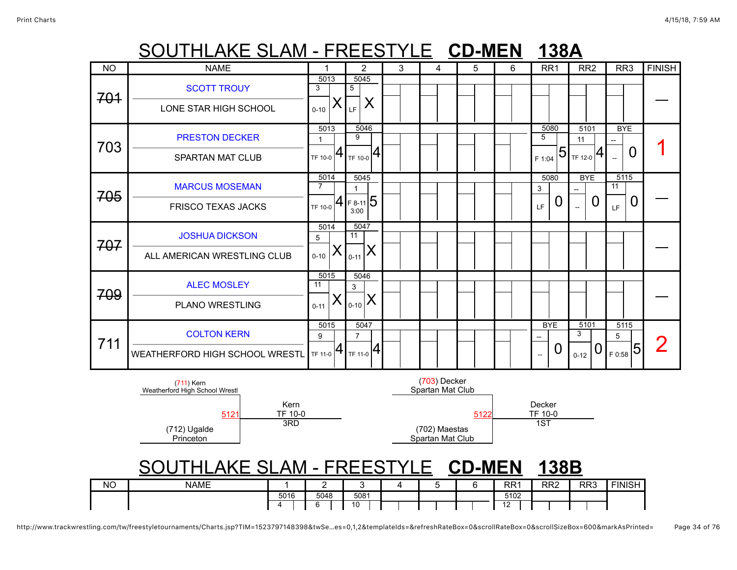### SOUTHLAKE SLAM - FREESTYLE **CD-MEN 138A**

| <b>NO</b> | <b>NAME</b>                                                                                                                           |                        |   | 2                                          | 3 | 4 | 5 | 6 | RR <sub>1</sub>                                  | RR <sub>2</sub>                             | RR <sub>3</sub>                               | <b>FINISH</b> |
|-----------|---------------------------------------------------------------------------------------------------------------------------------------|------------------------|---|--------------------------------------------|---|---|---|---|--------------------------------------------------|---------------------------------------------|-----------------------------------------------|---------------|
| 701       | <b>SCOTT TROUY</b><br>LONE STAR HIGH SCHOOL                                                                                           | 5013<br>3<br>$0 - 10$  |   | 5045<br>5<br>X<br>LF                       |   |   |   |   |                                                  |                                             |                                               |               |
| 703       | <b>PRESTON DECKER</b><br><b>SPARTAN MAT CLUB</b>                                                                                      | 5013                   |   | 5046<br>9<br>' tf 10-0 $ 4 $ tf 10-0 $ 4 $ |   |   |   |   | 5080<br>5<br>5<br>F 1:04                         | 5101<br>11<br>$T_{TF\ 12-0}$ $ 4$           | <b>BYE</b><br>--<br>O<br>$\ddot{\phantom{a}}$ |               |
| 705       | <b>MARCUS MOSEMAN</b><br><b>FRISCO TEXAS JACKS</b>                                                                                    | 5014<br>TF 10-0        |   | 5045<br>$ 4 $ F 8-11 $ 5 $<br>3:00         |   |   |   |   | 5080<br>3<br>O<br>LF                             | <b>BYE</b><br>0<br>$\overline{\phantom{a}}$ | 5115<br>11<br>U<br>LF.                        |               |
| 707       | <b>JOSHUA DICKSON</b><br>ALL AMERICAN WRESTLING CLUB                                                                                  | 5014<br>5<br>$0 - 10$  |   | 5047<br>11<br>IХ<br>$0 - 11$               |   |   |   |   |                                                  |                                             |                                               |               |
| 709       | <b>ALEC MOSLEY</b><br>PLANO WRESTLING                                                                                                 | 5015<br>11<br>$0 - 11$ | ∧ | 5046<br>3<br>$\sum_{0.10}$                 |   |   |   |   |                                                  |                                             |                                               |               |
| 711       | <b>COLTON KERN</b><br>WEATHERFORD HIGH SCHOOL WRESTL $\left  \frac{1}{T}F$ 11-0 $\left  4 \right  \right $ TF 11-0 $\left  4 \right $ | 5015<br>9              |   | 5047<br>$\overline{7}$                     |   |   |   |   | <b>BYE</b><br>$\boldsymbol{0}$<br>$\overline{a}$ | 5101<br>3<br>$\boldsymbol{0}$<br>$0 - 12$   | 5115<br>5<br> 5<br>F 0:58                     |               |

| (711) Kern<br>Weatherford High School Wrestl |                 | $(703)$ Decker<br>Spartan Mat Club |                   |  |
|----------------------------------------------|-----------------|------------------------------------|-------------------|--|
| 5121                                         | Kern<br>TF 10-0 | 5122                               | Decker<br>TF 10-0 |  |
| (712) Ugalde<br>Princeton                    | 3RD             | (702) Maestas<br>Spartan Mat Club  | 1ST               |  |

#### SOUTHLAKE SLAM - FREESTYLE **CD-MEN 138B**

| <b>NO</b> | $\cdots$<br>NAME |      | -    |      |  | RR <sub>1</sub> | RR <sub>2</sub> | RR <sub>3</sub> | <b>CINHOLL</b><br>HUIND H |
|-----------|------------------|------|------|------|--|-----------------|-----------------|-----------------|---------------------------|
|           |                  | 5016 | 5048 | 5081 |  | 5102            |                 |                 |                           |
|           |                  |      |      | 10   |  | $\sim$<br>. .   |                 |                 |                           |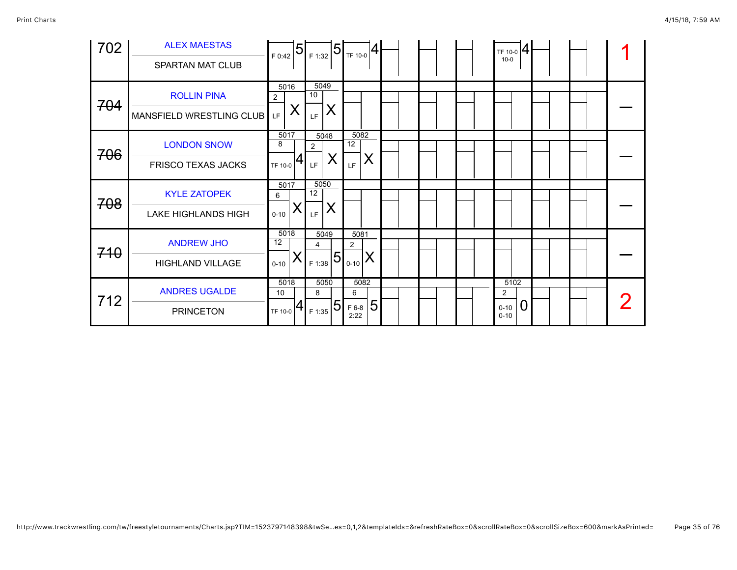| 702 | <b>ALEX MAESTAS</b>        | F 0:42                  | 5    | F 1:32         | $5\overline{)}$ | TF 10-0                |                |  |  |  | TF 10-0 <sup>1</sup>   |   |  |  |   |
|-----|----------------------------|-------------------------|------|----------------|-----------------|------------------------|----------------|--|--|--|------------------------|---|--|--|---|
|     | <b>SPARTAN MAT CLUB</b>    |                         |      |                |                 |                        |                |  |  |  | $10 - 0$               |   |  |  |   |
| 704 | <b>ROLLIN PINA</b>         | 5016<br>$\overline{2}$  |      | 5049<br>10     |                 |                        |                |  |  |  |                        |   |  |  |   |
|     | MANSFIELD WRESTLING CLUB   | LF.                     | X    | LF             | X               |                        |                |  |  |  |                        |   |  |  |   |
| 706 | <b>LONDON SNOW</b>         | 5017<br>8               |      | $\overline{2}$ | 5048            | 12                     | 5082           |  |  |  |                        |   |  |  |   |
|     | <b>FRISCO TEXAS JACKS</b>  | TF 10-0                 | 14 I | LF             | X               | LF                     | X              |  |  |  |                        |   |  |  |   |
| 708 | <b>KYLE ZATOPEK</b>        | 5017<br>6               |      | 5050<br>12     |                 |                        |                |  |  |  |                        |   |  |  |   |
|     | <b>LAKE HIGHLANDS HIGH</b> | $0 - 10$                |      | LF             | X               |                        |                |  |  |  |                        |   |  |  |   |
|     | <b>ANDREW JHO</b>          | 5018<br>$\overline{12}$ |      | 4              | 5049            | 5081<br>$\overline{2}$ |                |  |  |  |                        |   |  |  |   |
| 710 | <b>HIGHLAND VILLAGE</b>    | $0 - 10$                |      | $I_{F1:38}$ 5  |                 | $0 - 10$               | IХ             |  |  |  |                        |   |  |  |   |
|     | <b>ANDRES UGALDE</b>       | 5018<br>10              |      | 8              | 5050            | 6                      | 5082           |  |  |  | 5102<br>$\overline{2}$ |   |  |  |   |
| 712 | <b>PRINCETON</b>           | TF 10-0                 | 14 I | F 1:35         | $\overline{5}$  | F 6-8<br>2:22          | $\overline{5}$ |  |  |  | $0 - 10$<br>$0 - 10$   | 0 |  |  | 2 |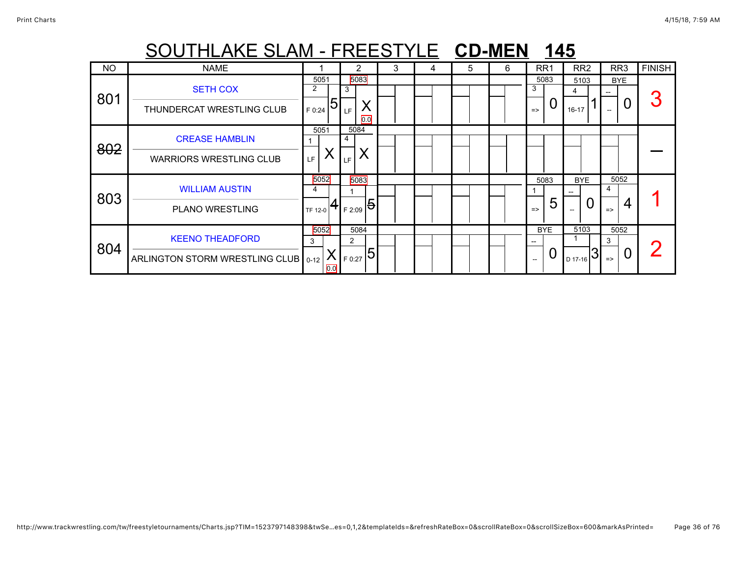# SOUTHLAKE SLAM - FREESTYLE CD-MEN 145

| <b>NO</b> | <b>NAME</b>                                                     |                               | $\overline{2}$                            | 3 | 4 | 5 | 6 | RR <sub>1</sub>                             | RR <sub>2</sub>                  | RR <sub>3</sub>                 | <b>FINISH</b> |
|-----------|-----------------------------------------------------------------|-------------------------------|-------------------------------------------|---|---|---|---|---------------------------------------------|----------------------------------|---------------------------------|---------------|
| 801       | <b>SETH COX</b><br>THUNDERCAT WRESTLING CLUB                    | 5051<br>2<br>5<br>F 0:24      | 5083<br>3<br>∧<br>LF<br>0.0               |   |   |   |   | 5083<br>3<br>U<br>$\Rightarrow$             | 5103<br>4<br>$16 - 17$           | <b>BYE</b><br>$\sim$            | 3             |
| 802       | <b>CREASE HAMBLIN</b><br>WARRIORS WRESTLING CLUB                | 5051<br>⋏<br>LF.              | 5084<br>4<br>ᄉ<br>LF                      |   |   |   |   |                                             |                                  |                                 |               |
| 803       | <b>WILLIAM AUSTIN</b><br><b>PLANO WRESTLING</b>                 | 5052<br>4<br>TF 12-0          | 5083<br>$\cdot$ ( $_{\rm{F}\,2:09}$ $ 5 $ |   |   |   |   | 5083<br>5<br>$\Rightarrow$                  | <b>BYE</b><br>$\Omega$<br>$\sim$ | 5052<br>4<br>4<br>$\Rightarrow$ |               |
| 804       | <b>KEENO THEADFORD</b><br>ARLINGTON STORM WRESTLING CLUB   0-12 | 5052<br>3<br>$\lambda$<br>0.0 | 5084<br>2<br>$\mathbf{1}_{F\,0:27}$ 51    |   |   |   |   | <b>BYE</b><br>U<br>$\overline{\phantom{a}}$ | 5103<br>D 17-16                  | 5052<br>3<br>U<br>$\Rightarrow$ | η             |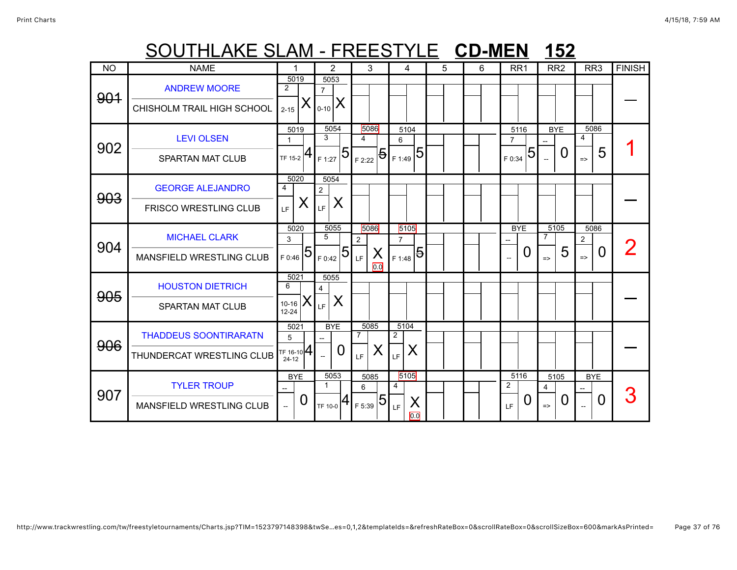| $\overline{NO}$ | <b>NAME</b>                                               | 1                                               | $\overline{2}$                          | 3                                         | 4                                                                 | 5 | 6 | RR <sub>1</sub>                   | RR <sub>2</sub>                 | RR <sub>3</sub>                              | <b>FINISH</b> |
|-----------------|-----------------------------------------------------------|-------------------------------------------------|-----------------------------------------|-------------------------------------------|-------------------------------------------------------------------|---|---|-----------------------------------|---------------------------------|----------------------------------------------|---------------|
| 901             | <b>ANDREW MOORE</b><br>CHISHOLM TRAIL HIGH SCHOOL         | 5019<br>2<br>Х<br>$2 - 15$                      | 5053<br>$\overline{7}$<br>$_{0-10}$ $X$ |                                           |                                                                   |   |   |                                   |                                 |                                              |               |
| 902             | <b>LEVI OLSEN</b><br><b>SPARTAN MAT CLUB</b>              | 5019<br>1<br>$T_{TF\ 15-2}$ $ 4$ )              | 5054<br>3<br>5<br>F 1:27                | 5086<br>4<br>F 2:22                       | 5104<br>6<br>$\overline{5}$<br>$\left  5 \right _{{\rm F\,1:49}}$ |   |   | 5116<br>$\overline{7}$<br>F 0:34  | <b>BYE</b><br>0                 | 5086<br>$\overline{4}$<br>5<br>$\Rightarrow$ |               |
| 903             | <b>GEORGE ALEJANDRO</b><br><b>FRISCO WRESTLING CLUB</b>   | 5020<br>4<br>X<br>LE.                           | 5054<br>$\overline{2}$<br>X<br>LF       |                                           |                                                                   |   |   |                                   |                                 |                                              |               |
| 904             | <b>MICHAEL CLARK</b><br>MANSFIELD WRESTLING CLUB          | 5020<br>3<br>5<br>F 0:46                        | 5055<br>5<br>5<br>F 0:42                | 5086<br>$\overline{2}$<br>X<br>LF.<br>0.0 | 5105<br>$\overline{7}$<br>5<br>F 1:48                             |   |   | <b>BYE</b><br>0                   | 5105<br>7<br>5<br>$\Rightarrow$ | 5086<br>$\overline{2}$<br>0<br>$\Rightarrow$ |               |
| 905             | <b>HOUSTON DIETRICH</b><br><b>SPARTAN MAT CLUB</b>        | 5021<br>6<br>$10 - 16$<br>$12 - 24$             | 5055<br>$\overline{4}$<br>Χ<br>LF.      |                                           |                                                                   |   |   |                                   |                                 |                                              |               |
| 906             | <b>THADDEUS SOONTIRARATN</b><br>THUNDERCAT WRESTLING CLUB | 5021<br>5<br>TF 16-10 <sup>4</sup><br>$24 - 12$ | <b>BYE</b><br>$\Omega$                  | 5085<br>7<br>X<br>LF.                     | 5104<br>$\overline{2}$<br>Χ<br>LF                                 |   |   |                                   |                                 |                                              |               |
| 907             | <b>TYLER TROUP</b><br>MANSFIELD WRESTLING CLUB            | <b>BYE</b><br>$\overline{0}$                    | 5053<br>1<br>TF 10-0                    | 5085<br>6<br>5<br>$\mathbf{H}_{F 5:39}$   | 5105<br>4<br>X<br>LF<br>0.0                                       |   |   | 5116<br>$\overline{2}$<br>0<br>LF | 5105<br>4<br>O<br>$\Rightarrow$ | <b>BYE</b><br>$\overline{0}$                 |               |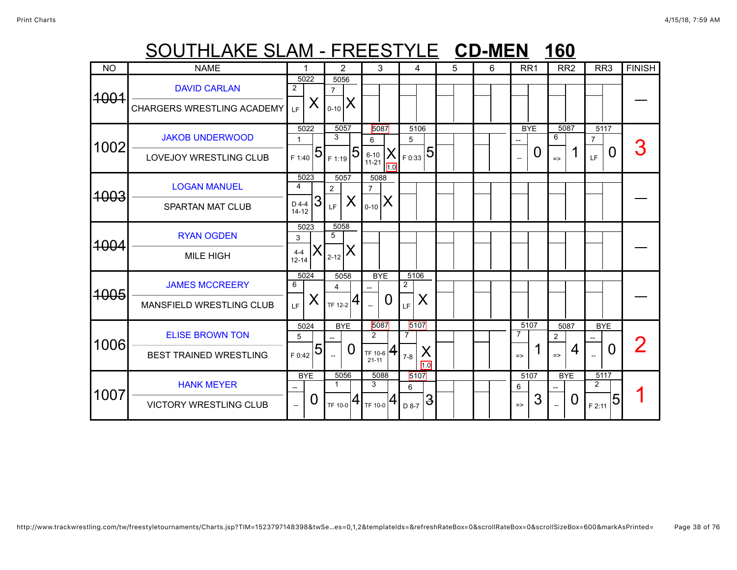| N <sub>O</sub>  | <b>NAME</b>                                             | 1                                      | $\overline{2}$                    | 3                                                | 4                                             | 5 | 6 | RR <sub>1</sub>                 | RR <sub>2</sub>                              | RR <sub>3</sub>                       | <b>FINISH</b> |
|-----------------|---------------------------------------------------------|----------------------------------------|-----------------------------------|--------------------------------------------------|-----------------------------------------------|---|---|---------------------------------|----------------------------------------------|---------------------------------------|---------------|
| 4004            | <b>DAVID CARLAN</b><br>CHARGERS WRESTLING ACADEMY       | 5022<br>2<br>Χ<br>LE.                  | 5056<br>7<br>X<br>$0 - 10$        |                                                  |                                               |   |   |                                 |                                              |                                       |               |
| 1002            | <b>JAKOB UNDERWOOD</b><br>LOVEJOY WRESTLING CLUB        | 5022<br>1<br>5<br>F 1:40               | 5057<br>3<br>$T_{F1:19}$ 51       | 5087<br>6<br>$6-10$<br>$11-21$ $1.0$             | 5106<br>5<br>$\underline{X}_{F\ 0:33}$ 5      |   |   | <b>BYE</b><br>0<br>Ш,           | 5087<br>6<br>1<br>$\Rightarrow$              | 5117<br>$\overline{7}$<br>0<br>LF     | 3             |
| <del>1003</del> | <b>LOGAN MANUEL</b><br><b>SPARTAN MAT CLUB</b>          | 5023<br>4<br>3<br>$D$ 4-4<br>$14 - 12$ | 5057<br>$\overline{2}$<br>X<br>LF | 5088<br>$\overline{7}$<br>X<br>$0 - 10$          |                                               |   |   |                                 |                                              |                                       |               |
| 1004            | <b>RYAN OGDEN</b><br><b>MILE HIGH</b>                   | 5023<br>3<br>$4 - 4$<br>$12 - 14$      | 5058<br>5<br>X<br>$2 - 12$        |                                                  |                                               |   |   |                                 |                                              |                                       |               |
| 1005            | <b>JAMES MCCREERY</b><br>MANSFIELD WRESTLING CLUB       | 5024<br>6<br>X<br>LF.                  | 5058<br>4<br>4<br>TF 12-2         | <b>BYE</b><br>O                                  | 5106<br>2<br>X<br>LF                          |   |   |                                 |                                              |                                       |               |
| 1006            | <b>ELISE BROWN TON</b><br><b>BEST TRAINED WRESTLING</b> | 5024<br>5<br>5<br>F 0:42               | <b>BYE</b><br>$\overline{0}$      | 5087<br>$\overline{2}$<br>TF 10-6 4<br>$21 - 11$ | 5107<br>7<br>X<br>$7 - 8$<br>1.0              |   |   | 5107<br>1<br>$\Rightarrow$      | 5087<br>$\overline{2}$<br>4<br>$\Rightarrow$ | <b>BYE</b><br>$\overline{0}$          |               |
| 1007            | <b>HANK MEYER</b><br><b>VICTORY WRESTLING CLUB</b>      | <b>BYE</b><br>O                        | 5056<br>1<br>4<br>TF 10-0         | 5088<br>3<br>↬<br>TF 10-0                        | 5107<br>6<br>$\overline{\mathbf{3}}$<br>D 8-7 |   |   | 5107<br>6<br>3<br>$\Rightarrow$ | <b>BYE</b><br>$\overline{0}$                 | 5117<br>$\overline{2}$<br>5<br>F 2:11 |               |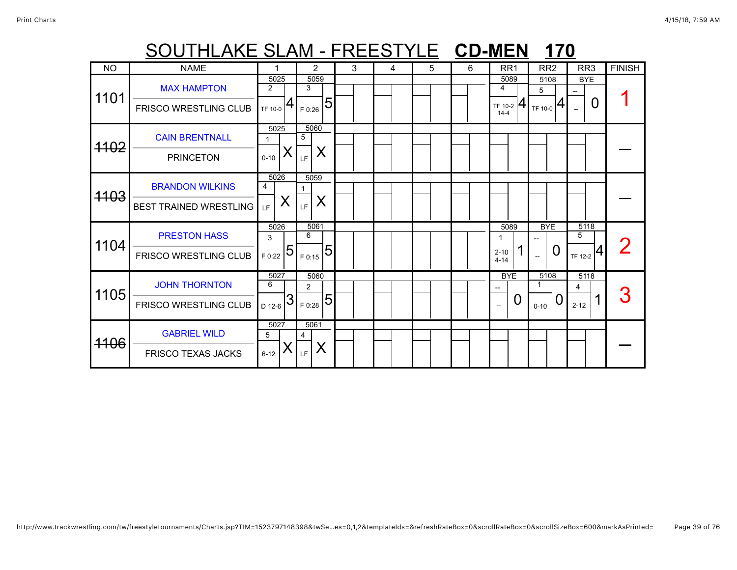| <b>NO</b>       | <b>NAME</b>                                          |                                   | $\overline{2}$                        | 3 | 4 | 5 | 6 | RR <sub>1</sub>                             | RR <sub>2</sub>            | RR <sub>3</sub>       | <b>FINISH</b> |
|-----------------|------------------------------------------------------|-----------------------------------|---------------------------------------|---|---|---|---|---------------------------------------------|----------------------------|-----------------------|---------------|
| 1101            | <b>MAX HAMPTON</b><br><b>FRISCO WRESTLING CLUB</b>   | 5025<br>$\overline{2}$<br>TF 10-0 | 5059<br>3<br>5<br>F 0:26              |   |   |   |   | 5089<br>4<br>TF 10-2<br>$14 - 4$            | 5108<br>5<br>TF 10-0       | <b>BYE</b><br>0       |               |
| <del>1102</del> | <b>CAIN BRENTNALL</b><br><b>PRINCETON</b>            | 5025<br>Х<br>$0 - 10$             | 5060<br>5<br>X<br>LF                  |   |   |   |   |                                             |                            |                       |               |
| 4103            | <b>BRANDON WILKINS</b><br>BEST TRAINED WRESTLING     | 5026<br>4<br>X<br>LF              | 5059<br>X<br>LF                       |   |   |   |   |                                             |                            |                       |               |
| 1104            | <b>PRESTON HASS</b><br><b>FRISCO WRESTLING CLUB</b>  | 5026<br>3<br>5<br>F 0:22          | 5061<br>6<br>5<br>F 0:15              |   |   |   |   | 5089<br>$2 - 10$<br>$4 - 14$                | <b>BYE</b><br>--<br>O      | 5118<br>5<br>TF 12-2  |               |
| 1105            | <b>JOHN THORNTON</b><br><b>FRISCO WRESTLING CLUB</b> | 5027<br>6<br>3<br>D 12-6          | 5060<br>$\overline{2}$<br>5<br>F 0:28 |   |   |   |   | <b>BYE</b><br>0<br>$\overline{\phantom{a}}$ | 5108<br>1<br>0<br>$0 - 10$ | 5118<br>4<br>$2 - 12$ |               |
| 4106            | <b>GABRIEL WILD</b><br><b>FRISCO TEXAS JACKS</b>     | 5027<br>5<br>$6 - 12$             | 5061<br>4<br>X<br>LF                  |   |   |   |   |                                             |                            |                       |               |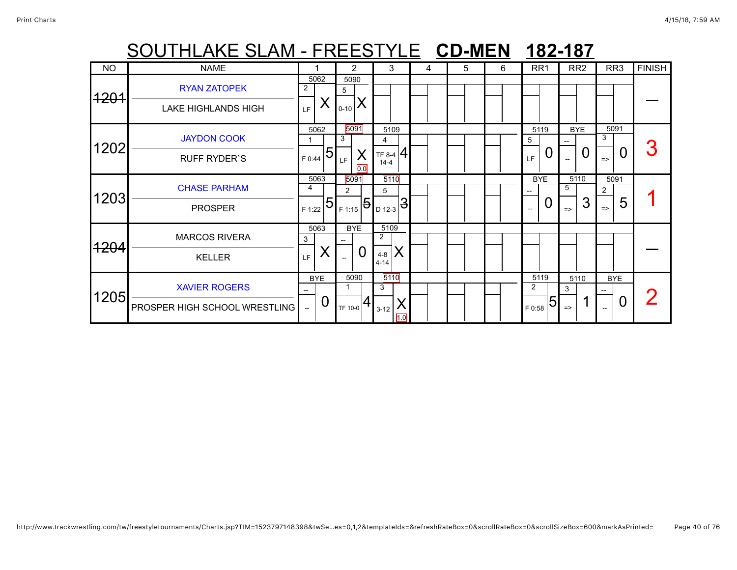#### SOUTHLAKE SLAM - FREESTYLE CD-MEN 182-187

| <b>NO</b>       | <b>NAME</b>                                                  |             |                        | 2                                      |                  | 3                                            |                           | 4 | 5 | 6 | RR <sub>1</sub>                              |                         | RR <sub>2</sub> | RR <sub>3</sub>                 | <b>FINISH</b>     |
|-----------------|--------------------------------------------------------------|-------------|------------------------|----------------------------------------|------------------|----------------------------------------------|---------------------------|---|---|---|----------------------------------------------|-------------------------|-----------------|---------------------------------|-------------------|
| <del>1201</del> | <b>RYAN ZATOPEK</b><br>LAKE HIGHLANDS HIGH                   | 2<br>LF     | 5062<br>X              | 5090<br>5<br>$0 - 10$                  |                  |                                              |                           |   |   |   |                                              |                         |                 |                                 |                   |
| 1202            | <b>JAYDON COOK</b><br><b>RUFF RYDER'S</b>                    | F 0:44      | 5062<br>5              | 5091<br>3<br>LF.                       | $\Lambda$<br>0.0 | 5109<br>4<br>TF 8-4 4<br>$14 - 4$            |                           |   |   |   | 5119<br>5<br>LF                              | U<br>Ξ.                 | <b>BYE</b><br>O | 5091<br>3<br>O<br>$\Rightarrow$ | З                 |
| 1203            | <b>CHASE PARHAM</b><br><b>PROSPER</b>                        | 4<br>F 1:22 | 5063<br>$\overline{5}$ | 5091<br>2<br>$F 1:15$ 5                |                  | 5110<br>5<br>$\cdot$ ( <sub>D 12-3</sub> $3$ |                           |   |   |   | <b>BYE</b><br>--<br>$\overline{\phantom{a}}$ | 5<br>$\Rightarrow$      | 5110<br>3       | 5091<br>2<br>5<br>$\Rightarrow$ |                   |
| <del>1204</del> | <b>MARCOS RIVERA</b><br><b>KELLER</b>                        | 3<br>LF     | 5063<br>X              | <b>BYE</b><br>$\overline{\phantom{a}}$ | O                | 5109<br>2<br>$4 - 8$<br>$4 - 14$             | Χ                         |   |   |   |                                              |                         |                 |                                 |                   |
| 1205            | <b>XAVIER ROGERS</b><br><b>PROSPER HIGH SCHOOL WRESTLING</b> | --          | <b>BYE</b><br>O        | 5090<br>TF 10-0                        | Ι4               | 5110<br>3<br>$3 - 12$                        | $\mathsf{X}% _{0}$<br>1.0 |   |   |   | 5119<br>$\overline{2}$<br>F 0:58             | 3<br>5<br>$\Rightarrow$ | 5110            | <b>BYE</b><br>0<br>--           | $\mathbf{\Omega}$ |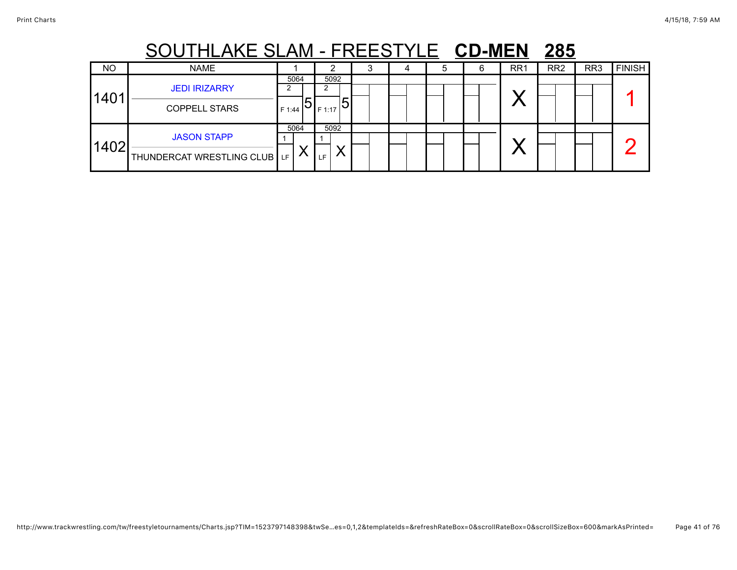|           | <b>THLAKE SLAM - FREESTYLE</b>                  |                |        |        |      |   |   |   | <b>CD-MEN</b>   | 285             |                 |               |
|-----------|-------------------------------------------------|----------------|--------|--------|------|---|---|---|-----------------|-----------------|-----------------|---------------|
| <b>NO</b> | <b>NAME</b>                                     |                |        |        | ົ    | 4 | 5 | 6 | RR <sub>1</sub> | RR <sub>2</sub> | RR <sub>3</sub> | <b>FINISH</b> |
| 1401      | <b>JEDI IRIZARRY</b><br><b>COPPELL STARS</b>    | 5064<br>F 1:44 |        | F 1:17 | 5092 |   |   |   |                 |                 |                 |               |
| 1402      | <b>JASON STAPP</b><br>THUNDERCAT WRESTLING CLUB | 5064<br>LF.    | v<br>Λ | LF     | 5092 |   |   |   |                 |                 |                 |               |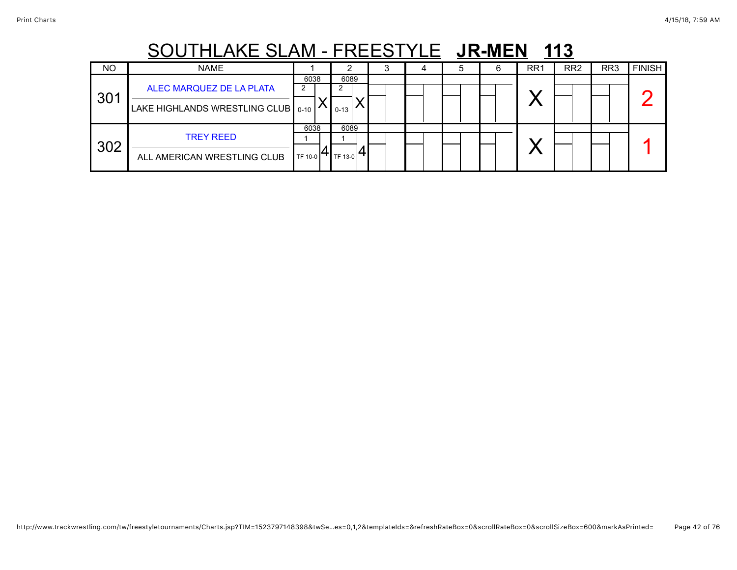| <b>NO</b> | <b>NAME</b>                        |                |          |  | b | RR <sub>1</sub> | RR <sub>2</sub> | RR <sub>3</sub> | <b>FINISH</b> |
|-----------|------------------------------------|----------------|----------|--|---|-----------------|-----------------|-----------------|---------------|
|           | ALEC MARQUEZ DE LA PLATA           | 6038           | 6089     |  |   |                 |                 |                 |               |
| 301       |                                    |                |          |  |   |                 |                 |                 |               |
|           | LAKE HIGHLANDS WRESTLING CLUB 0-10 |                | $0 - 13$ |  |   |                 |                 |                 |               |
|           |                                    | 6038           | 6089     |  |   |                 |                 |                 |               |
|           | <b>TREY REED</b>                   |                |          |  |   |                 |                 |                 |               |
| 302       | ALL AMERICAN WRESTLING CLUB        | <b>TF 10-0</b> | TF 13-0  |  |   |                 |                 |                 |               |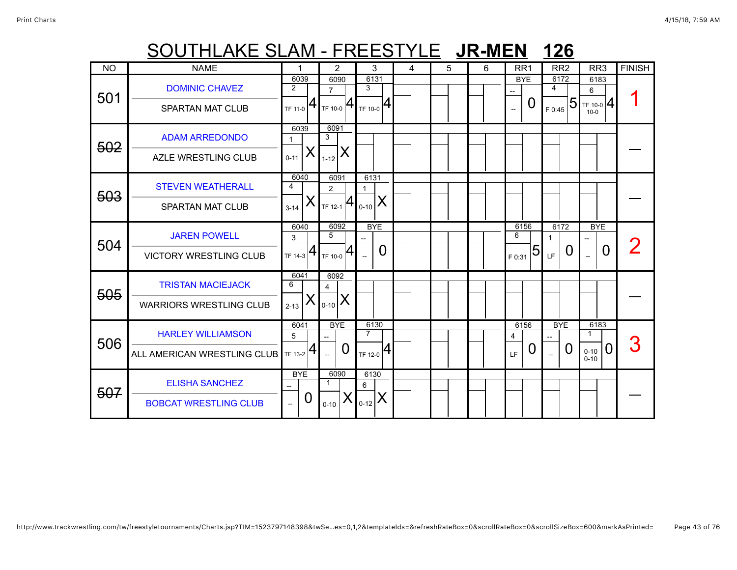| <b>NO</b> | <b>NAME</b>                                                | $\mathbf 1$                                                   | $\overline{2}$                          | 3                                      | 4 | 5 | 6 | RR <sub>1</sub>                   | RR <sub>2</sub>                | RR <sub>3</sub>                               | <b>FINISH</b> |
|-----------|------------------------------------------------------------|---------------------------------------------------------------|-----------------------------------------|----------------------------------------|---|---|---|-----------------------------------|--------------------------------|-----------------------------------------------|---------------|
| 501       | <b>DOMINIC CHAVEZ</b><br><b>SPARTAN MAT CLUB</b>           | 6039<br>$\overline{2}$<br>H١<br><b>TF 11-0</b>                | 6090<br>7<br>TF 10-0                    | 6131<br>3<br>Ι4<br>TF 10-0             |   |   |   | <b>BYE</b><br>0<br>ш,             | 6172<br>4<br>5<br>F 0:45       | 6183<br>6<br>TF 10-0 <sup>1</sup><br>$10 - 0$ |               |
| 502       | <b>ADAM ARREDONDO</b><br>AZLE WRESTLING CLUB               | 6039<br>$\mathbf{1}$<br>Χ<br>$0 - 11$                         | 6091<br>3<br>$1 - 12$                   |                                        |   |   |   |                                   |                                |                                               |               |
| 503       | <b>STEVEN WEATHERALL</b><br><b>SPARTAN MAT CLUB</b>        | 6040<br>$\overline{4}$<br>∧<br>$3 - 14$                       | 6091<br>$\overline{2}$<br>I4<br>TF 12-1 | 6131<br>X<br>$0 - 10$                  |   |   |   |                                   |                                |                                               |               |
| 504       | <b>JAREN POWELL</b><br><b>VICTORY WRESTLING CLUB</b>       | 6040<br>3<br>TF 14-3 $\vert 4 \vert$                          | 6092<br>5<br>↤<br>TF 10-0               | <b>BYE</b><br>$\overline{0}$<br>$\sim$ |   |   |   | 6156<br>6<br>5<br>F 0:31          | 6172<br>$\mathbf 1$<br>0<br>LF | <b>BYE</b><br>0                               | 2             |
| 505       | <b>TRISTAN MACIEJACK</b><br><b>WARRIORS WRESTLING CLUB</b> | 6041<br>6<br>$2 - 13$                                         | 6092<br>4<br>$0 - 10$                   |                                        |   |   |   |                                   |                                |                                               |               |
| 506       | <b>HARLEY WILLIAMSON</b><br>ALL AMERICAN WRESTLING CLUB    | 6041<br>5<br>TF 13-2                                          | <b>BYE</b><br>$\overline{0}$<br>μ.      | 6130<br>$\overline{7}$<br>4<br>TF 12-0 |   |   |   | 6156<br>$\overline{4}$<br>0<br>LF | <b>BYE</b><br>$\Omega$         | 6183<br>1<br>$\Omega$<br>$0 - 10$<br>$0 - 10$ | 3             |
| 507       | <b>ELISHA SANCHEZ</b><br><b>BOBCAT WRESTLING CLUB</b>      | <b>BYE</b><br>$\overline{\phantom{a}}$<br>O<br>$\overline{a}$ | 6090<br>-1<br>Л<br>$0 - 10$             | 6130<br>6<br>IХ<br>$0 - 12$            |   |   |   |                                   |                                |                                               |               |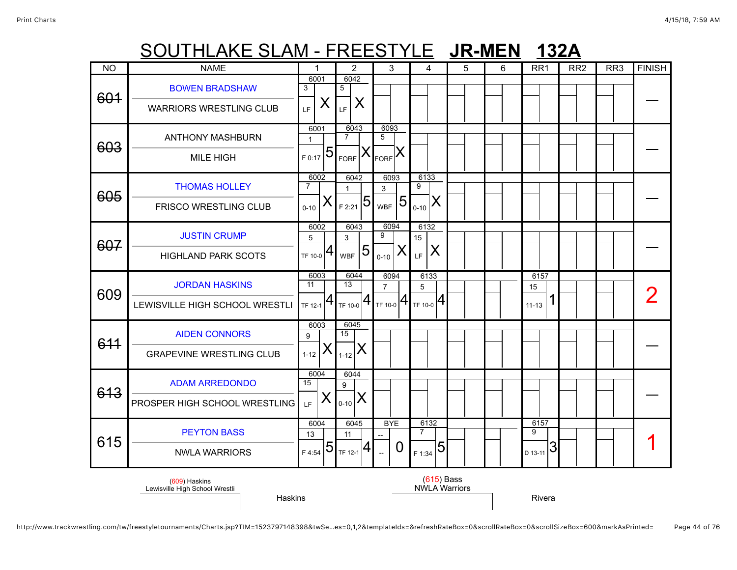| <b>NO</b> | <b>NAME</b>                                                       | 1                                                         |                |                               | $\overline{2}$ |                                       | 3         | 4                                                                    | 5 | 6 | RR <sub>1</sub>                        | RR <sub>2</sub> | RR <sub>3</sub> | <b>FINISH</b> |
|-----------|-------------------------------------------------------------------|-----------------------------------------------------------|----------------|-------------------------------|----------------|---------------------------------------|-----------|----------------------------------------------------------------------|---|---|----------------------------------------|-----------------|-----------------|---------------|
| 601       | <b>BOWEN BRADSHAW</b><br><b>WARRIORS WRESTLING CLUB</b>           | 6001<br>3<br>LF                                           | X              | 6042<br>5<br>LF.              | X              |                                       |           |                                                                      |   |   |                                        |                 |                 |               |
| 603       | <b>ANTHONY MASHBURN</b><br><b>MILE HIGH</b>                       | 6001<br>$\mathbf{1}$<br>$\frac{1}{2}$ <sub>F 0:17</sub> 5 |                | $\overline{7}$<br><b>FORF</b> | 6043           | 6093<br>$\overline{5}$<br><b>FORF</b> | Х         |                                                                      |   |   |                                        |                 |                 |               |
| 605       | <b>THOMAS HOLLEY</b><br><b>FRISCO WRESTLING CLUB</b>              | 6002<br>7<br>$0 - 10$                                     | Λ              | $\mathbf{1}$<br>F 2:21        | 6042<br>5      | 3<br><b>WBF</b>                       | 6093<br>5 | 6133<br>9<br>X<br>$0 - 10$                                           |   |   |                                        |                 |                 |               |
| 607       | <b>JUSTIN CRUMP</b><br><b>HIGHLAND PARK SCOTS</b>                 | 6002<br>5<br>TF 10-0                                      | 4              | 6043<br>3<br><b>WBF</b>       | 5              | 6094<br>9<br>$0 - 10$                 | Х         | 6132<br>15<br>X<br>LF                                                |   |   |                                        |                 |                 |               |
| 609       | <b>JORDAN HASKINS</b><br>LEWISVILLE HIGH SCHOOL WRESTLI           | 6003<br>11<br>TF 12-1                                     | 4              | 6044<br>13<br>TF 10-0         | 4              | 6094<br>$\overline{7}$<br>TF 10-0     | 4         | 6133<br>$\overline{5}$<br>$\mathbf{1}_{TF\ 10\text{-}0} \mathbf{4} $ |   |   | 6157<br>15<br>1<br>$11 - 13$           |                 |                 |               |
| 611       | <b>AIDEN CONNORS</b><br><b>GRAPEVINE WRESTLING CLUB</b>           | 6003<br>9<br>$1 - 12$                                     |                | 6045<br>15<br>$1 - 12$        | Х              |                                       |           |                                                                      |   |   |                                        |                 |                 |               |
| 613       | <b>ADAM ARREDONDO</b><br>PROSPER HIGH SCHOOL WRESTLING            | 6004<br>15<br>LF                                          | X              | 6044<br>9<br>$0 - 10$         | IХ             |                                       |           |                                                                      |   |   |                                        |                 |                 |               |
| 615       | <b>PEYTON BASS</b><br><b>NWLA WARRIORS</b>                        | 6004<br>13<br>F 4:54                                      | $\overline{5}$ | 11<br>TF 12-1                 | 6045<br>4      | <b>BYE</b><br>$\sim$                  | O         | 6132<br>7<br>5<br>F 1:34                                             |   |   | 6157<br>$\overline{9}$<br>3<br>D 13-11 |                 |                 |               |
|           | (609) Haskins<br>Lewisville High School Wrestli<br><b>Haskins</b> |                                                           |                |                               |                |                                       |           | $(615)$ Bass<br><b>NWLA Warriors</b>                                 |   |   | Rivera                                 |                 |                 |               |

http://www.trackwrestling.com/tw/freestyletournaments/Charts.jsp?TIM=1523797148398&twSe…es=0,1,2&templateIds=&refreshRateBox=0&scrollRateBox=0&scrollSizeBox=600&markAsPrinted= Page 44 of 76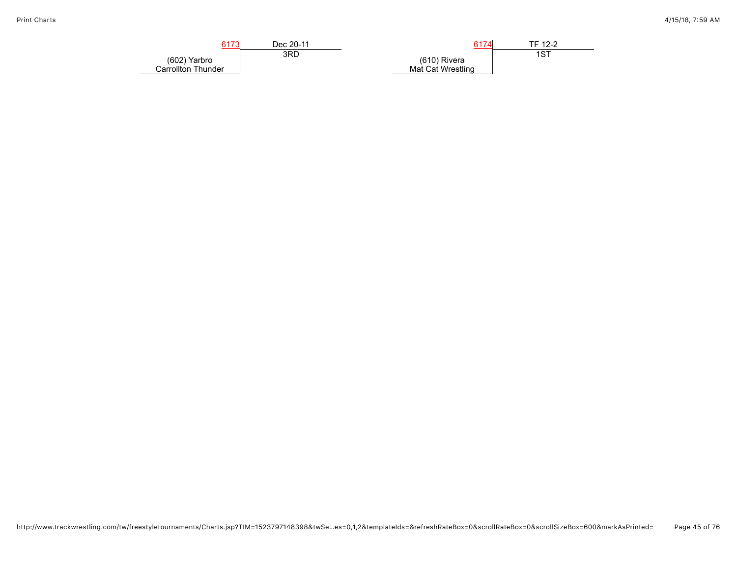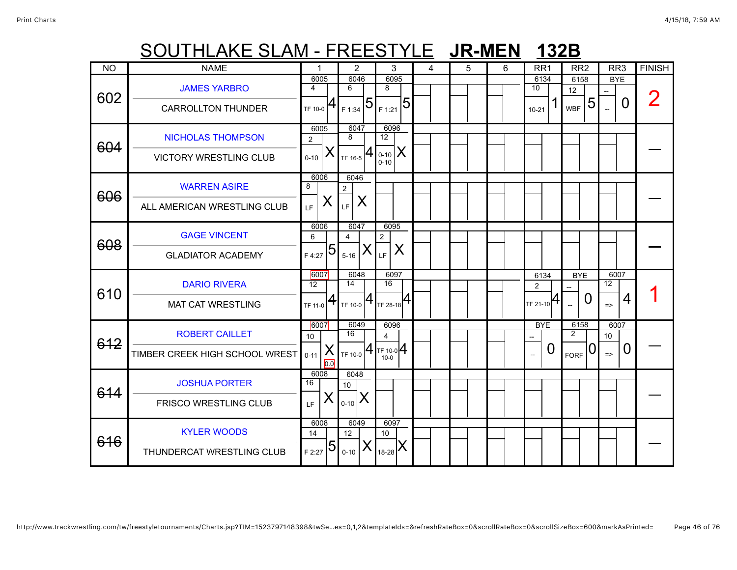| $\overline{NO}$ | <b>NAME</b>                                               | 1                           |                | $\overline{2}$                            | 3                                         |                | 4 | 5 | 6 | RR <sub>1</sub>                                 |   | RR <sub>2</sub>                       |          |                             | $\overline{RR3}$ | <b>FINISH</b> |
|-----------------|-----------------------------------------------------------|-----------------------------|----------------|-------------------------------------------|-------------------------------------------|----------------|---|---|---|-------------------------------------------------|---|---------------------------------------|----------|-----------------------------|------------------|---------------|
| 602             | <b>JAMES YARBRO</b><br><b>CARROLLTON THUNDER</b>          | 6005<br>4<br>TF 10-0        |                | 6046<br>6<br>$\frac{1}{1.34}$ 5           | 6095<br>8<br>F 1:21                       | $\overline{5}$ |   |   |   | 6134<br>10<br>$10 - 21$                         |   | 6158<br>12<br><b>WBF</b>              | 5        | <b>BYE</b>                  | $\overline{0}$   |               |
| 604             | <b>NICHOLAS THOMPSON</b><br><b>VICTORY WRESTLING CLUB</b> | 6005<br>2<br>X<br>$0 - 10$  |                | 6047<br>8<br>TF 16-5                      | 6096<br>12<br>14 0-10 X<br>$0 - 10$       |                |   |   |   |                                                 |   |                                       |          |                             |                  |               |
| 606             | <b>WARREN ASIRE</b><br>ALL AMERICAN WRESTLING CLUB        | 6006<br>8<br>X<br>LE.       |                | 6046<br>$\overline{2}$<br>X<br>LF.        |                                           |                |   |   |   |                                                 |   |                                       |          |                             |                  |               |
| 608             | <b>GAGE VINCENT</b><br><b>GLADIATOR ACADEMY</b>           | 6006<br>6<br>F 4:27         | 5              | 6047<br>$\overline{4}$<br>X<br>$5 - 16$   | 6095<br>2<br><b>IF</b>                    | X              |   |   |   |                                                 |   |                                       |          |                             |                  |               |
| 610             | <b>DARIO RIVERA</b><br><b>MAT CAT WRESTLING</b>           | 6007<br>12<br>TF 11-0       |                | 6048<br>14<br>TF 10-0                     | 6097<br>16<br><sup>4</sup> TF 28-18       |                |   |   |   | 6134<br>$\overline{2}$<br>TF 21-10 <sup>4</sup> |   | <b>BYE</b>                            | $\Omega$ | 6007<br>12<br>$\Rightarrow$ | 4                |               |
| 612             | <b>ROBERT CAILLET</b><br>TIMBER CREEK HIGH SCHOOL WREST   | 6007<br>10<br>X<br>$0 - 11$ | 0.0            | 6049<br>16<br>TF 10-0                     | 6096<br>4<br><b>4 TF 10-0 4</b><br>$10-0$ |                |   |   |   | <b>BYE</b>                                      | O | 6158<br>$\overline{2}$<br><b>FORF</b> |          | 6007<br>10<br>$\Rightarrow$ | $\overline{0}$   |               |
| 614             | <b>JOSHUA PORTER</b><br><b>FRISCO WRESTLING CLUB</b>      | 6008<br>16<br>X<br>LF       |                | 6048<br>10 <sup>1</sup><br>IX<br>$0 - 10$ |                                           |                |   |   |   |                                                 |   |                                       |          |                             |                  |               |
| 616             | <b>KYLER WOODS</b><br>THUNDERCAT WRESTLING CLUB           | 6008<br>14<br>F 2:27        | $\overline{5}$ | 6049<br>12<br>X<br>$0 - 10$               | 6097<br>10<br>$ 18-28 X $                 |                |   |   |   |                                                 |   |                                       |          |                             |                  |               |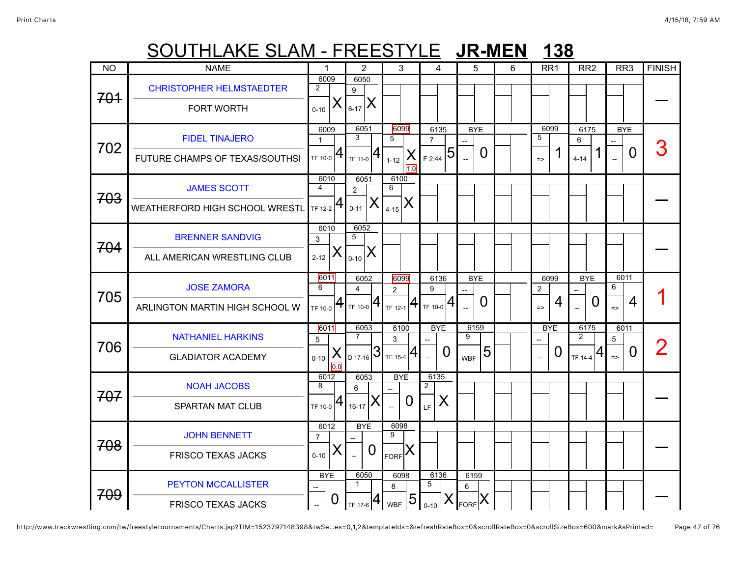| $\overline{NO}$ | <b>NAME</b>                     | $\mathbf 1$            |          | $\overline{2}$                                                          |                |                                                         | 3        | 4                          |   |                          | 5              | 6 | RR <sub>1</sub> |          | RR <sub>2</sub> |     | RR <sub>3</sub> |                  | <b>FINISH</b> |
|-----------------|---------------------------------|------------------------|----------|-------------------------------------------------------------------------|----------------|---------------------------------------------------------|----------|----------------------------|---|--------------------------|----------------|---|-----------------|----------|-----------------|-----|-----------------|------------------|---------------|
|                 |                                 | 6009<br>$\overline{2}$ |          | 6050                                                                    |                |                                                         |          |                            |   |                          |                |   |                 |          |                 |     |                 |                  |               |
| 701             | <b>CHRISTOPHER HELMSTAEDTER</b> |                        |          | 9                                                                       |                |                                                         |          |                            |   |                          |                |   |                 |          |                 |     |                 |                  |               |
|                 | <b>FORT WORTH</b>               | $0 - 10$               |          | $6 - 17$                                                                | X              |                                                         |          |                            |   |                          |                |   |                 |          |                 |     |                 |                  |               |
|                 |                                 | 6009                   |          | 6051                                                                    |                | 6099                                                    |          | 6135                       |   |                          | <b>BYE</b>     |   |                 | 6099     | 6175            |     | <b>BYE</b>      |                  |               |
| 702             | <b>FIDEL TINAJERO</b>           | $\mathbf{1}$           |          | 3                                                                       |                | 5                                                       |          | $\overline{7}$             |   |                          |                |   | 5               |          | 6               |     |                 |                  |               |
|                 | FUTURE CHAMPS OF TEXAS/SOUTHSI  | $T_F$ 10-0 $ 4 $       |          | TF 11-0                                                                 | 4              | $1 - 12$                                                | X<br>1.0 | $\mathbf{1}_{F_{2:44}} 5 $ |   |                          | $\overline{0}$ |   | $\Rightarrow$   | 1        | $4 - 14$        | 1   |                 | 0                |               |
|                 |                                 | 6010                   |          | 6051                                                                    |                | 6100                                                    |          |                            |   |                          |                |   |                 |          |                 |     |                 |                  |               |
| 703             | <b>JAMES SCOTT</b>              | $\overline{4}$         |          | 2                                                                       |                | 6                                                       |          |                            |   |                          |                |   |                 |          |                 |     |                 |                  |               |
|                 | WEATHERFORD HIGH SCHOOL WRESTL  | TF 12-2 $ 4$           |          | $0 - 11$                                                                |                | $4 - 15$                                                | X        |                            |   |                          |                |   |                 |          |                 |     |                 |                  |               |
|                 |                                 | 6010                   |          | 6052                                                                    |                |                                                         |          |                            |   |                          |                |   |                 |          |                 |     |                 |                  |               |
| 704             | <b>BRENNER SANDVIG</b>          | 3                      |          | 5                                                                       |                |                                                         |          |                            |   |                          |                |   |                 |          |                 |     |                 |                  |               |
|                 | ALL AMERICAN WRESTLING CLUB     | $2 - 12$               |          | $0 - 10$                                                                | X              |                                                         |          |                            |   |                          |                |   |                 |          |                 |     |                 |                  |               |
|                 |                                 | 6011                   |          | 6052                                                                    |                | 6099                                                    |          | 6136                       |   |                          | <b>BYE</b>     |   |                 | 6099     | <b>BYE</b>      |     | 6011            |                  |               |
| 705             | <b>JOSE ZAMORA</b>              | 6                      |          | 4                                                                       |                | $\overline{c}$                                          |          | 9                          |   |                          |                |   | $\overline{2}$  |          |                 |     | 6               |                  |               |
|                 | ARLINGTON MARTIN HIGH SCHOOL W  | <b>TF 10-0</b>         |          | $ 4 $ <sub>TF 10-0</sub>                                                | 4              | TF 12-1 $ 4 $                                           |          | TF 10-0                    | ┭ | $\overline{\phantom{a}}$ | O              |   | $\Rightarrow$   | 4        |                 | O   | $\Rightarrow$   | $\overline{4}$   |               |
|                 |                                 | 6011                   |          | 6053                                                                    |                | 6100                                                    |          | <b>BYE</b>                 |   |                          | 6159           |   | <b>BYE</b>      |          | 6175            |     | 6011            |                  |               |
| 706             | <b>NATHANIEL HARKINS</b>        | 5                      |          | 7                                                                       |                | 3                                                       |          |                            |   | 9                        |                |   |                 |          | $\overline{2}$  |     | 5               |                  |               |
|                 | <b>GLADIATOR ACADEMY</b>        | $0 - 10$               | Х<br>0.0 | D 17-16                                                                 | S              | $\mathbf{1}_{\mathsf{TF}\; 15\text{-}4}   \mathbf{4}  $ |          | $\ddot{\phantom{a}}$       | 0 | <b>WBF</b>               | 5              |   |                 | $\bf{0}$ | TF 14-4         | l4l | $\Rightarrow$   | $\boldsymbol{0}$ |               |
|                 |                                 | 6012                   |          | 6053                                                                    |                | <b>BYE</b>                                              |          | 6135                       |   |                          |                |   |                 |          |                 |     |                 |                  |               |
| 707             | <b>NOAH JACOBS</b>              | 8                      |          | 6                                                                       |                |                                                         |          | 2                          |   |                          |                |   |                 |          |                 |     |                 |                  |               |
|                 | <b>SPARTAN MAT CLUB</b>         | TF 10-0                |          | $16 - 17$                                                               |                |                                                         | 0        | LE.                        | X |                          |                |   |                 |          |                 |     |                 |                  |               |
|                 |                                 | 6012                   |          | <b>BYE</b>                                                              |                | 6098                                                    |          |                            |   |                          |                |   |                 |          |                 |     |                 |                  |               |
| 708             | <b>JOHN BENNETT</b>             | $\overline{7}$         |          |                                                                         |                | 9                                                       |          |                            |   |                          |                |   |                 |          |                 |     |                 |                  |               |
|                 | <b>FRISCO TEXAS JACKS</b>       | $0 - 10$               | Х        | $\sim$                                                                  | $\overline{0}$ | $\mathbf{X}_{\mathsf{FORF}}$                            |          |                            |   |                          |                |   |                 |          |                 |     |                 |                  |               |
|                 |                                 | <b>BYE</b>             |          | 6050                                                                    |                | 6098                                                    |          | 6136                       |   | 6159                     |                |   |                 |          |                 |     |                 |                  |               |
| 709             | <b>PEYTON MCCALLISTER</b>       |                        |          |                                                                         |                | 8                                                       |          | 5                          |   | 6                        |                |   |                 |          |                 |     |                 |                  |               |
|                 | <b>FRISCO TEXAS JACKS</b>       |                        | 0        | $\left  \begin{smallmatrix} 1 \\ 1 \\ 7 \\ 6 \end{smallmatrix} \right $ |                | $\vert$ wbf $\vert$ 5                                   |          | $\sum_{0-10}$ $X$ Forf $X$ |   |                          |                |   |                 |          |                 |     |                 |                  |               |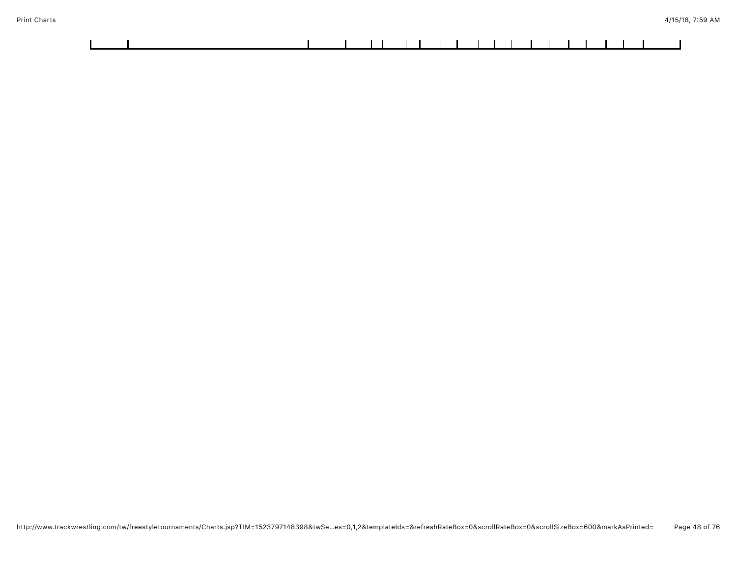#### 111111111111111  $\blacksquare$  $\mathbf{1}$ ×. **Committee Committee**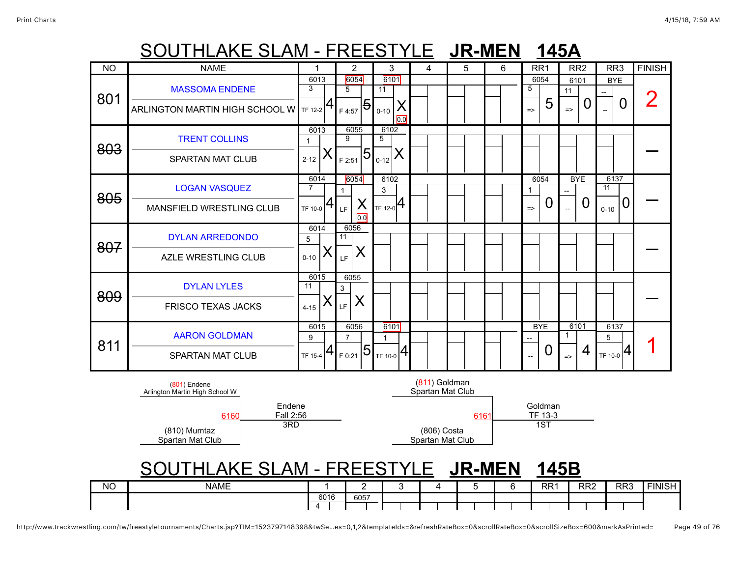| <b>NO</b>      | <b>NAME</b>                                                                                                                                                          | 1                                             | $\overline{2}$                             | 3                                      | 4                                                                    | 5    | 6 | RR1                                        | $\overline{RR2}$                           | RR <sub>3</sub>                | <b>FINISH</b> |
|----------------|----------------------------------------------------------------------------------------------------------------------------------------------------------------------|-----------------------------------------------|--------------------------------------------|----------------------------------------|----------------------------------------------------------------------|------|---|--------------------------------------------|--------------------------------------------|--------------------------------|---------------|
| 801            | <b>MASSOMA ENDENE</b><br>ARLINGTON MARTIN HIGH SCHOOL W                                                                                                              | 6013<br>3<br>4<br>TF 12-2                     | 6054<br>5<br>$\overline{\theta}$<br>F 4:57 | 6101<br>11<br>Х<br>$0 - 10$<br>0.0     |                                                                      |      |   | 6054<br>5<br>5<br>$\Rightarrow$            | 6101<br>11<br>$\bf{0}$<br>$\Rightarrow$    | <b>BYE</b><br>Ü                | 2             |
| 803            | <b>TRENT COLLINS</b><br><b>SPARTAN MAT CLUB</b>                                                                                                                      | 6013<br>$\mathbf{1}$<br>Х<br>$2 - 12$         | 6055<br>9<br>5<br>F 2:51                   | 6102<br>5<br>X<br>$0 - 12$             |                                                                      |      |   |                                            |                                            |                                |               |
| 805            | <b>LOGAN VASQUEZ</b><br>MANSFIELD WRESTLING CLUB                                                                                                                     | 6014<br>$\overline{7}$<br>4<br><b>TF 10-0</b> | 6054<br>$\mathbf{1}$<br>X<br>LF<br>0.0     | 6102<br>3<br>$T_{TF\ 12-0}$ 4          |                                                                      |      |   | 6054<br>$\mathbf{1}$<br>0<br>$\Rightarrow$ | <b>BYE</b><br>$\overline{0}$               | 6137<br>11<br>O<br>$0 - 10$    |               |
| 807            | <b>DYLAN ARREDONDO</b><br>AZLE WRESTLING CLUB                                                                                                                        | 6014<br>$\overline{5}$<br>$0 - 10$            | 6056<br>11<br>Χ<br>LF                      |                                        |                                                                      |      |   |                                            |                                            |                                |               |
| 809            | <b>DYLAN LYLES</b><br><b>FRISCO TEXAS JACKS</b>                                                                                                                      | 6015<br>11<br>$4 - 15$                        | 6055<br>3<br>X<br>LF                       |                                        |                                                                      |      |   |                                            |                                            |                                |               |
| 811            | <b>AARON GOLDMAN</b><br><b>SPARTAN MAT CLUB</b>                                                                                                                      | 6015<br>9<br>TF 15-4                          | 6056<br>$\overline{7}$<br>5<br>F 0:21      | 6101<br>$\overline{1}$<br>4<br>TF 10-0 |                                                                      |      |   | <b>BYE</b><br>0                            | 6101<br>$\mathbf{1}$<br>4<br>$\Rightarrow$ | 6137<br>$\mathbf 5$<br>TF 10-0 | ◀             |
|                | $(801)$ Endene<br>Arlington Martin High School W<br>Endene<br>Fall 2:56<br>6160<br>3RD<br>(810) Mumtaz<br>Spartan Mat Club<br>SOUTHLAKE SLAM - FREESTYLE JR-MEN 145B |                                               |                                            |                                        | (811) Goldman<br>Spartan Mat Club<br>(806) Costa<br>Spartan Mat Club | 6161 |   | Goldman<br>TF 13-3<br>1ST                  |                                            |                                |               |
| N <sub>O</sub> | <b>NAME</b>                                                                                                                                                          | 1                                             | $\overline{2}$                             | 3                                      | 4                                                                    | 5    | 6 | $\overline{RR1}$                           | $\overline{RR2}$                           | $\overline{RR3}$               | <b>FINISH</b> |
|                |                                                                                                                                                                      | 6016<br>$\overline{4}$                        | 6057                                       |                                        |                                                                      |      |   |                                            |                                            |                                |               |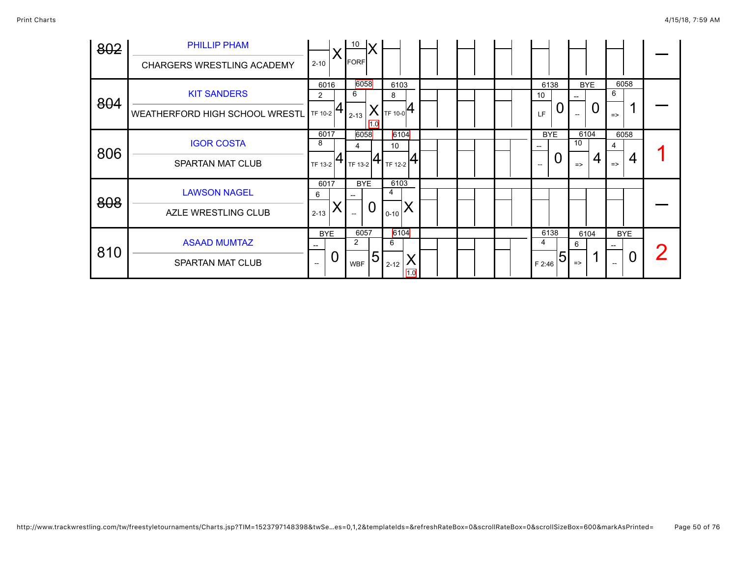| 802 | <b>PHILLIP PHAM</b><br>CHARGERS WRESTLING ACADEMY    | $2 - 10$                                    | 10<br>lX<br><b>FORF</b>                |                                                             |                           |                                  |                                 |  |
|-----|------------------------------------------------------|---------------------------------------------|----------------------------------------|-------------------------------------------------------------|---------------------------|----------------------------------|---------------------------------|--|
| 804 | <b>KIT SANDERS</b><br>WEATHERFORD HIGH SCHOOL WRESTL | 6016<br>$\overline{2}$<br>$T_{TF 10-2}$ $4$ | 6058<br>6<br>$2 - 13$<br>1.0           | 6103<br>8<br>$X _{TF 10-0}$ <sup>4</sup>                    | 6138<br>10<br>U<br>LF     | <b>BYE</b><br>$\boldsymbol{0}$   | 6058<br>6<br>$\Rightarrow$      |  |
| 806 | <b>IGOR COSTA</b><br><b>SPARTAN MAT CLUB</b>         | 6017<br>8<br>14 I<br>TF 13-2                | 6058<br>4                              | 6104<br>10<br>TF 13-2 $ \mathbf{4} $ TF 12-2 $ \mathbf{4} $ | <b>BYE</b><br>U<br>$\sim$ | 6104<br>10<br>4<br>$\Rightarrow$ | 6058<br>4<br>4<br>$\Rightarrow$ |  |
| 808 | <b>LAWSON NAGEL</b><br>AZLE WRESTLING CLUB           | 6017<br>6<br>$2 - 13$                       | <b>BYE</b><br>$\overline{\phantom{a}}$ | 6103<br>4<br>$1_{0-10}$ $\Lambda$                           |                           |                                  |                                 |  |
| 810 | <b>ASAAD MUMTAZ</b><br><b>SPARTAN MAT CLUB</b>       | <b>BYE</b><br>U<br>$\overline{\phantom{a}}$ | 6057<br>2<br>5<br><b>WBF</b>           | 6104<br>6<br>∧<br>$2 - 12$<br>1.0                           | 6138<br>4<br>5<br>F 2:46  | 6104<br>6<br>$\Rightarrow$       | <b>BYE</b><br>U                 |  |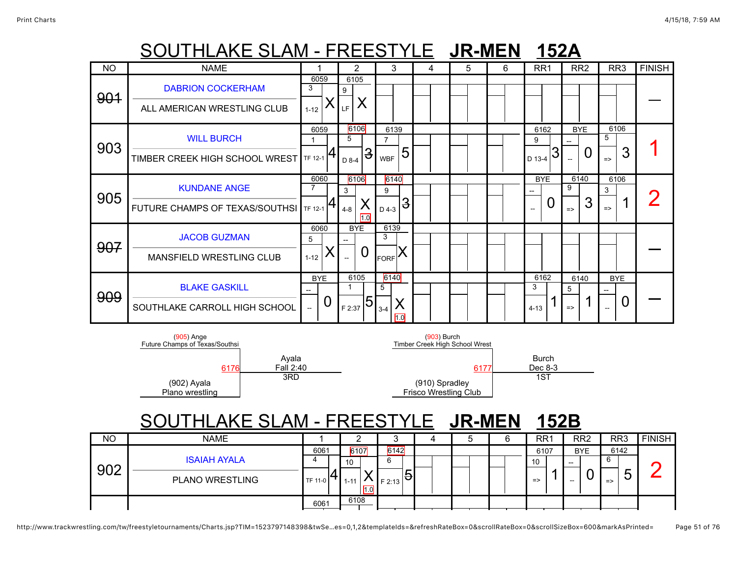| <b>NO</b> | <b>NAME</b>                                                   |                                             | 2                                      | 3                                             | 4 | 5 | 6 | RR <sub>1</sub>                             | RR <sub>2</sub>                 | RR3                             | <b>FINISH</b> |
|-----------|---------------------------------------------------------------|---------------------------------------------|----------------------------------------|-----------------------------------------------|---|---|---|---------------------------------------------|---------------------------------|---------------------------------|---------------|
| 901       | <b>DABRION COCKERHAM</b><br>ALL AMERICAN WRESTLING CLUB       | 6059<br>3<br>$1 - 12$                       | 6105<br>9<br>↗<br>LF                   |                                               |   |   |   |                                             |                                 |                                 |               |
| 903       | <b>WILL BURCH</b><br>TIMBER CREEK HIGH SCHOOL WREST   TF 12-1 | 6059                                        | 6106<br>5<br>$\overline{3}$<br>$D_8-4$ | 6139<br>7<br>5<br><b>WBF</b>                  |   |   |   | 6162<br>9<br>3<br>D 13-4                    | <b>BYE</b><br>$\Box$<br>$\sim$  | 6106<br>5<br>З<br>$\Rightarrow$ |               |
| 905       | <b>KUNDANE ANGE</b><br>FUTURE CHAMPS OF TEXAS/SOUTHSI TF 12-1 | 6060<br>7                                   | 6106<br>3<br>Χ<br>$4 - 8$<br>1.0       | 6140<br>9<br>$\overline{\mathbf{3}}$<br>D 4-3 |   |   |   | <b>BYE</b><br>U<br>$\overline{\phantom{a}}$ | 6140<br>9<br>3<br>$\Rightarrow$ | 6106<br>3<br>$\Rightarrow$      |               |
| 907       | <b>JACOB GUZMAN</b><br>MANSFIELD WRESTLING CLUB               | 6060<br>5<br>$1 - 12$                       | <b>BYE</b><br>0                        | 6139<br>3<br><b>FORF</b>                      |   |   |   |                                             |                                 |                                 |               |
| 909       | <b>BLAKE GASKILL</b><br>SOUTHLAKE CARROLL HIGH SCHOOL         | <b>BYE</b><br>0<br>$\overline{\phantom{a}}$ | 6105<br>$\frac{1}{152.37}$ 51          | 6140<br>5<br>X<br>$3 - 4$<br>1.0              |   |   |   | 6162<br>3<br>$4 - 13$                       | 6140<br>5<br>$\Rightarrow$      | <b>BYE</b><br>C<br>$\sim$       |               |



| <b>NO</b> | <b>NAME</b>                            |                             | _                         |                     | J | RR <sub>1</sub>             | RR <sub>2</sub>                   | RR3                                    | <b>FINISH</b> |
|-----------|----------------------------------------|-----------------------------|---------------------------|---------------------|---|-----------------------------|-----------------------------------|----------------------------------------|---------------|
| 902       | <b>ISAIAH AYALA</b><br>PLANO WRESTLING | 6061<br>4<br><b>TF 11-0</b> | 6107<br>-10<br>1-1<br>יין | 6142<br>о<br>F 2:13 |   | 6107<br>10<br>$\Rightarrow$ | <b>BYE</b><br>$- -$<br>◡<br>$- -$ | 6142<br>- 6<br>∽<br>◡<br>$\Rightarrow$ |               |
|           |                                        | 6061                        | 6108                      |                     |   |                             |                                   |                                        |               |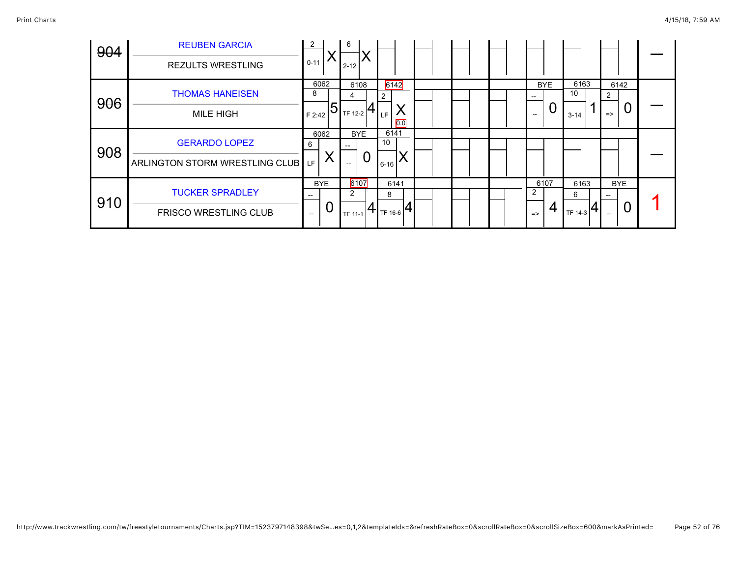| 904 | <b>REUBEN GARCIA</b>           | $\overline{2}$           |                | 6        |                      |                |            |     |  |  |  |               |            |            |                |            |  |
|-----|--------------------------------|--------------------------|----------------|----------|----------------------|----------------|------------|-----|--|--|--|---------------|------------|------------|----------------|------------|--|
|     | <b>REZULTS WRESTLING</b>       | $0 - 11$                 |                | $2 - 12$ |                      |                |            |     |  |  |  |               |            |            |                |            |  |
|     | <b>THOMAS HANEISEN</b>         | 8                        | 6062           | 4        | 6108                 | $\overline{2}$ | 6142       |     |  |  |  |               | <b>BYE</b> | 6163<br>10 | $\mathfrak{p}$ | 6142       |  |
| 906 | <b>MILE HIGH</b>               | F 2:42                   | $\overline{5}$ |          | TF 12-2 <sup>-</sup> | LF             |            | 0.0 |  |  |  |               | U          | $3 - 14$   | $\Rightarrow$  | U          |  |
|     | <b>GERARDO LOPEZ</b>           | 6                        | 6062           |          | <b>BYE</b>           |                | 6141<br>10 |     |  |  |  |               |            |            |                |            |  |
| 908 |                                |                          | Χ              |          | $\Box$               |                |            |     |  |  |  |               |            |            |                |            |  |
|     | ARLINGTON STORM WRESTLING CLUB | LF                       |                |          |                      |                | $6 - 16$   |     |  |  |  |               |            |            |                |            |  |
|     |                                |                          | <b>BYE</b>     |          | 6107                 |                | 6141       |     |  |  |  | 2             | 6107       | 6163       |                | <b>BYE</b> |  |
| 910 | <b>TUCKER SPRADLEY</b>         |                          |                | 2        |                      |                | 8          |     |  |  |  |               |            | 6          |                |            |  |
|     | <b>FRISCO WRESTLING CLUB</b>   | $\overline{\phantom{a}}$ | 0              | TF 11-1  |                      |                | TF 16-6    | 14  |  |  |  | $\Rightarrow$ | 4          | TF 14-3    |                | C          |  |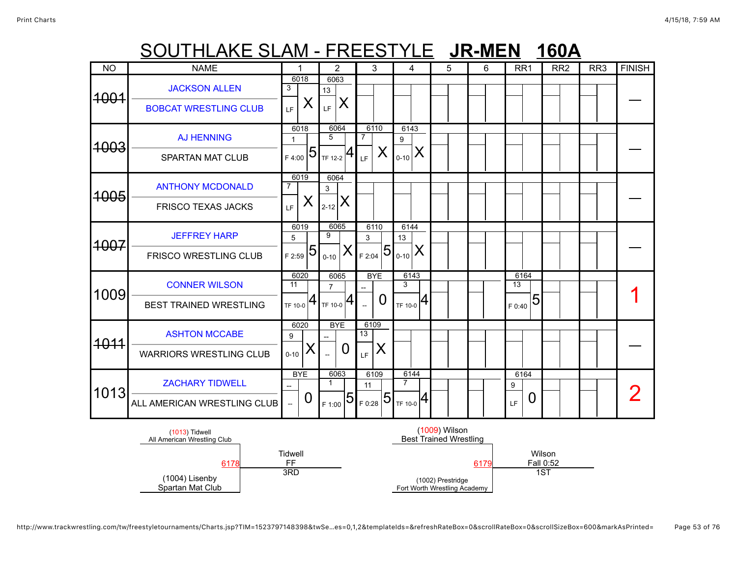| $\overline{NO}$ | <b>NAME</b>                                                             | 1                                              | $\overline{2}$                         | 3                                     | $\overline{4}$              | 5                                                                   | 6    | RR <sub>1</sub>           | RR <sub>2</sub>            | RR <sub>3</sub> | <b>FINISH</b> |
|-----------------|-------------------------------------------------------------------------|------------------------------------------------|----------------------------------------|---------------------------------------|-----------------------------|---------------------------------------------------------------------|------|---------------------------|----------------------------|-----------------|---------------|
| 1001            | <b>JACKSON ALLEN</b><br><b>BOBCAT WRESTLING CLUB</b>                    | 6018<br>3<br>X<br>LF.                          | 6063<br>13<br>X<br>LF                  |                                       |                             |                                                                     |      |                           |                            |                 |               |
| 1003            | <b>AJ HENNING</b><br>SPARTAN MAT CLUB                                   | 6018<br>$\mathbf{1}$<br>5<br>F 4:00            | 6064<br>5<br>TF 12-2                   | 6110<br>7<br>X<br>LF                  | 6143<br>9<br>Χ<br>$0 - 10$  |                                                                     |      |                           |                            |                 |               |
| <b>1005</b>     | <b>ANTHONY MCDONALD</b><br><b>FRISCO TEXAS JACKS</b>                    | 6019<br>7<br>X<br>LF                           | 6064<br>3<br>Χ<br>$2 - 12$             |                                       |                             |                                                                     |      |                           |                            |                 |               |
| 1007            | <b>JEFFREY HARP</b><br>FRISCO WRESTLING CLUB                            | 6019<br>5<br>5<br>F 2:59                       | 6065<br>9<br>$0 - 10$                  | 6110<br>3<br>$\overline{5}$<br>F 2:04 | 6144<br>13<br>X<br>$0 - 10$ |                                                                     |      |                           |                            |                 |               |
| 1009            | <b>CONNER WILSON</b><br>BEST TRAINED WRESTLING                          | 6020<br>$\overline{11}$<br>H<br><b>TF 10-0</b> | 6065<br>$\overline{7}$<br>−<br>TF 10-0 | <b>BYE</b><br>O<br>$\sim$             | 6143<br>3<br>14<br>TF 10-0  |                                                                     |      | 6164<br>13<br>5<br>F 0:40 |                            |                 |               |
| 4044            | <b>ASHTON MCCABE</b><br><b>WARRIORS WRESTLING CLUB</b>                  | 6020<br>9<br>Х<br>$0 - 10$                     | <b>BYE</b><br>O<br>$\overline{a}$      | 6109<br>13<br>X<br>LF                 |                             |                                                                     |      |                           |                            |                 |               |
| 1013            | <b>ZACHARY TIDWELL</b><br>ALL AMERICAN WRESTLING CLUB                   | <b>BYE</b><br>O<br>$\ddotsc$                   | 6063<br>1<br>5<br>F 1:00               | 6109<br>11<br>$T_{F,0:28}$ 5          | 6144<br>7<br>4<br>TF 10-0   |                                                                     |      | 6164<br>9<br>0<br>LF      |                            |                 | 2             |
|                 | (1013) Tidwell<br>All American Wrestling Club<br>6178<br>(1004) Lisenby | Tidwell<br>FF<br>3RD                           |                                        |                                       |                             | (1009) Wilson<br><b>Best Trained Wrestling</b><br>(1002) Prestridge | 6179 |                           | Wilson<br>Fall 0:52<br>1ST |                 |               |

http://www.trackwrestling.com/tw/freestyletournaments/Charts.jsp?TIM=1523797148398&twSe…es=0,1,2&templateIds=&refreshRateBox=0&scrollRateBox=0&scrollSizeBox=600&markAsPrinted= Page 53 of 76

(1002) Prestridge Fort Worth Wrestling Academy

Spartan Mat Club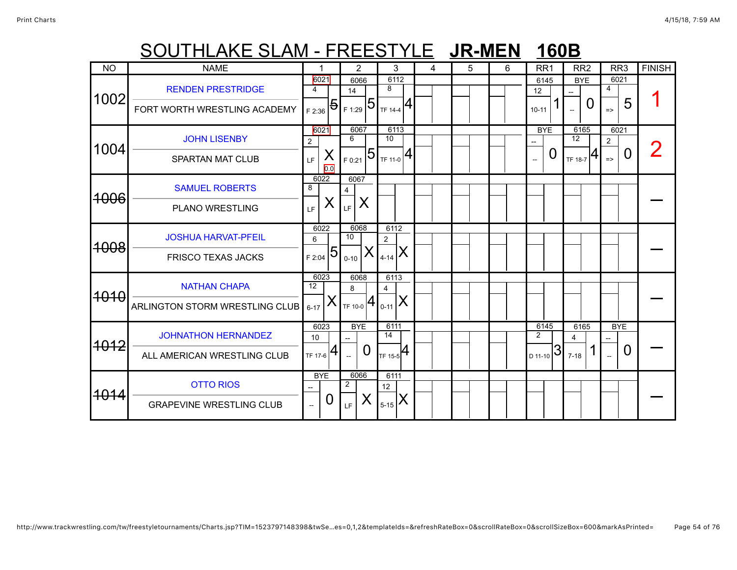| <b>NO</b>       | <b>NAME</b>                                               | 1                                        | 2                                                         | 3                                       | 4 | 5 | 6 | RR <sub>1</sub>           | $\overline{RR2}$                          | $\overline{RR3}$                | <b>FINISH</b> |
|-----------------|-----------------------------------------------------------|------------------------------------------|-----------------------------------------------------------|-----------------------------------------|---|---|---|---------------------------|-------------------------------------------|---------------------------------|---------------|
| 1002            | <b>RENDEN PRESTRIDGE</b><br>FORT WORTH WRESTLING ACADEMY  | 6021<br>4<br>5<br>F 2:36                 | 6066<br>14<br>5<br>F 1:29                                 | 6112<br>8<br>4<br>TF 14-4               |   |   |   | 6145<br>12<br>$10 - 11$   | <b>BYE</b><br>$\mathbf{\Omega}$<br>$\sim$ | 6021<br>4<br>5<br>$\Rightarrow$ |               |
| 1004            | <b>JOHN LISENBY</b><br><b>SPARTAN MAT CLUB</b>            | 6021<br>$\overline{2}$<br>X<br>LF<br>0.0 | 6067<br>6<br>5<br>F 0:21                                  | 6113<br>10<br> 4<br>TF 11-0             |   |   |   | <b>BYE</b><br>O           | 6165<br>12<br>H<br>TF 18-7                | 6021<br>2<br>O<br>$\Rightarrow$ |               |
| <del>1006</del> | <b>SAMUEL ROBERTS</b><br><b>PLANO WRESTLING</b>           | 6022<br>8<br>X<br>LF.                    | 6067<br>$\overline{4}$<br>$\boldsymbol{\mathsf{X}}$<br>LF |                                         |   |   |   |                           |                                           |                                 |               |
| <del>1008</del> | <b>JOSHUA HARVAT-PFEIL</b><br><b>FRISCO TEXAS JACKS</b>   | 6022<br>6<br>$\overline{5}$<br>F 2:04    | 6068<br>10<br>$0 - 10$                                    | 6112<br>$\overline{2}$<br>Χ<br>$4 - 14$ |   |   |   |                           |                                           |                                 |               |
| 1010            | <b>NATHAN CHAPA</b><br>ARLINGTON STORM WRESTLING CLUB     | 6023<br>12<br>$6 - 17$                   | 6068<br>8<br>TF 10-0                                      | 6113<br>4<br>X<br>$0 - 11$              |   |   |   |                           |                                           |                                 |               |
| <del>1012</del> | <b>JOHNATHON HERNANDEZ</b><br>ALL AMERICAN WRESTLING CLUB | 6023<br>10<br>т.<br>TF 17-6              | <b>BYE</b><br>0<br>$\sim$                                 | 6111<br>14<br>4<br><b>TF 15-5</b>       |   |   |   | 6145<br>2<br>3<br>D 11-10 | 6165<br>4<br>$7 - 18$                     | <b>BYE</b><br>O                 |               |
| <del>1014</del> | <b>OTTO RIOS</b><br><b>GRAPEVINE WRESTLING CLUB</b>       | <b>BYE</b><br>0<br>$\overline{a}$        | 6066<br>$\mathbf{2}$<br>X<br>LF.                          | 6111<br>12<br>Χ<br>$5 - 15$             |   |   |   |                           |                                           |                                 |               |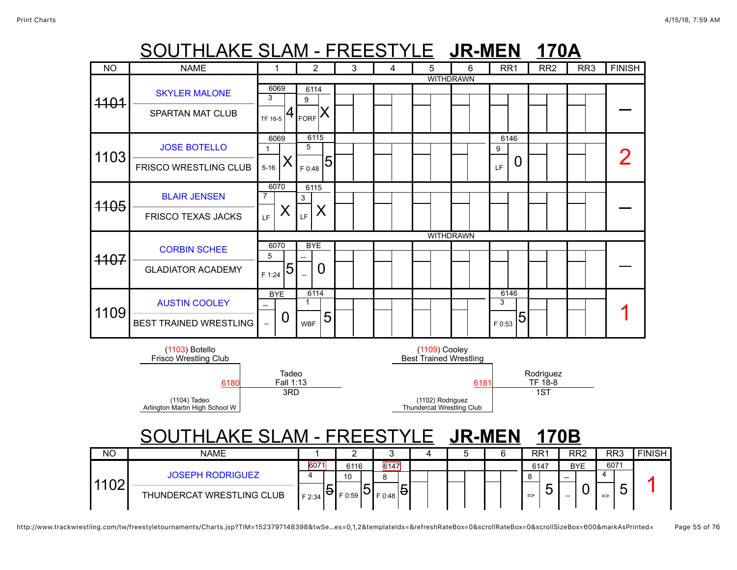| <b>NO</b>   | <b>NAME</b>                                    | 1                      | $\overline{2}$    | 3          | $\overline{\mathbf{4}}$                          | 5                | 6                                | RR <sub>1</sub> | RR <sub>2</sub>    |                | RR <sub>3</sub>  | <b>FINISH</b>      |               |
|-------------|------------------------------------------------|------------------------|-------------------|------------|--------------------------------------------------|------------------|----------------------------------|-----------------|--------------------|----------------|------------------|--------------------|---------------|
|             |                                                |                        |                   |            |                                                  |                  | <b>WITHDRAWN</b>                 |                 |                    |                |                  |                    |               |
|             | <b>SKYLER MALONE</b>                           | 6069<br>3              | 6114<br>9         |            |                                                  |                  |                                  |                 |                    |                |                  |                    |               |
| <b>1101</b> | <b>SPARTAN MAT CLUB</b>                        | TF 16-5                | FORF <sup>X</sup> |            |                                                  |                  |                                  |                 |                    |                |                  |                    |               |
|             | <b>JOSE BOTELLO</b>                            | 6069<br>$\mathbf{1}$   | 6115<br>5         |            |                                                  |                  |                                  | 6146<br>9       |                    |                |                  | $\overline{2}$     |               |
| 1103        | <b>FRISCO WRESTLING CLUB</b>                   | Х<br>$5 - 16$          | 5<br>F 0:48       |            |                                                  |                  |                                  | 0<br>LF         |                    |                |                  |                    |               |
| <b>4105</b> | <b>BLAIR JENSEN</b>                            | 6070<br>$\overline{7}$ | 6115<br>3         |            |                                                  |                  |                                  |                 |                    |                |                  |                    |               |
|             | <b>FRISCO TEXAS JACKS</b>                      | X<br>LF                | X<br>LF           |            |                                                  |                  |                                  |                 |                    |                |                  |                    |               |
|             |                                                |                        |                   |            |                                                  |                  | <b>WITHDRAWN</b>                 |                 |                    |                |                  |                    |               |
|             | <b>CORBIN SCHEE</b>                            | 6070<br>5              | <b>BYE</b>        |            |                                                  |                  |                                  |                 |                    |                |                  |                    |               |
| <b>1107</b> | <b>GLADIATOR ACADEMY</b>                       | 5<br>F 1:24            | 0                 |            |                                                  |                  |                                  |                 |                    |                |                  |                    |               |
|             |                                                | <b>BYE</b>             | 6114              |            |                                                  |                  |                                  | 6146            |                    |                |                  |                    |               |
| 1109        | <b>AUSTIN COOLEY</b>                           |                        | $\mathbf{1}$      |            |                                                  |                  |                                  | 3               |                    |                |                  |                    |               |
|             | BEST TRAINED WRESTLING                         | 0                      | 5<br><b>WBF</b>   |            |                                                  |                  |                                  | F 0:53          | 5                  |                |                  |                    |               |
|             | (1103) Botello<br>Frisco Wrestling Club        |                        |                   |            |                                                  | (1109) Cooley    | <b>Best Trained Wrestling</b>    |                 |                    |                |                  |                    |               |
|             |                                                | Tadeo                  |                   |            |                                                  |                  |                                  |                 | Rodriguez          |                |                  |                    |               |
|             | 6180                                           | Fall 1:13              |                   |            |                                                  |                  | 6181                             |                 | TF 18-8            |                |                  |                    |               |
|             | (1104) Tadeo<br>Arlington Martin High School W | 3RD                    |                   |            |                                                  | (1102) Rodriguez | <b>Thundercat Wrestling Club</b> |                 | 1ST                |                |                  |                    |               |
|             | <b>SOUTHLAKE SLAM - FREESTYLE</b>              |                        |                   |            |                                                  |                  | <b>JR-MEN 170B</b>               |                 |                    |                |                  |                    |               |
| <b>NO</b>   | <b>NAME</b>                                    |                        |                   | 2          | 3                                                | 4                | 5                                | 6               | RR <sub>1</sub>    |                | RR <sub>2</sub>  | RR <sub>3</sub>    | <b>FINISH</b> |
|             | <b>JOSEPH RODRIGUEZ</b>                        |                        | 6071<br>4         | 6116<br>10 | 6147<br>8                                        |                  |                                  |                 | 6147<br>8          |                | <b>BYE</b>       | 6071<br>4          |               |
| 1102        | THUNDERCAT WRESTLING CLUB                      |                        |                   |            | $\frac{1}{2.34}$ 5 $5.005$ 5 $\frac{1}{2.000}$ 5 |                  |                                  |                 | 5<br>$\Rightarrow$ | $\overline{a}$ | $\boldsymbol{0}$ | 5<br>$\Rightarrow$ |               |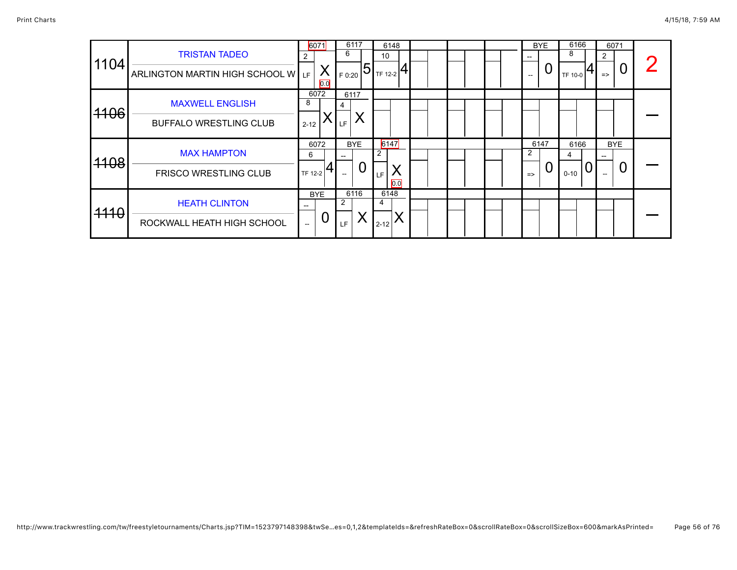|      |                                   |          | 6071       |     | 6117                         |        | 6148                   |  |  |               | <b>BYE</b> | 6166     |   | 6071           |            |  |
|------|-----------------------------------|----------|------------|-----|------------------------------|--------|------------------------|--|--|---------------|------------|----------|---|----------------|------------|--|
|      | <b>TRISTAN TADEO</b>              |          |            | 6   |                              | 10     |                        |  |  |               |            | 8        |   | $\overline{2}$ |            |  |
| 1104 | ARLINGTON MARTIN HIGH SCHOOL WILF |          | Χ<br>0.0   |     | $_{\rm 10:20}$ 5 $_{\rm 70}$ |        | $T_{\text{TF 12-2}} 4$ |  |  | --            | U          | TF 10-0  |   | $\Rightarrow$  |            |  |
| 4106 | <b>MAXWELL ENGLISH</b>            | 8        | 6072       | 4   | 6117                         |        |                        |  |  |               |            |          |   |                |            |  |
|      | <b>BUFFALO WRESTLING CLUB</b>     | $2 - 12$ |            | LF. |                              |        |                        |  |  |               |            |          |   |                |            |  |
|      |                                   |          | 6072       |     | <b>BYE</b>                   |        | 6147                   |  |  |               | 6147       | 6166     |   |                | <b>BYE</b> |  |
|      | <b>MAX HAMPTON</b>                | 6        |            |     |                              | 2      |                        |  |  |               |            | 4        |   |                |            |  |
| 4108 | <b>FRISCO WRESTLING CLUB</b>      | TF 12-2  |            |     | U                            | LF     | ᄉ<br>0.0               |  |  | $\Rightarrow$ | O          | $0 - 10$ | O | $\sim$         | ( )        |  |
|      |                                   |          | <b>BYE</b> |     | 6116                         |        | 6148                   |  |  |               |            |          |   |                |            |  |
|      | <b>HEATH CLINTON</b>              |          |            |     |                              | 4      |                        |  |  |               |            |          |   |                |            |  |
| 4440 | ROCKWALL HEATH HIGH SCHOOL        | $- -$    | 0          | LF. |                              | $2-12$ |                        |  |  |               |            |          |   |                |            |  |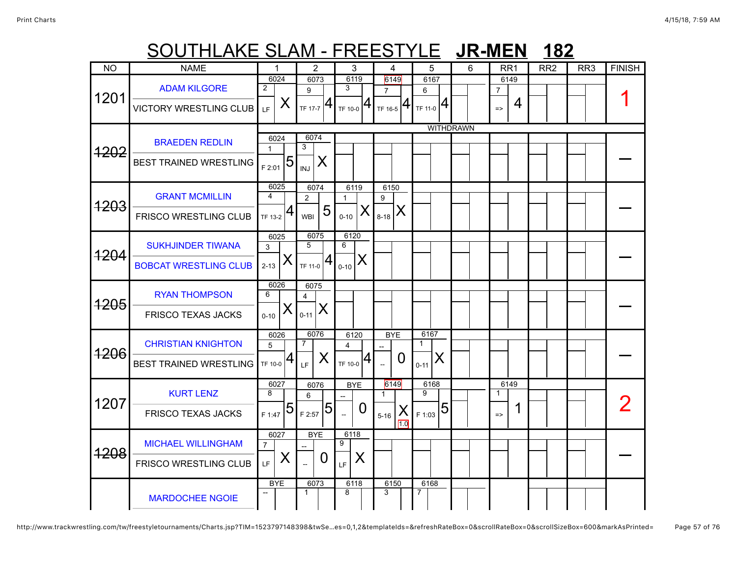| $\overline{NO}$ | <b>NAME</b>                   | 1                      | $\overline{2}$         |                | 3                    |                | 4                      |          | 5                      |                  | 6 | RR <sub>1</sub> |      | RR <sub>2</sub> | RR <sub>3</sub> | <b>FINISH</b> |
|-----------------|-------------------------------|------------------------|------------------------|----------------|----------------------|----------------|------------------------|----------|------------------------|------------------|---|-----------------|------|-----------------|-----------------|---------------|
|                 | <b>ADAM KILGORE</b>           | 6024<br>$\overline{c}$ | 6073<br>9              |                | 6119<br>3            |                | 6149<br>$\overline{7}$ |          | 6167<br>6              |                  |   | $\overline{7}$  | 6149 |                 |                 |               |
| 1201            | <b>VICTORY WRESTLING CLUB</b> | X<br>LE.               | TF 17-7 <sup>4</sup>   |                | TF 10-0              |                | $T$ F 16-5 $ 4 $       |          | TF 11-0                | 4                |   | $\Rightarrow$   | 4    |                 |                 |               |
|                 |                               |                        |                        |                |                      |                |                        |          |                        | <b>WITHDRAWN</b> |   |                 |      |                 |                 |               |
|                 | <b>BRAEDEN REDLIN</b>         | 6024<br>$\mathbf{1}$   | 6074<br>3              |                |                      |                |                        |          |                        |                  |   |                 |      |                 |                 |               |
| <b>1202</b>     | BEST TRAINED WRESTLING        | 5<br>F 2:01            | <b>INJ</b>             | Χ              |                      |                |                        |          |                        |                  |   |                 |      |                 |                 |               |
|                 | <b>GRANT MCMILLIN</b>         | 6025<br>4              | 6074<br>$\overline{2}$ |                | 6119<br>$\mathbf{1}$ |                | 6150<br>9              |          |                        |                  |   |                 |      |                 |                 |               |
| <b>1203</b>     | <b>FRISCO WRESTLING CLUB</b>  | 4<br>TF 13-2           | <b>WBI</b>             | 5              | $0 - 10$             | Х              | $8 - 18$               | X        |                        |                  |   |                 |      |                 |                 |               |
|                 | <b>SUKHJINDER TIWANA</b>      | 6025<br>3              | 6075<br>5              |                | 6120<br>6            |                |                        |          |                        |                  |   |                 |      |                 |                 |               |
| <b>1204</b>     | <b>BOBCAT WRESTLING CLUB</b>  | $2 - 13$               | TF 11-0                |                | $0 - 10$             | X              |                        |          |                        |                  |   |                 |      |                 |                 |               |
|                 | <b>RYAN THOMPSON</b>          | 6026<br>6              | 6075<br>4              |                |                      |                |                        |          |                        |                  |   |                 |      |                 |                 |               |
| <del>1205</del> | <b>FRISCO TEXAS JACKS</b>     | ∧<br>$0 - 10$          | $0 - 11$               | X              |                      |                |                        |          |                        |                  |   |                 |      |                 |                 |               |
|                 | <b>CHRISTIAN KNIGHTON</b>     | 6026<br>5              | 6076                   |                | 6120<br>4            |                | <b>BYE</b>             |          | 6167<br>1              |                  |   |                 |      |                 |                 |               |
| <b>1206</b>     | <b>BEST TRAINED WRESTLING</b> | 4<br>TF 10-0           | LF.                    | X              | TF 10-0              | 14             | $\sim$                 | O        | $0 - 11$               | Х                |   |                 |      |                 |                 |               |
|                 | <b>KURT LENZ</b>              | 6027<br>$\overline{8}$ | 6076<br>6              |                | <b>BYE</b>           |                | 6149<br>$\mathbf{1}$   |          | 6168<br>$\overline{9}$ |                  |   | $\mathbf 1$     | 6149 |                 |                 |               |
| 1207            | <b>FRISCO TEXAS JACKS</b>     | 5<br>F 1:47            | F 2:57                 | $\overline{5}$ | $\sim$               | $\overline{0}$ | $5 - 16$               | X<br>1.0 | F 1:03                 | 5                |   | $\Rightarrow$   | 1    |                 |                 |               |
|                 | <b>MICHAEL WILLINGHAM</b>     | 6027                   | <b>BYE</b>             |                | 6118<br>9            |                |                        |          |                        |                  |   |                 |      |                 |                 |               |
| <b>4208</b>     |                               | $\overline{7}$<br>Х    |                        | $\overline{0}$ |                      | X              |                        |          |                        |                  |   |                 |      |                 |                 |               |
|                 | <b>FRISCO WRESTLING CLUB</b>  | LF                     |                        |                | LF                   |                |                        |          |                        |                  |   |                 |      |                 |                 |               |
|                 | <b>MARDOCHEE NGOIE</b>        | <b>BYE</b>             | 6073<br>$\mathbf{1}$   |                | 6118<br>8            |                | 6150<br>3              |          | 6168<br>7              |                  |   |                 |      |                 |                 |               |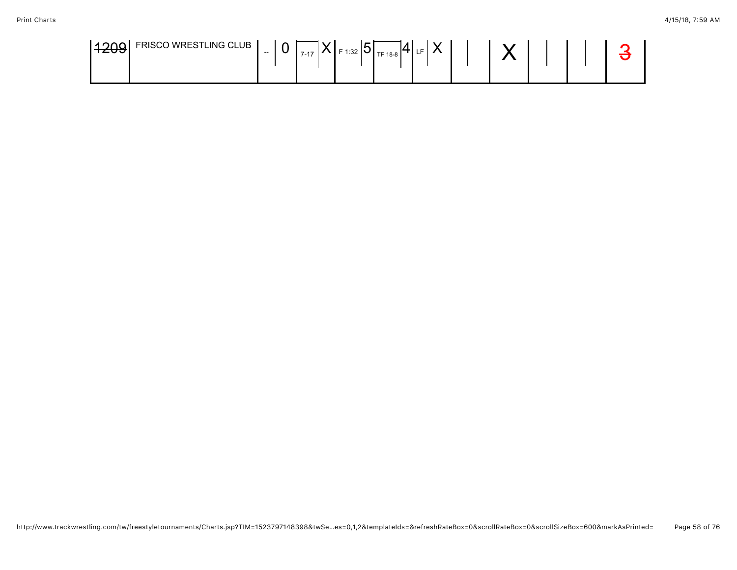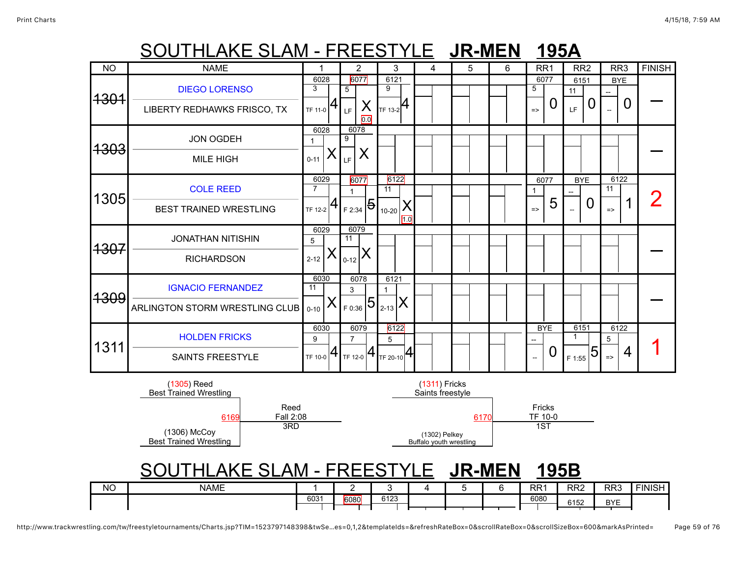| $\overline{NO}$ | <b>NAME</b>                                                                                                                                                     | $\mathbf 1$                              | $\overline{2}$                            | 3                                                     | $\overline{\mathbf{4}}$                                                         | 5                     | 6 | RR <sub>1</sub>                         | RR <sub>2</sub>              | $\overline{RR3}$                 | <b>FINISH</b> |
|-----------------|-----------------------------------------------------------------------------------------------------------------------------------------------------------------|------------------------------------------|-------------------------------------------|-------------------------------------------------------|---------------------------------------------------------------------------------|-----------------------|---|-----------------------------------------|------------------------------|----------------------------------|---------------|
| <del>1301</del> | <b>DIEGO LORENSO</b><br>LIBERTY REDHAWKS FRISCO, TX                                                                                                             | 6028<br>3<br>$4 \vert$<br><b>TF 11-0</b> | 6077<br>$5\overline{)}$<br>X<br>LF<br>0.0 | 6121<br>9<br>$T_{TF\ 13-2}$ 4                         |                                                                                 |                       |   | 6077<br>5<br>O<br>$\Rightarrow$         | 6151<br>11<br>O<br>LF        | <b>BYE</b><br>0                  |               |
| 1303            | <b>JON OGDEH</b><br><b>MILE HIGH</b>                                                                                                                            | 6028<br>$0 - 11$                         | 6078<br>9<br>X<br>LF                      |                                                       |                                                                                 |                       |   |                                         |                              |                                  |               |
| 1305            | <b>COLE REED</b><br><b>BEST TRAINED WRESTLING</b>                                                                                                               | 6029<br>$\overline{7}$<br>TF 12-2        | 6077<br>$\mathbf{1}$<br>5<br>F 2:34       | 6122<br>11<br>$10-20$<br>1.0                          |                                                                                 |                       |   | 6077<br>1<br>5<br>$\Rightarrow$         | <b>BYE</b><br>$\overline{0}$ | 6122<br>11<br>1<br>$\Rightarrow$ | 2             |
| <del>1307</del> | <b>JONATHAN NITISHIN</b><br><b>RICHARDSON</b>                                                                                                                   | 6029<br>5<br>$2 - 12$                    | 6079<br>11<br>X<br>$0 - 12$               |                                                       |                                                                                 |                       |   |                                         |                              |                                  |               |
| 1309            | <b>IGNACIO FERNANDEZ</b><br>ARLINGTON STORM WRESTLING CLUB                                                                                                      | 6030<br>11<br>$0 - 10$                   | 6078<br>3<br>$\overline{5}$<br>F 0:36     | 6121<br>$\mathbf{1}$<br>X<br>$2 - 13$                 |                                                                                 |                       |   |                                         |                              |                                  |               |
| 1311            | <b>HOLDEN FRICKS</b><br><b>SAINTS FREESTYLE</b>                                                                                                                 | 6030<br>9<br>ו ל<br>TF 10-0              | 6079<br>$\overline{7}$<br>TF 12-0         | 6122<br>5<br>$\mathbf{q}_{\mathsf{TF}\,20\text{-}10}$ |                                                                                 |                       |   | <b>BYE</b><br>0                         | 6151<br>1<br>5<br>F 1:55     | 6122<br>5<br>4<br>$\Rightarrow$  |               |
|                 | (1305) Reed<br>Best Trained Wrestling<br>Reed<br>Fall 2:08<br>6169<br>3RD<br>(1306) McCoy<br><b>Best Trained Wrestling</b><br><u>SOUTHLAKE SLAM - FREESTYLE</u> |                                          |                                           |                                                       | $(1311)$ Fricks<br>Saints freestyle<br>(1302) Pelkey<br>Buffalo youth wrestling | 6170<br><u>JR-MEN</u> |   | Fricks<br>TF 10-0<br>1ST<br><u>195B</u> |                              |                                  |               |
| <b>NO</b>       | <b>NAME</b>                                                                                                                                                     | -1                                       | $\overline{2}$                            | 3                                                     | 4                                                                               | 5                     | 6 | $\overline{RR1}$                        | $\overline{RR2}$             | $\overline{RR3}$                 | <b>FINISH</b> |
|                 |                                                                                                                                                                 | 6031                                     | 6080                                      | 6123                                                  |                                                                                 |                       |   | 6080                                    | 6152                         | <b>BYE</b>                       |               |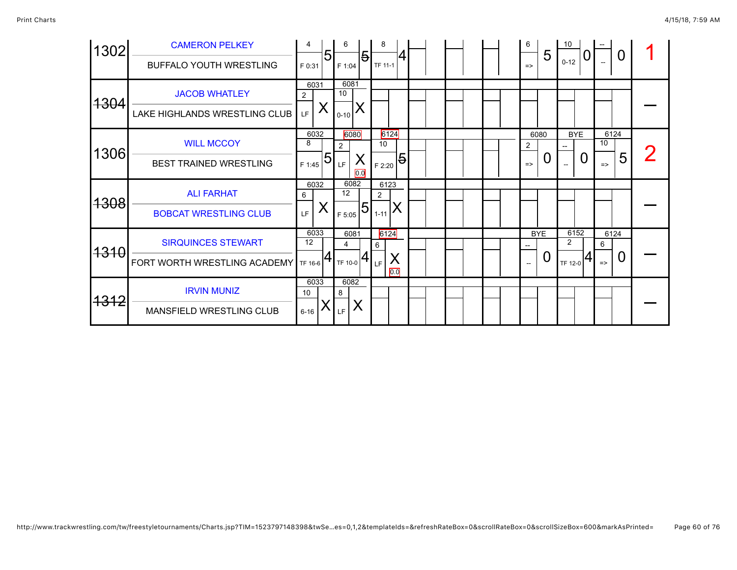| 1302            | <b>CAMERON PELKEY</b>                                     | 4                                  | 5               | 6                      | <u> 51</u>                    | 8                                                                     |          |  |  | 6                               | 5               | 10<br>$0 - 12$            | Û               |                          |           |  |
|-----------------|-----------------------------------------------------------|------------------------------------|-----------------|------------------------|-------------------------------|-----------------------------------------------------------------------|----------|--|--|---------------------------------|-----------------|---------------------------|-----------------|--------------------------|-----------|--|
|                 | <b>BUFFALO YOUTH WRESTLING</b>                            | F 0:31                             |                 | F 1:04                 |                               | TF 11-1                                                               |          |  |  | $\Rightarrow$                   |                 |                           |                 | $\overline{\phantom{a}}$ |           |  |
| 1304            | <b>JACOB WHATLEY</b><br>LAKE HIGHLANDS WRESTLING CLUB     | 6031<br>$\overline{2}$<br>LF.      | Χ               | 6081<br>10<br>$0 - 10$ |                               |                                                                       |          |  |  |                                 |                 |                           |                 |                          |           |  |
| 1306            | <b>WILL MCCOY</b><br>BEST TRAINED WRESTLING               | 6032<br>8<br>F 1:45                | $5\overline{)}$ | 2<br>LF                | 6080<br>X<br>$\overline{0.0}$ | 6124<br>10<br>F 2:20                                                  | 5        |  |  | $\overline{2}$<br>$\Rightarrow$ | 6080            |                           | <b>BYE</b><br>0 | 10<br>$\Rightarrow$      | 6124<br>5 |  |
| <del>1308</del> | <b>ALI FARHAT</b><br><b>BOBCAT WRESTLING CLUB</b>         | 6032<br>6<br>LF.                   | X               | 12<br>F 5:05           | 6082<br>5                     | 6123<br>$\overline{2}$<br>$\mathbf{y}_{_{1\text{-}11}} \mathsf{X} $ . |          |  |  |                                 |                 |                           |                 |                          |           |  |
| <del>1310</del> | <b>SIRQUINCES STEWART</b><br>FORT WORTH WRESTLING ACADEMY | 6033<br>$\overline{12}$<br>TF 16-6 |                 | 6081<br>4              | $T$ F 10-0 $^{4}$             | 6124<br>6<br>LF <sup>1</sup>                                          | X<br>0.0 |  |  |                                 | <b>BYE</b><br>0 | $\overline{2}$<br>TF 12-0 | 6152<br>4       | 6<br>$\Rightarrow$       | 6124      |  |
| <del>1312</del> | <b>IRVIN MUNIZ</b><br>MANSFIELD WRESTLING CLUB            | 6033<br>10<br>$6 - 16$             |                 | 6082<br>8<br>LF        | X                             |                                                                       |          |  |  |                                 |                 |                           |                 |                          |           |  |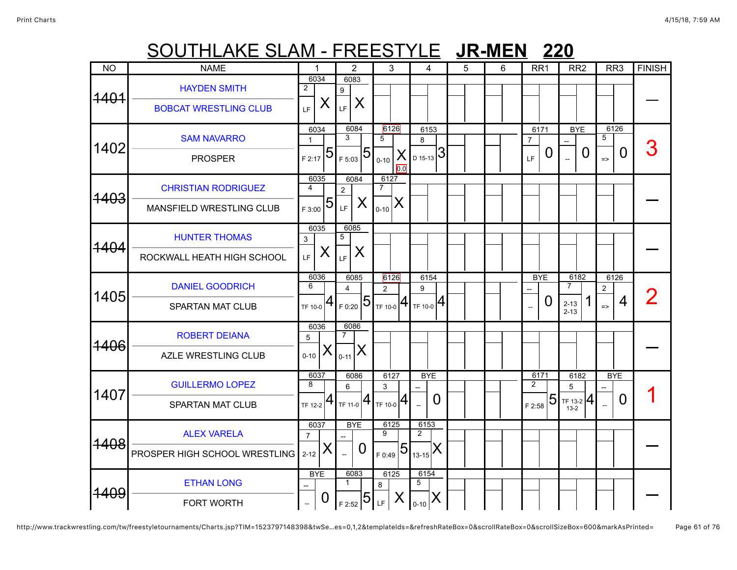| $\overline{NO}$ | <b>NAME</b>                                                | 1                                  |                           | $\overline{2}$                                                | 3                                       | 4                                       | 5 | 6 | RR <sub>1</sub>                                    | RR <sub>2</sub>                    | RR <sub>3</sub>                              | <b>FINISH</b> |
|-----------------|------------------------------------------------------------|------------------------------------|---------------------------|---------------------------------------------------------------|-----------------------------------------|-----------------------------------------|---|---|----------------------------------------------------|------------------------------------|----------------------------------------------|---------------|
| <del>1401</del> | <b>HAYDEN SMITH</b><br><b>BOBCAT WRESTLING CLUB</b>        | 6034<br>$\overline{2}$<br>X<br>IF. | $9\,$<br>LF.              | 6083<br>X                                                     |                                         |                                         |   |   |                                                    |                                    |                                              |               |
| 1402            | <b>SAM NAVARRO</b><br><b>PROSPER</b>                       | 6034<br>$\mathbf{1}$<br>F 2:17     | 5                         | 6084<br>3<br>$\mathbf{1}_{F\,5:03}$ $\mathbf{5}_{\mathbf{1}}$ | 6126<br>5<br>Х<br>$0 - 10$<br>0.0       | 6153<br>8<br>$1_{D 15-13}  3 $          |   |   | 6171<br>$\overline{7}$<br>0<br>LF                  | <b>BYE</b><br>O                    | 6126<br>5<br>O<br>$\Rightarrow$              | 3             |
| <del>1403</del> | <b>CHRISTIAN RODRIGUEZ</b><br>MANSFIELD WRESTLING CLUB     | 6035<br>$\overline{4}$<br>F 3:00   | $\overline{2}$<br>5<br>LF | 6084<br>X                                                     | 6127<br>$\overline{7}$<br>$\sum_{0-10}$ |                                         |   |   |                                                    |                                    |                                              |               |
| 1404            | <b>HUNTER THOMAS</b><br>ROCKWALL HEATH HIGH SCHOOL         | 6035<br>3<br>X<br>LF               | $\overline{5}$<br>LF.     | 6085<br>X                                                     |                                         |                                         |   |   |                                                    |                                    |                                              |               |
| 1405            | <b>DANIEL GOODRICH</b><br><b>SPARTAN MAT CLUB</b>          | 6036<br>6<br>TF 10-0               |                           | 6085<br>$\overline{4}$<br>$T_{F\,0:20}$ 5                     | 6126<br>2<br>$T$ F 10-0 $ 4$            | 6154<br>9<br>$\frac{1}{1}$ te 10-0 $ 4$ |   |   | <b>BYE</b><br>0                                    | 6182<br>7<br>$2 - 13$<br>$2 - 13$  | 6126<br>$\overline{2}$<br>4<br>$\Rightarrow$ |               |
| <del>1406</del> | <b>ROBERT DEIANA</b><br>AZLE WRESTLING CLUB                | 6036<br>5<br>$0 - 10$              | 7                         | 6086<br>Х<br>$0 - 11$                                         |                                         |                                         |   |   |                                                    |                                    |                                              |               |
| 1407            | <b>GUILLERMO LOPEZ</b><br><b>SPARTAN MAT CLUB</b>          | 6037<br>8<br>TF 12-2               |                           | 6086<br>6<br>TF 11-0 $H_{TF 10-0}$                            | 6127<br>3                               | <b>BYE</b><br>0<br>$\sim$               |   |   | 6171<br>$\overline{2}$<br>5 <sup>1</sup><br>F 2:58 | 6182<br>5<br>TF 13-2 4<br>$13 - 2$ | <b>BYE</b><br>0                              |               |
| <del>1408</del> | <b>ALEX VARELA</b><br><b>PROSPER HIGH SCHOOL WRESTLING</b> | 6037<br>$\overline{7}$<br>$2 - 12$ | Х                         | <b>BYE</b><br>Û                                               | 6125<br>9<br>5<br>F 0:49                | 6153<br>$\overline{2}$<br>$13-15$       |   |   |                                                    |                                    |                                              |               |
| <del>1409</del> | <b>ETHAN LONG</b><br><b>FORT WORTH</b>                     | <b>BYE</b><br>$\boldsymbol{0}$     |                           | 6083<br>$\mathbf{1}$<br>$F_{2:52}$ $5$ LF                     | 6125<br>8<br>X                          | 6154<br>5<br>$_{0-10}$ $X$              |   |   |                                                    |                                    |                                              |               |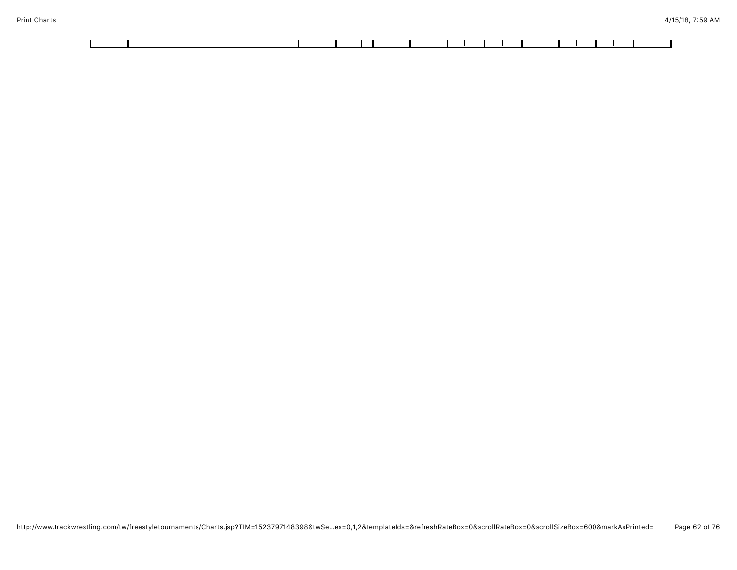#### **T**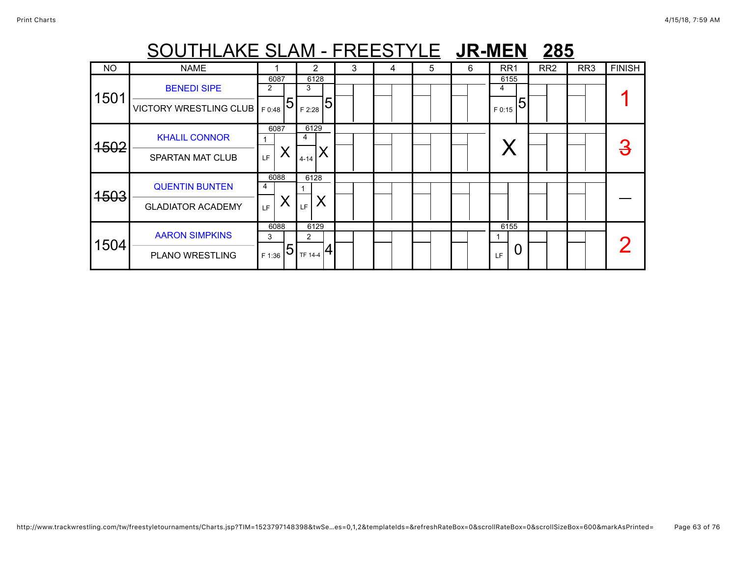| <b>NO</b>   | <b>NAME</b>                                         |                                       | 2                                      | 3 | 4 | 5 | 6 | RR <sub>1</sub>                       | RR <sub>2</sub> | RR <sub>3</sub> | <b>FINISH</b> |
|-------------|-----------------------------------------------------|---------------------------------------|----------------------------------------|---|---|---|---|---------------------------------------|-----------------|-----------------|---------------|
| 1501        | <b>BENEDI SIPE</b><br><b>VICTORY WRESTLING CLUB</b> | 6087<br>2<br>15<br>F 0:48             | 6128<br>3<br>5<br>F 2:28               |   |   |   |   | 6155<br>4<br>$\overline{5}$<br>F 0:15 |                 |                 |               |
| <b>4502</b> | <b>KHALIL CONNOR</b><br><b>SPARTAN MAT CLUB</b>     | 6087<br>Χ<br>LF                       | 6129<br>4<br>$4 - 14$                  |   |   |   |   |                                       |                 |                 | 3             |
| 4503        | <b>QUENTIN BUNTEN</b><br><b>GLADIATOR ACADEMY</b>   | 6088<br>4<br>Χ<br>LF                  | 6128<br>LF                             |   |   |   |   |                                       |                 |                 |               |
| 1504        | <b>AARON SIMPKINS</b><br>PLANO WRESTLING            | 6088<br>3<br>$\overline{5}$<br>F 1:36 | 6129<br>$\overline{c}$<br>4<br>TF 14-4 |   |   |   |   | 6155<br>O<br>LF                       |                 |                 |               |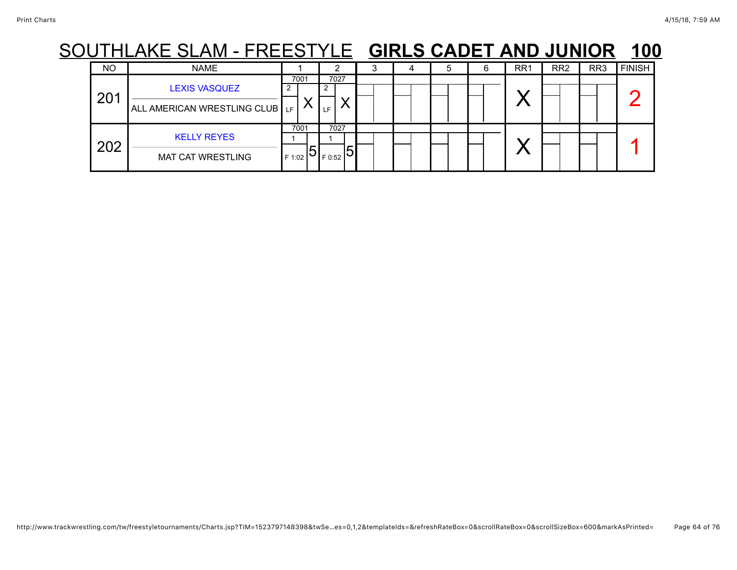| NO  | <b>NAME</b>                                            |                |                 |  | 6 | RR <sub>1</sub> | RR <sub>2</sub> | RR <sub>3</sub> | <b>FINISH</b> |
|-----|--------------------------------------------------------|----------------|-----------------|--|---|-----------------|-----------------|-----------------|---------------|
| 201 | <b>LEXIS VASQUEZ</b><br>ALL AMERICAN WRESTLING CLUB LF | 7001           | 7027<br>ົ<br>LF |  |   |                 |                 |                 |               |
| 202 | <b>KELLY REYES</b><br><b>MAT CAT WRESTLING</b>         | 7001<br>F 1:02 | 7027<br>F 0:52  |  |   |                 |                 |                 |               |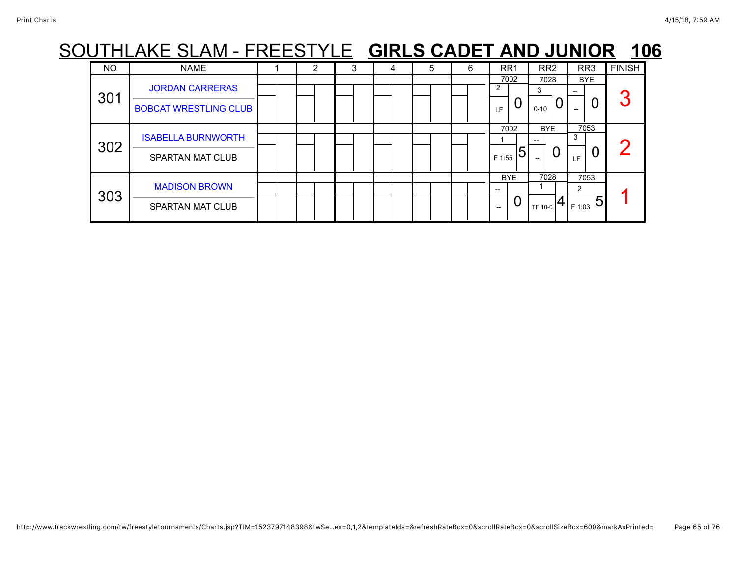| <b>NO</b> | <b>NAME</b>                  |  | 3 | 4 | 5 | 6 | RR <sub>1</sub> | RR <sub>2</sub> | RR <sub>3</sub> | <b>FINISH</b> |
|-----------|------------------------------|--|---|---|---|---|-----------------|-----------------|-----------------|---------------|
|           | <b>JORDAN CARRERAS</b>       |  |   |   |   |   | 7002<br>ົ       | 7028<br>3       | <b>BYE</b>      |               |
| 301       |                              |  |   |   |   |   |                 |                 | U               | σ<br>u        |
|           | <b>BOBCAT WRESTLING CLUB</b> |  |   |   |   |   | LF              | $0 - 10$        |                 |               |
|           |                              |  |   |   |   |   | 7002            | <b>BYE</b>      | 7053            |               |
|           | <b>ISABELLA BURNWORTH</b>    |  |   |   |   |   |                 |                 | 3               | ◠             |
| 302       | <b>SPARTAN MAT CLUB</b>      |  |   |   |   |   | 5<br>F 1:55     | U<br>--         | U<br>LF.        |               |
|           |                              |  |   |   |   |   | <b>BYE</b>      | 7028            | 7053            |               |
|           | <b>MADISON BROWN</b>         |  |   |   |   |   |                 |                 | 2               |               |
| 303       | <b>SPARTAN MAT CLUB</b>      |  |   |   |   |   | --              | TF 10-0         | 15<br>F 1:03    |               |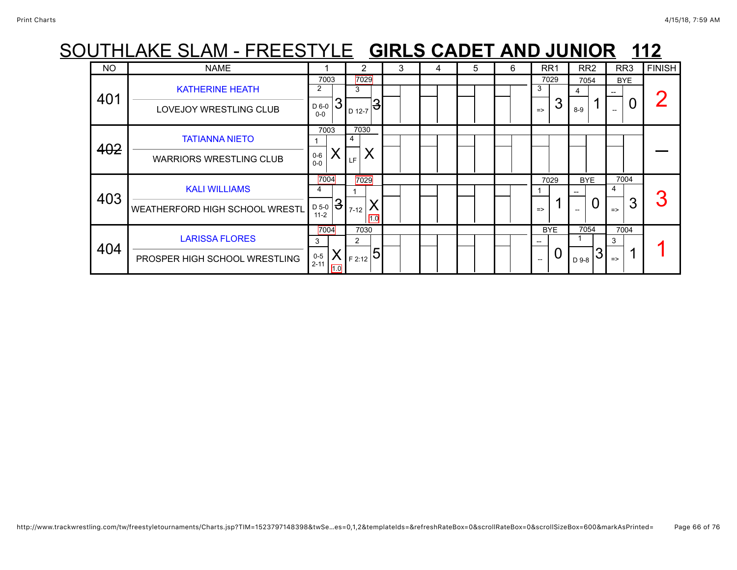| <b>NO</b> | <b>NAME</b>                                             |                                                 | 2                                    | 3 | 4 | 5 | 6 | RR <sub>1</sub>                             | RR <sub>2</sub> | RR <sub>3</sub>                 | <b>FINISH</b> |
|-----------|---------------------------------------------------------|-------------------------------------------------|--------------------------------------|---|---|---|---|---------------------------------------------|-----------------|---------------------------------|---------------|
| 401       | <b>KATHERINE HEATH</b><br>LOVEJOY WRESTLING CLUB        | 7003<br>2<br>3 <sup>1</sup><br>D 6-0<br>$0 - 0$ | 7029<br>3<br>$1012-7$ 31             |   |   |   |   | 7029<br>3<br>3<br>$\Rightarrow$             | 7054<br>$8 - 9$ | <b>BYE</b><br>$\sim$            |               |
| 402       | <b>TATIANNA NIETO</b><br><b>WARRIORS WRESTLING CLUB</b> | 7003<br>$0-6$<br>$0 - 0$                        | 7030<br>4<br>X<br>LF                 |   |   |   |   |                                             |                 |                                 |               |
| 403       | <b>KALI WILLIAMS</b><br>WEATHERFORD HIGH SCHOOL WRESTL  | 7004<br>4<br>$D 5-0$ <sup>3</sup><br>$11 - 2$   | 7029<br>Λ<br>$7 - 12$<br>1.0         |   |   |   |   | 7029<br>$\Rightarrow$                       | <b>BYE</b><br>U | 7004<br>4<br>3<br>$\Rightarrow$ |               |
| 404       | <b>LARISSA FLORES</b><br>PROSPER HIGH SCHOOL WRESTLING  | 7004<br>3<br>$0 - 5$<br>2-11<br>X<br>1.0        | 7030<br>$\frac{1}{2}$   F 2:12 $ 5 $ |   |   |   |   | <b>BYE</b><br>U<br>$\overline{\phantom{a}}$ | 7054<br>D 9-8   | 7004<br>3<br>$\Rightarrow$      |               |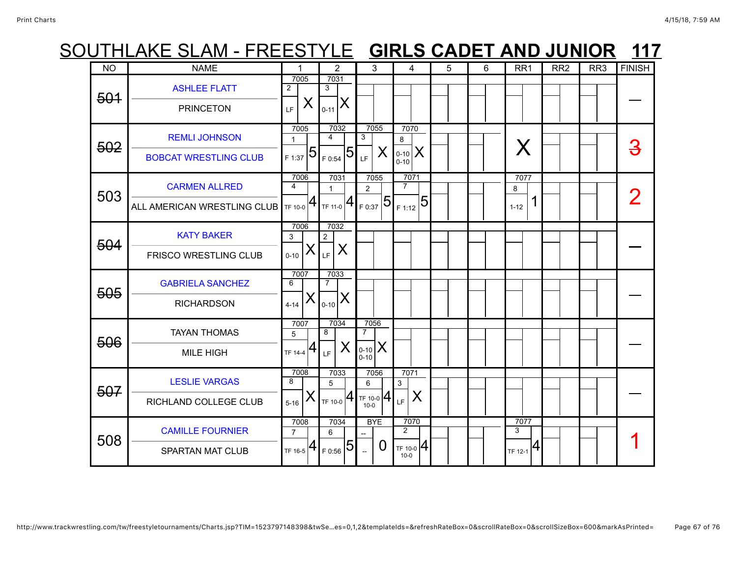| N <sub>O</sub> | <b>NAME</b>                                                           | 1                                              | 2                                       | 3                                             | 4                                           | 5 | 6 | RR <sub>1</sub>       | $\overline{RR2}$ | RR <sub>3</sub> | <b>FINISH</b> |
|----------------|-----------------------------------------------------------------------|------------------------------------------------|-----------------------------------------|-----------------------------------------------|---------------------------------------------|---|---|-----------------------|------------------|-----------------|---------------|
| 501            | <b>ASHLEE FLATT</b><br><b>PRINCETON</b>                               | 7005<br>$\overline{2}$<br>X<br>LF.             | 7031<br>3<br>X<br>$0 - 11$              |                                               |                                             |   |   |                       |                  |                 |               |
| 502            | <b>REMLI JOHNSON</b><br><b>BOBCAT WRESTLING CLUB</b>                  | 7005<br>$\mathbf{1}$<br>5<br>F 1:37            | 7032<br>$\overline{4}$<br>5<br>F 0:54   | 7055<br>3<br>X<br>LF                          | 7070<br>8<br>$_{0-10} X$<br>$0 - 10$        |   |   | X                     |                  |                 | З             |
| 503            | <b>CARMEN ALLRED</b><br>ALL AMERICAN WRESTLING CLUB $ $ TF 10-0 $ ^4$ | 7006<br>4                                      | 7031<br>l4<br>TF 11-0                   | 7055<br>2<br>$\mathbf{I}_{F,0:37}$ 5          | 7071<br>7<br>5<br>F 1:12                    |   |   | 7077<br>8<br>$1 - 12$ |                  |                 |               |
| 504            | <b>KATY BAKER</b><br><b>FRISCO WRESTLING CLUB</b>                     | 7006<br>3<br>X<br>$0 - 10$                     | 7032<br>$\overline{2}$<br>X<br>LF.      |                                               |                                             |   |   |                       |                  |                 |               |
| 505            | <b>GABRIELA SANCHEZ</b><br><b>RICHARDSON</b>                          | 7007<br>6<br>Х<br>$4 - 14$                     | 7033<br>$\overline{7}$<br>X<br>$0 - 10$ |                                               |                                             |   |   |                       |                  |                 |               |
| 506            | <b>TAYAN THOMAS</b><br><b>MILE HIGH</b>                               | 7007<br>5<br>$T_{\text{TF 14-4}} 4$            | 7034<br>8<br>X<br>LF                    | 7056<br>7<br>$_{0-10}$ $X$<br>$0 - 10$        |                                             |   |   |                       |                  |                 |               |
| 507            | <b>LESLIE VARGAS</b><br>RICHLAND COLLEGE CLUB                         | 7008<br>8<br>$5 - 16$                          | 7033<br>5<br>TF 10-0 $ 4$               | 7056<br>6<br>TF 10-0 <sup>4</sup><br>$10 - 0$ | 7071<br>3<br>X<br>LF                        |   |   |                       |                  |                 |               |
| 508            | <b>CAMILLE FOURNIER</b><br><b>SPARTAN MAT CLUB</b>                    | 7008<br>$\overline{7}$<br>TF 16-5 <sup>1</sup> | 7034<br>6<br>$\overline{5}$<br>F 0:56   | <b>BYE</b><br>0                               | 7070<br>2<br>TF 10-0 <sup>1</sup><br>$10-0$ |   |   | 7077<br>3<br>TF 12-1  |                  |                 |               |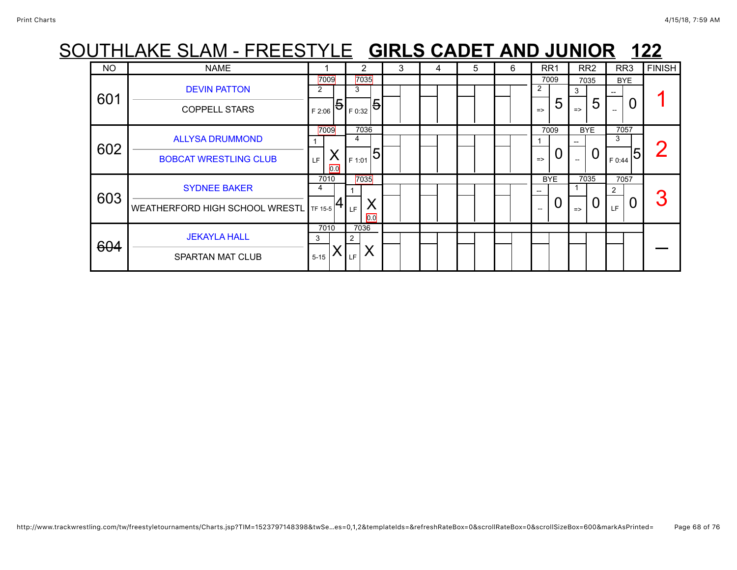| <b>NO</b> | <b>NAME</b>                              |          |                |                       |          | 3 | 4 | 5 | 6 |                   | RR <sub>1</sub> |               | RR <sub>2</sub> |                | RR <sub>3</sub> | <b>FINISH</b> |
|-----------|------------------------------------------|----------|----------------|-----------------------|----------|---|---|---|---|-------------------|-----------------|---------------|-----------------|----------------|-----------------|---------------|
|           |                                          | 7009     |                |                       | 7035     |   |   |   |   | 2                 | 7009            |               | 7035            |                | <b>BYE</b>      |               |
| 601       | <b>DEVIN PATTON</b>                      | 2        |                | 3                     |          |   |   |   |   |                   |                 | 3             |                 |                |                 |               |
|           | <b>COPPELL STARS</b>                     | F 2:06   | $.15^{\prime}$ | F 0:32                | 5        |   |   |   |   | $\Rightarrow$     | 5               | $\Rightarrow$ | 5               | $\sim$         | O               |               |
|           |                                          | 7009     |                |                       | 7036     |   |   |   |   |                   | 7009            |               | <b>BYE</b>      |                | 7057            |               |
| 602       | <b>ALLYSA DRUMMOND</b>                   |          |                | 4                     |          |   |   |   |   |                   |                 |               |                 | 3              |                 | 2             |
|           | <b>BOBCAT WRESTLING CLUB</b>             | LF.      | Χ<br>0.0       | F 1:01                | 5        |   |   |   |   | $\Rightarrow$     |                 | $\sim$        | Û               | F 0:44         | <b>5</b>        |               |
|           |                                          | 7010     |                |                       | 7035     |   |   |   |   |                   | <b>BYE</b>      |               | 7035            |                | 7057            |               |
| 603       | <b>SYDNEE BAKER</b>                      | 4        |                |                       |          |   |   |   |   |                   |                 |               |                 | $\overline{2}$ |                 | σ             |
|           | WEATHERFORD HIGH SCHOOL WRESTL   TF 15-5 |          |                | - լ4  <sub>ւբ</sub> լ | ∧<br>0.0 |   |   |   |   | $\hspace{0.05cm}$ |                 | $\Rightarrow$ | U               | LF.            |                 |               |
|           |                                          | 7010     |                |                       | 7036     |   |   |   |   |                   |                 |               |                 |                |                 |               |
| 604       | <b>JEKAYLA HALL</b>                      | 3        |                |                       |          |   |   |   |   |                   |                 |               |                 |                |                 |               |
|           | <b>SPARTAN MAT CLUB</b>                  | $5 - 15$ |                | LF.                   | X        |   |   |   |   |                   |                 |               |                 |                |                 |               |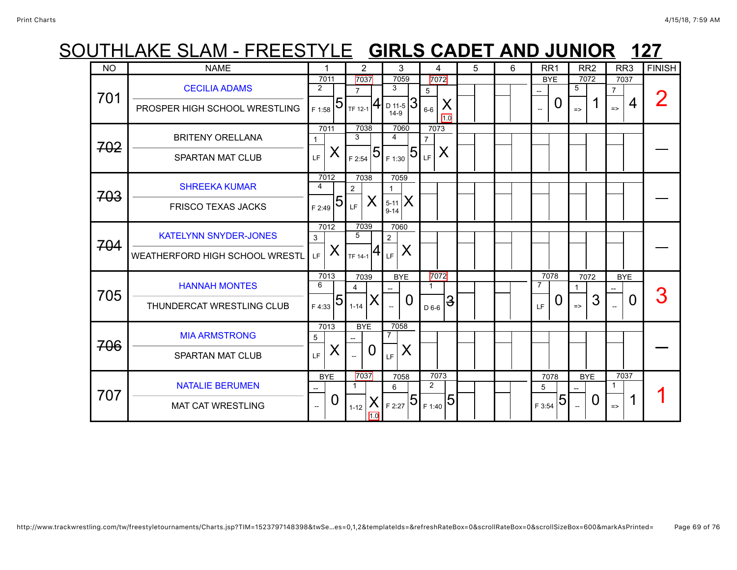| <b>NO</b> | <b>NAME</b>                                                    | 1                                     | 2                                                  | 3                                              | 4                                                 | 5 | 6 | RR <sub>1</sub>                   | RR <sub>2</sub>            | $\overline{RR3}$                             | <b>FINISH</b> |
|-----------|----------------------------------------------------------------|---------------------------------------|----------------------------------------------------|------------------------------------------------|---------------------------------------------------|---|---|-----------------------------------|----------------------------|----------------------------------------------|---------------|
| 701       | <b>CECILIA ADAMS</b><br>PROSPER HIGH SCHOOL WRESTLING          | 7011<br>2<br>$\sqrt{5}$<br>F 1:58     | 7037<br>$\overline{7}$<br>$\frac{1}{T}$ 12-1 $ 4 $ | 7059<br>3<br>$D$ 11-5 $3$<br>$14-9$            | 7072<br>5<br>X<br>$6-6$<br>1.0                    |   |   | <b>BYE</b><br>0<br>$\sim$         | 7072<br>5<br>$\Rightarrow$ | 7037<br>$\overline{7}$<br>4<br>$\Rightarrow$ |               |
| 702       | <b>BRITENY ORELLANA</b><br><b>SPARTAN MAT CLUB</b>             | 7011<br>$\overline{1}$<br>Χ<br>LF     | 7038<br>3<br>$\overline{5}$<br>F 2:54              | 7060<br>4<br>F 1:30                            | 7073<br>$\overline{7}$<br>X<br>$ 5 _{L_{\rm F}} $ |   |   |                                   |                            |                                              |               |
| 703       | <b>SHREEKA KUMAR</b><br><b>FRISCO TEXAS JACKS</b>              | 7012<br>$\overline{4}$<br>5<br>F 2:49 | 7038<br>$\overline{c}$<br>X<br>LF                  | 7059<br>$\mathbf{1}$<br>$5-11$ $X$<br>$9 - 14$ |                                                   |   |   |                                   |                            |                                              |               |
| 704       | <b>KATELYNN SNYDER-JONES</b><br>WEATHERFORD HIGH SCHOOL WRESTL | 7012<br>3<br>X<br>LF                  | 7039<br>5<br><b>TF 14-1</b>                        | 7060<br>X<br>I <sup>4</sup> ∐∟F                |                                                   |   |   |                                   |                            |                                              |               |
| 705       | <b>HANNAH MONTES</b><br>THUNDERCAT WRESTLING CLUB              | 7013<br>6<br>5<br>F 4:33              | 7039<br>$\overline{4}$<br>Х<br>$1 - 14$            | <b>BYE</b><br>0                                | 7072<br>1<br>$\overline{\mathbf{a}}$<br>D 6-6     |   |   | 7078<br>$\overline{7}$<br>O<br>LF | 7072<br>3<br>$\Rightarrow$ | <b>BYE</b><br>$\overline{0}$                 |               |
| 706       | <b>MIA ARMSTRONG</b><br><b>SPARTAN MAT CLUB</b>                | 7013<br>5<br>Х<br>LF                  | <b>BYE</b><br>$\Omega$                             | 7058<br>X<br>LF.                               |                                                   |   |   |                                   |                            |                                              |               |
| 707       | <b>NATALIE BERUMEN</b><br><b>MAT CAT WRESTLING</b>             | <b>BYE</b><br>$\Omega$                | 7037<br>1<br>⋏<br>$1 - 12$<br>1.0                  | 7058<br>6<br>$\overline{5}$<br>F 2:27          | 7073<br>$\overline{2}$<br>5<br>F 1:40             |   |   | 7078<br>5<br>F 3:54               | <b>BYE</b><br>0            | 7037<br>$\Rightarrow$                        |               |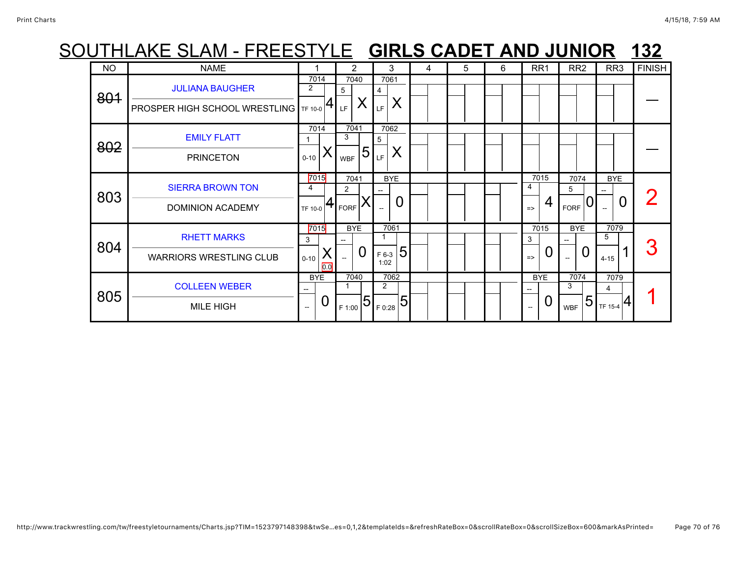| <b>NO</b> | <b>NAME</b>                                                       |                                |                 | 2                                     |                | 3                              |   | 4 | 5 | 6 | RR <sub>1</sub>                                                    |   | RR <sub>2</sub>          |                | RR <sub>3</sub>                                          |                | <b>FINISH</b> |
|-----------|-------------------------------------------------------------------|--------------------------------|-----------------|---------------------------------------|----------------|--------------------------------|---|---|---|---|--------------------------------------------------------------------|---|--------------------------|----------------|----------------------------------------------------------|----------------|---------------|
| 801       | <b>JULIANA BAUGHER</b><br>PROSPER HIGH SCHOOL WRESTLING   TF 10-0 | $\overline{c}$                 | 7014            | 7040<br>$5\,$<br>LF.                  | X              | 7061<br>4<br>X<br>LF.          |   |   |   |   |                                                                    |   |                          |                |                                                          |                |               |
| 802       | <b>EMILY FLATT</b><br><b>PRINCETON</b>                            | $0 - 10$                       | 7014            | 7041<br>3<br><b>WBF</b>               | 5              | 7062<br>5<br>Χ<br>LF.          |   |   |   |   |                                                                    |   |                          |                |                                                          |                |               |
| 803       | <b>SIERRA BROWN TON</b><br><b>DOMINION ACADEMY</b>                | 4<br>TF 10-0                   | 7015            | 7041<br>$\overline{2}$<br><b>FORF</b> |                | <b>BYE</b><br>$\sim$           | 0 |   |   |   | 7015<br>4<br>$\Rightarrow$                                         | 4 | 7074<br>5<br><b>FORF</b> | 0              | <b>BYE</b><br>$\overline{\phantom{a}}$                   | $\overline{0}$ |               |
| 804       | <b>RHETT MARKS</b><br><b>WARRIORS WRESTLING CLUB</b>              | 3<br>$0 - 10$                  | 7015<br>0.0     | <b>BYE</b>                            | O              | 7061<br>F 6-3<br>1:02          | 5 |   |   |   | 7015<br>3<br>$\Rightarrow$                                         | U | <b>BYE</b><br>$\sim$     | $\overline{0}$ | 7079<br>5<br>$4 - 15$                                    |                |               |
| 805       | <b>COLLEEN WEBER</b><br><b>MILE HIGH</b>                          | --<br>$\overline{\phantom{a}}$ | <b>BYE</b><br>0 | 7040<br>F 1:00                        | $\overline{5}$ | 7062<br>$\mathbf{2}$<br>F 0:28 | 5 |   |   |   | <b>BYE</b><br>$\overline{\phantom{a}}$<br>$\overline{\phantom{a}}$ | U | 7074<br>3<br><b>WBF</b>  |                | 7079<br>4<br>$\begin{bmatrix} 5 \end{bmatrix}$ te 15-4 l | ľФ             |               |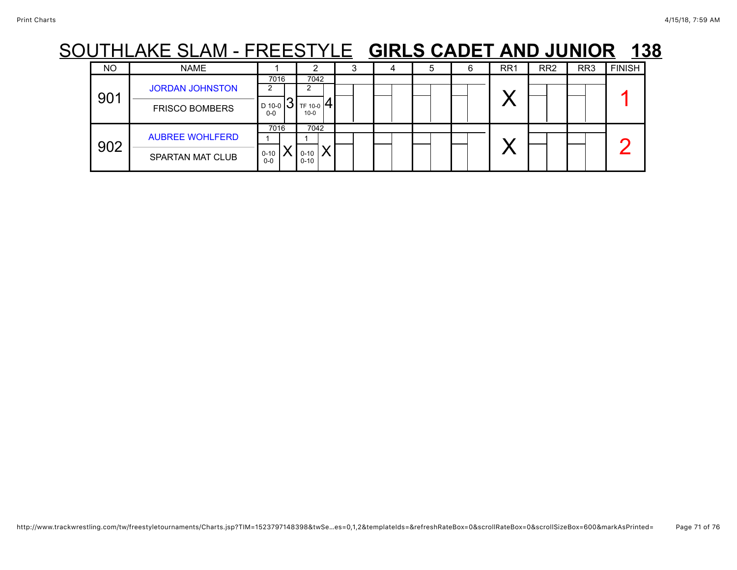|     |                        | 7016                          | 704Z                           |  |  |  |  |  |  |  |  |
|-----|------------------------|-------------------------------|--------------------------------|--|--|--|--|--|--|--|--|
| 901 | <b>JORDAN JOHNSTON</b> |                               |                                |  |  |  |  |  |  |  |  |
|     | <b>FRISCO BOMBERS</b>  | D 10-0 J TF 10-0 H<br>$0 - 0$ | $10-0$                         |  |  |  |  |  |  |  |  |
|     |                        | 7016                          | 7042                           |  |  |  |  |  |  |  |  |
|     | <b>AUBREE WOHLFERD</b> |                               |                                |  |  |  |  |  |  |  |  |
| 902 | SPARTAN MAT CLUB       | $0 - 10$<br>$0 - 0$           | $0-10$ I $\lambda$<br>$0 - 10$ |  |  |  |  |  |  |  |  |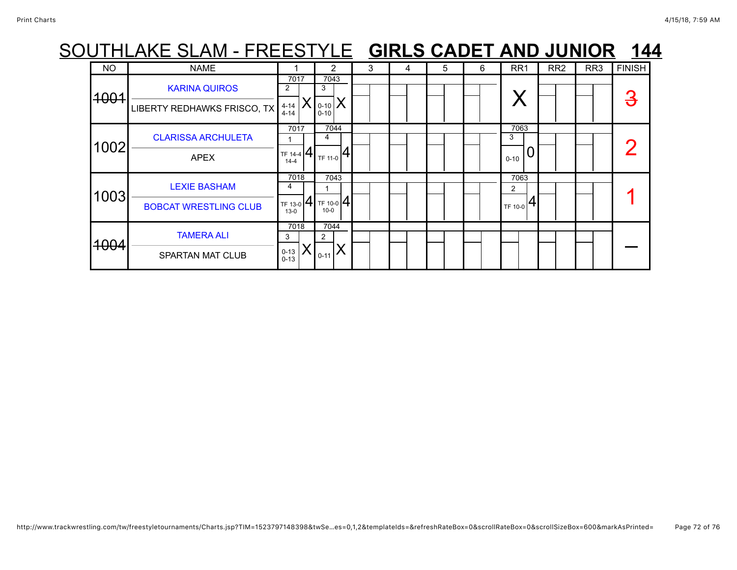| NO          | <b>NAME</b>                                         |                                        | 2                                                                   | 3 | 4 | 5 | 6 | RR <sub>1</sub>                   | RR <sub>2</sub> | RR <sub>3</sub> | <b>FINISH</b> |
|-------------|-----------------------------------------------------|----------------------------------------|---------------------------------------------------------------------|---|---|---|---|-----------------------------------|-----------------|-----------------|---------------|
| <b>4001</b> | <b>KARINA QUIROS</b><br>LIBERTY REDHAWKS FRISCO, TX | 7017<br>2<br>X<br>$4 - 14$<br>$4 - 14$ | 7043<br>3<br>0-10 $\lambda$<br>$0 - 10$                             |   |   |   |   |                                   |                 |                 | 3             |
| 1002        | <b>CLARISSA ARCHULETA</b><br><b>APEX</b>            | 7017<br>TF 14-4<br>$14 - 4$            | 7044<br>4<br>Ι4<br>TF 11-0                                          |   |   |   |   | 7063<br>3<br>$0 - 10$             |                 |                 |               |
| 1003        | <b>LEXIE BASHAM</b><br><b>BOBCAT WRESTLING CLUB</b> | 7018<br>4<br>$13-0$                    | 7043<br>TF 13-0 4 TF 10-0 4<br>$10-0$                               |   |   |   |   | 7063<br>$\overline{2}$<br>TF 10-0 |                 |                 |               |
| 4004        | <b>TAMERA ALI</b><br><b>SPARTAN MAT CLUB</b>        | 7018<br>3<br>$0 - 13$<br>$0 - 13$      | 7044<br>$\overline{2}$<br>$\mathbf{I}_{0-11} \boldsymbol{\lambda} $ |   |   |   |   |                                   |                 |                 |               |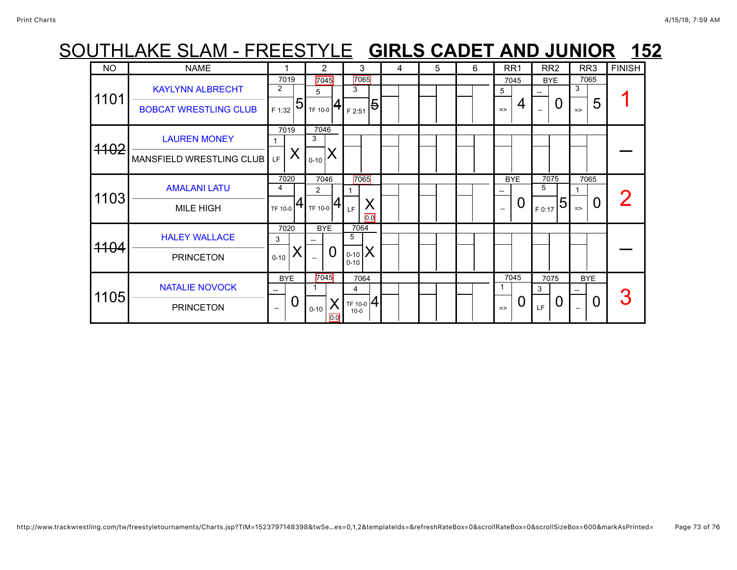## SOUTHLAKE SLAM - FREESTYLE **GIRLS CADET AND JUNIOR 152**

| <b>NO</b>       | <b>NAME</b>                                             |                                       | 2                                                        | 3                                             | 4 | 5 | 6 | RR <sub>1</sub>                 | RR <sub>2</sub>                                                                | RR <sub>3</sub>                                          | <b>FINISH</b> |
|-----------------|---------------------------------------------------------|---------------------------------------|----------------------------------------------------------|-----------------------------------------------|---|---|---|---------------------------------|--------------------------------------------------------------------------------|----------------------------------------------------------|---------------|
| 1101            | <b>KAYLYNN ALBRECHT</b><br><b>BOBCAT WRESTLING CLUB</b> | 7019<br>2<br>$\overline{5}$<br>F 1:32 | 7045<br>$5\overline{)}$<br>$\frac{1}{1}$ the 10-0 $ 4$   | 7065<br>3<br>15<br>F 2:51                     |   |   |   | 7045<br>5<br>4<br>$\Rightarrow$ | <b>BYE</b><br>$\overline{\phantom{a}}$<br>$\Omega$<br>$\overline{\phantom{m}}$ | 7065<br>3<br>5<br>$\Rightarrow$                          |               |
| 4102            | <b>LAUREN MONEY</b><br>MANSFIELD WRESTLING CLUB         | 7019<br>X<br>LF                       | 7046<br>3<br>$0 - 10$                                    |                                               |   |   |   |                                 |                                                                                |                                                          |               |
| 1103            | <b>AMALANI LATU</b><br><b>MILE HIGH</b>                 | 7020<br>4<br>l4l<br>TF 10-0           | 7046<br>$\overline{2}$<br>$T$ F 10-0 $ 4 $               | 7065<br>X<br>LF<br>0.0                        |   |   |   | <b>BYE</b><br>0<br>--           | 7075<br>5<br> 5 <br>F 0:17                                                     | 7065<br>0<br>$\Rightarrow$                               |               |
| <del>1104</del> | <b>HALEY WALLACE</b><br><b>PRINCETON</b>                | 7020<br>3<br>$0 - 10$                 | <b>BYE</b><br>$\overline{0}$<br>$\overline{\phantom{a}}$ | 7064<br>5<br>$_{0-10}$ $X$<br>$0 - 10$        |   |   |   |                                 |                                                                                |                                                          |               |
| 1105            | <b>NATALIE NOVOCK</b><br><b>PRINCETON</b>               | <b>BYE</b><br>0<br>$\overline{a}$     | 7045<br>$0 - 10$<br>0.0                                  | 7064<br>4<br>TF 10-0 <sup>1</sup><br>$10 - 0$ |   |   |   | 7045<br>0<br>$\Rightarrow$      | 7075<br>3<br>U<br>LF                                                           | <b>BYE</b><br>$\overline{0}$<br>$\overline{\phantom{a}}$ | 3             |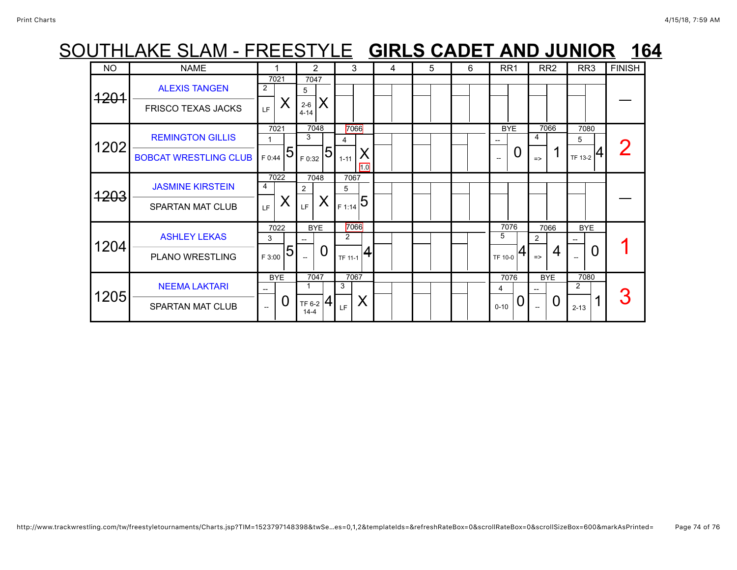## SOUTHLAKE SLAM - FREESTYLE **GIRLS CADET AND JUNIOR 164**

| $\overline{NO}$ | <b>NAME</b>                                             |                                       | $\overline{2}$                               | 3                                             | 4 | 5 | 6 | RR <sub>1</sub>           | RR <sub>2</sub>                                        | RR <sub>3</sub>                        | <b>FINISH</b> |
|-----------------|---------------------------------------------------------|---------------------------------------|----------------------------------------------|-----------------------------------------------|---|---|---|---------------------------|--------------------------------------------------------|----------------------------------------|---------------|
| <del>1201</del> | <b>ALEXIS TANGEN</b><br><b>FRISCO TEXAS JACKS</b>       | 7021<br>2<br>X<br>LF                  | 7047<br>5<br>X<br>$2 - 6$<br>$4 - 14$        |                                               |   |   |   |                           |                                                        |                                        |               |
| 1202            | <b>REMINGTON GILLIS</b><br><b>BOBCAT WRESTLING CLUB</b> | 7021<br>5<br>F 0:44                   | 7048<br>3<br> 5 <br>F 0:32                   | 7066<br>4<br>∧<br>$1 - 11$<br>1.0             |   |   |   | <b>BYE</b><br>0           | 7066<br>4<br>И<br>$\Rightarrow$                        | 7080<br>5<br>TF 13-2                   |               |
| <del>1203</del> | <b>JASMINE KIRSTEIN</b><br><b>SPARTAN MAT CLUB</b>      | 7022<br>4<br>X<br>LF                  | 7048<br>2<br>X<br>LF                         | 7067<br>5<br>5<br>F 1:14                      |   |   |   |                           |                                                        |                                        |               |
| 1204            | <b>ASHLEY LEKAS</b><br>PLANO WRESTLING                  | 7022<br>3<br>5 <sub>l</sub><br>F 3:00 | <b>BYE</b><br>$\overline{0}$<br>--           | 7066<br>$\overline{2}$<br>4<br><b>TF 11-1</b> |   |   |   | 7076<br>5<br>4<br>TF 10-0 | 7066<br>$\overline{2}$<br>4<br>$\Rightarrow$           | <b>BYE</b><br>$\overline{0}$<br>$\sim$ |               |
| 1205            | <b>NEEMA LAKTARI</b><br><b>SPARTAN MAT CLUB</b>         | <b>BYE</b><br>$\mathbf 0$<br>--       | 7047<br>4 <sup>1</sup><br>TF 6-2<br>$14 - 4$ | 7067<br>3<br>X<br>LF                          |   |   |   | 7076<br>4<br>$0 - 10$     | <b>BYE</b><br>$\hspace{0.05cm}$ $\hspace{0.05cm}$<br>0 | 7080<br>2<br>$2 - 13$                  |               |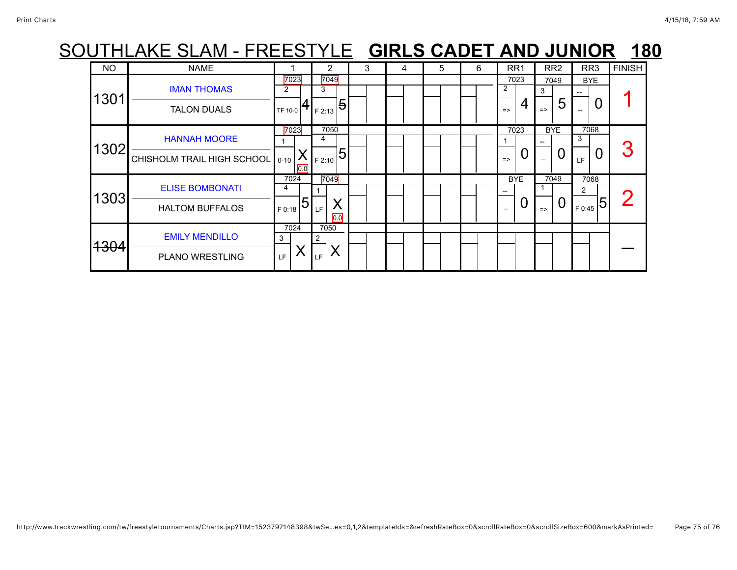## SOUTHLAKE SLAM - FREESTYLE **GIRLS CADET AND JUNIOR 180**

| <b>NO</b> | <b>NAME</b>                                            |                          | 2                                                | 3 | 4 | 5 | 6 | RR <sub>1</sub>                 | RR <sub>2</sub>                             | RR <sub>3</sub>                    | <b>FINISH</b> |
|-----------|--------------------------------------------------------|--------------------------|--------------------------------------------------|---|---|---|---|---------------------------------|---------------------------------------------|------------------------------------|---------------|
| 1301      | <b>IMAN THOMAS</b><br><b>TALON DUALS</b>               | 7023<br>2<br>TF 10-0     | 7049<br>3<br>5<br>$\sim$ $ 4 _{F2:13}$   $\cdot$ |   |   |   |   | 7023<br>2<br>4<br>$\Rightarrow$ | 7049<br>3<br>5<br>$\Rightarrow$             | <b>BYE</b><br>$\overline{O}$<br>-- |               |
| 1302      | <b>HANNAH MOORE</b><br>CHISHOLM TRAIL HIGH SCHOOL 0-10 | 7023<br> 0.0             | 7050<br>4<br>5<br>F 2:10                         |   |   |   |   | 7023<br>0<br>$\Rightarrow$      | <b>BYE</b><br>U<br>$\overline{\phantom{m}}$ | 7068<br>3<br>O<br>LF               | 3             |
| 1303      | <b>ELISE BOMBONATI</b><br><b>HALTOM BUFFALOS</b>       | 7024<br>4<br>5<br>F 0:18 | 7049<br>∧<br><b>LF</b><br>0.0                    |   |   |   |   | <b>BYE</b><br>U<br>$-$          | 7049<br>U<br>$\Rightarrow$                  | 7068<br>2<br>$_{\rm 1F\,0:45}$ 51  |               |
| 4304      | <b>EMILY MENDILLO</b><br><b>PLANO WRESTLING</b>        | 7024<br>3<br><b>LF</b>   | 7050<br>$\overline{2}$<br>LF <sup>T</sup>        |   |   |   |   |                                 |                                             |                                    |               |